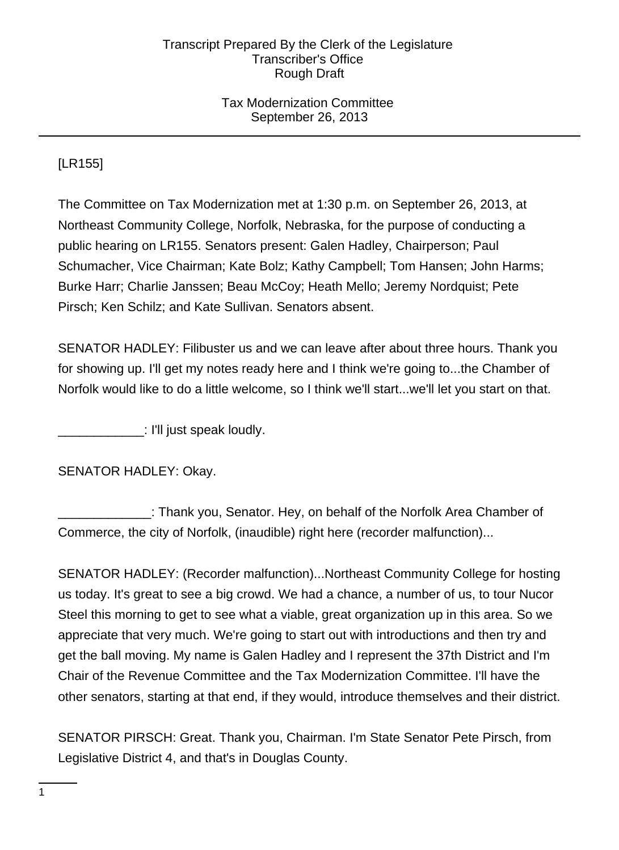## Tax Modernization Committee September 26, 2013

[LR155]

The Committee on Tax Modernization met at 1:30 p.m. on September 26, 2013, at Northeast Community College, Norfolk, Nebraska, for the purpose of conducting a public hearing on LR155. Senators present: Galen Hadley, Chairperson; Paul Schumacher, Vice Chairman; Kate Bolz; Kathy Campbell; Tom Hansen; John Harms; Burke Harr; Charlie Janssen; Beau McCoy; Heath Mello; Jeremy Nordquist; Pete Pirsch; Ken Schilz; and Kate Sullivan. Senators absent.

SENATOR HADLEY: Filibuster us and we can leave after about three hours. Thank you for showing up. I'll get my notes ready here and I think we're going to...the Chamber of Norfolk would like to do a little welcome, so I think we'll start...we'll let you start on that.

\_\_\_\_\_\_\_\_\_\_\_\_: I'll just speak loudly.

SENATOR HADLEY: Okay.

\_\_\_\_\_\_\_\_\_\_\_\_\_: Thank you, Senator. Hey, on behalf of the Norfolk Area Chamber of Commerce, the city of Norfolk, (inaudible) right here (recorder malfunction)...

SENATOR HADLEY: (Recorder malfunction)...Northeast Community College for hosting us today. It's great to see a big crowd. We had a chance, a number of us, to tour Nucor Steel this morning to get to see what a viable, great organization up in this area. So we appreciate that very much. We're going to start out with introductions and then try and get the ball moving. My name is Galen Hadley and I represent the 37th District and I'm Chair of the Revenue Committee and the Tax Modernization Committee. I'll have the other senators, starting at that end, if they would, introduce themselves and their district.

SENATOR PIRSCH: Great. Thank you, Chairman. I'm State Senator Pete Pirsch, from Legislative District 4, and that's in Douglas County.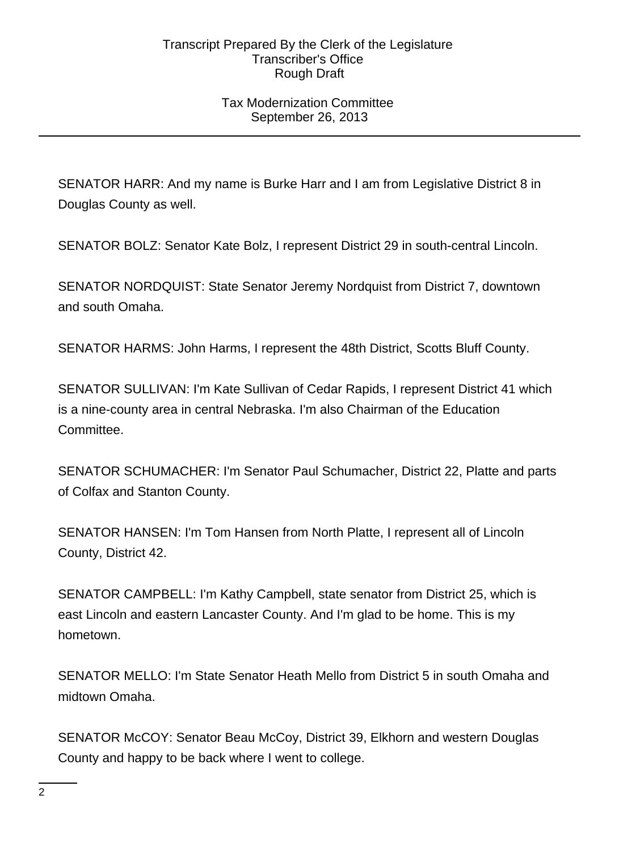## Tax Modernization Committee September 26, 2013

SENATOR HARR: And my name is Burke Harr and I am from Legislative District 8 in Douglas County as well.

SENATOR BOLZ: Senator Kate Bolz, I represent District 29 in south-central Lincoln.

SENATOR NORDQUIST: State Senator Jeremy Nordquist from District 7, downtown and south Omaha.

SENATOR HARMS: John Harms, I represent the 48th District, Scotts Bluff County.

SENATOR SULLIVAN: I'm Kate Sullivan of Cedar Rapids, I represent District 41 which is a nine-county area in central Nebraska. I'm also Chairman of the Education Committee.

SENATOR SCHUMACHER: I'm Senator Paul Schumacher, District 22, Platte and parts of Colfax and Stanton County.

SENATOR HANSEN: I'm Tom Hansen from North Platte, I represent all of Lincoln County, District 42.

SENATOR CAMPBELL: I'm Kathy Campbell, state senator from District 25, which is east Lincoln and eastern Lancaster County. And I'm glad to be home. This is my hometown.

SENATOR MELLO: I'm State Senator Heath Mello from District 5 in south Omaha and midtown Omaha.

SENATOR McCOY: Senator Beau McCoy, District 39, Elkhorn and western Douglas County and happy to be back where I went to college.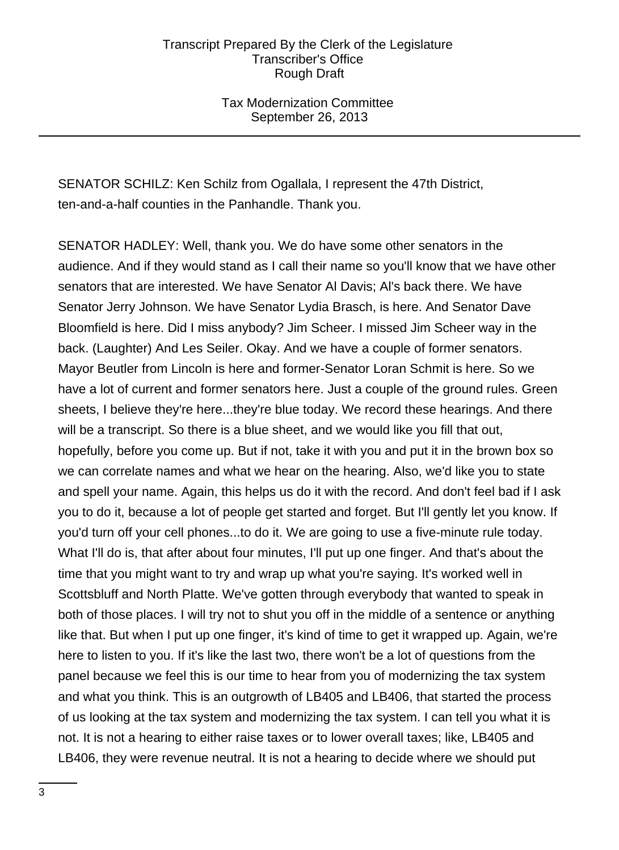Tax Modernization Committee September 26, 2013

SENATOR SCHILZ: Ken Schilz from Ogallala, I represent the 47th District, ten-and-a-half counties in the Panhandle. Thank you.

SENATOR HADLEY: Well, thank you. We do have some other senators in the audience. And if they would stand as I call their name so you'll know that we have other senators that are interested. We have Senator Al Davis; Al's back there. We have Senator Jerry Johnson. We have Senator Lydia Brasch, is here. And Senator Dave Bloomfield is here. Did I miss anybody? Jim Scheer. I missed Jim Scheer way in the back. (Laughter) And Les Seiler. Okay. And we have a couple of former senators. Mayor Beutler from Lincoln is here and former-Senator Loran Schmit is here. So we have a lot of current and former senators here. Just a couple of the ground rules. Green sheets, I believe they're here...they're blue today. We record these hearings. And there will be a transcript. So there is a blue sheet, and we would like you fill that out, hopefully, before you come up. But if not, take it with you and put it in the brown box so we can correlate names and what we hear on the hearing. Also, we'd like you to state and spell your name. Again, this helps us do it with the record. And don't feel bad if I ask you to do it, because a lot of people get started and forget. But I'll gently let you know. If you'd turn off your cell phones...to do it. We are going to use a five-minute rule today. What I'll do is, that after about four minutes, I'll put up one finger. And that's about the time that you might want to try and wrap up what you're saying. It's worked well in Scottsbluff and North Platte. We've gotten through everybody that wanted to speak in both of those places. I will try not to shut you off in the middle of a sentence or anything like that. But when I put up one finger, it's kind of time to get it wrapped up. Again, we're here to listen to you. If it's like the last two, there won't be a lot of questions from the panel because we feel this is our time to hear from you of modernizing the tax system and what you think. This is an outgrowth of LB405 and LB406, that started the process of us looking at the tax system and modernizing the tax system. I can tell you what it is not. It is not a hearing to either raise taxes or to lower overall taxes; like, LB405 and LB406, they were revenue neutral. It is not a hearing to decide where we should put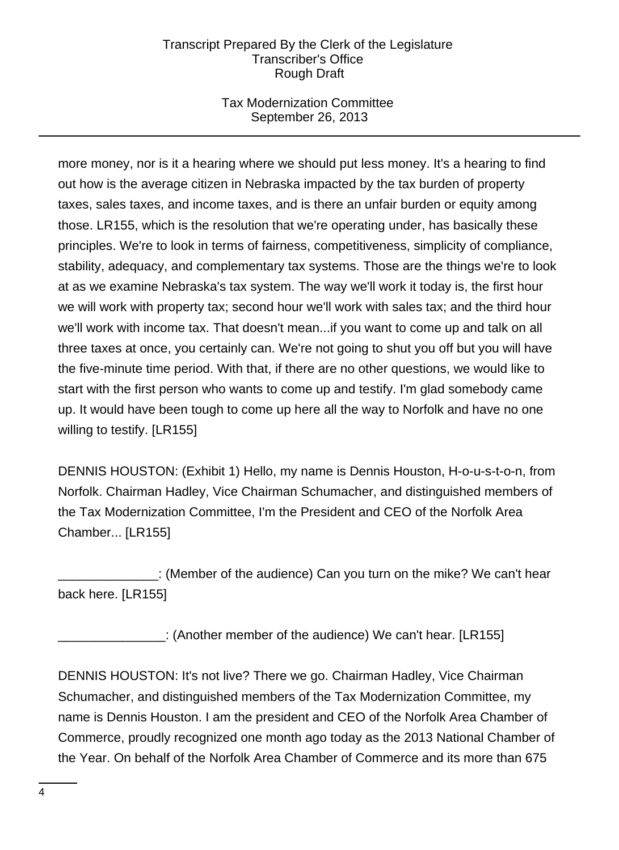# Tax Modernization Committee September 26, 2013

more money, nor is it a hearing where we should put less money. It's a hearing to find out how is the average citizen in Nebraska impacted by the tax burden of property taxes, sales taxes, and income taxes, and is there an unfair burden or equity among those. LR155, which is the resolution that we're operating under, has basically these principles. We're to look in terms of fairness, competitiveness, simplicity of compliance, stability, adequacy, and complementary tax systems. Those are the things we're to look at as we examine Nebraska's tax system. The way we'll work it today is, the first hour we will work with property tax; second hour we'll work with sales tax; and the third hour we'll work with income tax. That doesn't mean...if you want to come up and talk on all three taxes at once, you certainly can. We're not going to shut you off but you will have the five-minute time period. With that, if there are no other questions, we would like to start with the first person who wants to come up and testify. I'm glad somebody came up. It would have been tough to come up here all the way to Norfolk and have no one willing to testify. [LR155]

DENNIS HOUSTON: (Exhibit 1) Hello, my name is Dennis Houston, H-o-u-s-t-o-n, from Norfolk. Chairman Hadley, Vice Chairman Schumacher, and distinguished members of the Tax Modernization Committee, I'm the President and CEO of the Norfolk Area Chamber... [LR155]

\_\_\_\_\_\_\_\_\_\_\_\_\_\_: (Member of the audience) Can you turn on the mike? We can't hear back here. [LR155]

\_\_\_\_\_\_\_\_\_\_\_\_\_\_\_: (Another member of the audience) We can't hear. [LR155]

DENNIS HOUSTON: It's not live? There we go. Chairman Hadley, Vice Chairman Schumacher, and distinguished members of the Tax Modernization Committee, my name is Dennis Houston. I am the president and CEO of the Norfolk Area Chamber of Commerce, proudly recognized one month ago today as the 2013 National Chamber of the Year. On behalf of the Norfolk Area Chamber of Commerce and its more than 675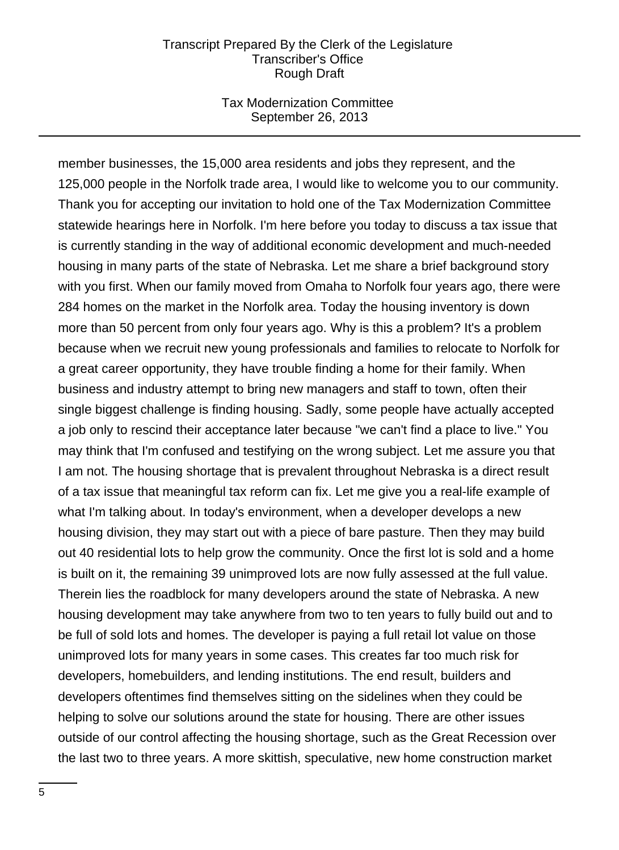#### Tax Modernization Committee September 26, 2013

member businesses, the 15,000 area residents and jobs they represent, and the 125,000 people in the Norfolk trade area, I would like to welcome you to our community. Thank you for accepting our invitation to hold one of the Tax Modernization Committee statewide hearings here in Norfolk. I'm here before you today to discuss a tax issue that is currently standing in the way of additional economic development and much-needed housing in many parts of the state of Nebraska. Let me share a brief background story with you first. When our family moved from Omaha to Norfolk four years ago, there were 284 homes on the market in the Norfolk area. Today the housing inventory is down more than 50 percent from only four years ago. Why is this a problem? It's a problem because when we recruit new young professionals and families to relocate to Norfolk for a great career opportunity, they have trouble finding a home for their family. When business and industry attempt to bring new managers and staff to town, often their single biggest challenge is finding housing. Sadly, some people have actually accepted a job only to rescind their acceptance later because "we can't find a place to live." You may think that I'm confused and testifying on the wrong subject. Let me assure you that I am not. The housing shortage that is prevalent throughout Nebraska is a direct result of a tax issue that meaningful tax reform can fix. Let me give you a real-life example of what I'm talking about. In today's environment, when a developer develops a new housing division, they may start out with a piece of bare pasture. Then they may build out 40 residential lots to help grow the community. Once the first lot is sold and a home is built on it, the remaining 39 unimproved lots are now fully assessed at the full value. Therein lies the roadblock for many developers around the state of Nebraska. A new housing development may take anywhere from two to ten years to fully build out and to be full of sold lots and homes. The developer is paying a full retail lot value on those unimproved lots for many years in some cases. This creates far too much risk for developers, homebuilders, and lending institutions. The end result, builders and developers oftentimes find themselves sitting on the sidelines when they could be helping to solve our solutions around the state for housing. There are other issues outside of our control affecting the housing shortage, such as the Great Recession over the last two to three years. A more skittish, speculative, new home construction market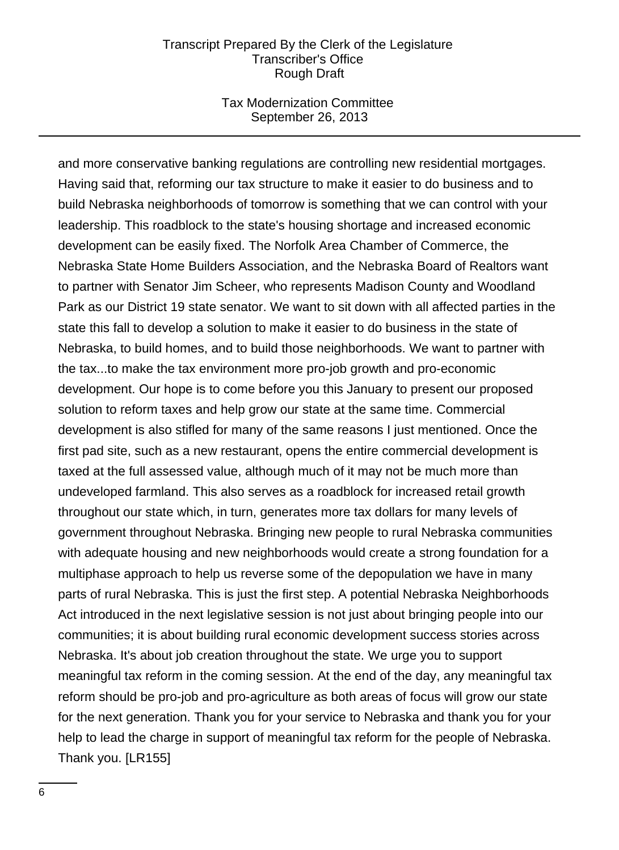#### Tax Modernization Committee September 26, 2013

and more conservative banking regulations are controlling new residential mortgages. Having said that, reforming our tax structure to make it easier to do business and to build Nebraska neighborhoods of tomorrow is something that we can control with your leadership. This roadblock to the state's housing shortage and increased economic development can be easily fixed. The Norfolk Area Chamber of Commerce, the Nebraska State Home Builders Association, and the Nebraska Board of Realtors want to partner with Senator Jim Scheer, who represents Madison County and Woodland Park as our District 19 state senator. We want to sit down with all affected parties in the state this fall to develop a solution to make it easier to do business in the state of Nebraska, to build homes, and to build those neighborhoods. We want to partner with the tax...to make the tax environment more pro-job growth and pro-economic development. Our hope is to come before you this January to present our proposed solution to reform taxes and help grow our state at the same time. Commercial development is also stifled for many of the same reasons I just mentioned. Once the first pad site, such as a new restaurant, opens the entire commercial development is taxed at the full assessed value, although much of it may not be much more than undeveloped farmland. This also serves as a roadblock for increased retail growth throughout our state which, in turn, generates more tax dollars for many levels of government throughout Nebraska. Bringing new people to rural Nebraska communities with adequate housing and new neighborhoods would create a strong foundation for a multiphase approach to help us reverse some of the depopulation we have in many parts of rural Nebraska. This is just the first step. A potential Nebraska Neighborhoods Act introduced in the next legislative session is not just about bringing people into our communities; it is about building rural economic development success stories across Nebraska. It's about job creation throughout the state. We urge you to support meaningful tax reform in the coming session. At the end of the day, any meaningful tax reform should be pro-job and pro-agriculture as both areas of focus will grow our state for the next generation. Thank you for your service to Nebraska and thank you for your help to lead the charge in support of meaningful tax reform for the people of Nebraska. Thank you. [LR155]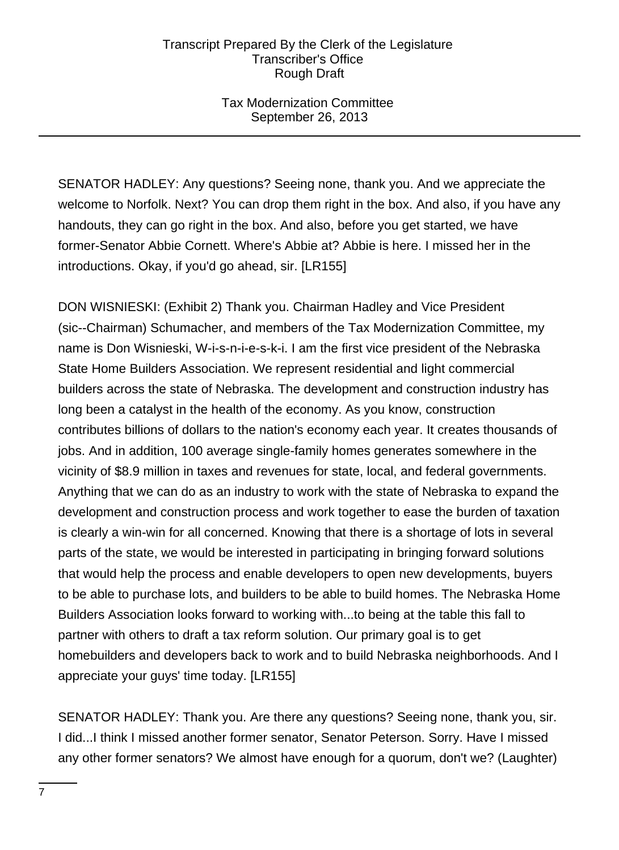## Tax Modernization Committee September 26, 2013

SENATOR HADLEY: Any questions? Seeing none, thank you. And we appreciate the welcome to Norfolk. Next? You can drop them right in the box. And also, if you have any handouts, they can go right in the box. And also, before you get started, we have former-Senator Abbie Cornett. Where's Abbie at? Abbie is here. I missed her in the introductions. Okay, if you'd go ahead, sir. [LR155]

DON WISNIESKI: (Exhibit 2) Thank you. Chairman Hadley and Vice President (sic--Chairman) Schumacher, and members of the Tax Modernization Committee, my name is Don Wisnieski, W-i-s-n-i-e-s-k-i. I am the first vice president of the Nebraska State Home Builders Association. We represent residential and light commercial builders across the state of Nebraska. The development and construction industry has long been a catalyst in the health of the economy. As you know, construction contributes billions of dollars to the nation's economy each year. It creates thousands of jobs. And in addition, 100 average single-family homes generates somewhere in the vicinity of \$8.9 million in taxes and revenues for state, local, and federal governments. Anything that we can do as an industry to work with the state of Nebraska to expand the development and construction process and work together to ease the burden of taxation is clearly a win-win for all concerned. Knowing that there is a shortage of lots in several parts of the state, we would be interested in participating in bringing forward solutions that would help the process and enable developers to open new developments, buyers to be able to purchase lots, and builders to be able to build homes. The Nebraska Home Builders Association looks forward to working with...to being at the table this fall to partner with others to draft a tax reform solution. Our primary goal is to get homebuilders and developers back to work and to build Nebraska neighborhoods. And I appreciate your guys' time today. [LR155]

SENATOR HADLEY: Thank you. Are there any questions? Seeing none, thank you, sir. I did...I think I missed another former senator, Senator Peterson. Sorry. Have I missed any other former senators? We almost have enough for a quorum, don't we? (Laughter)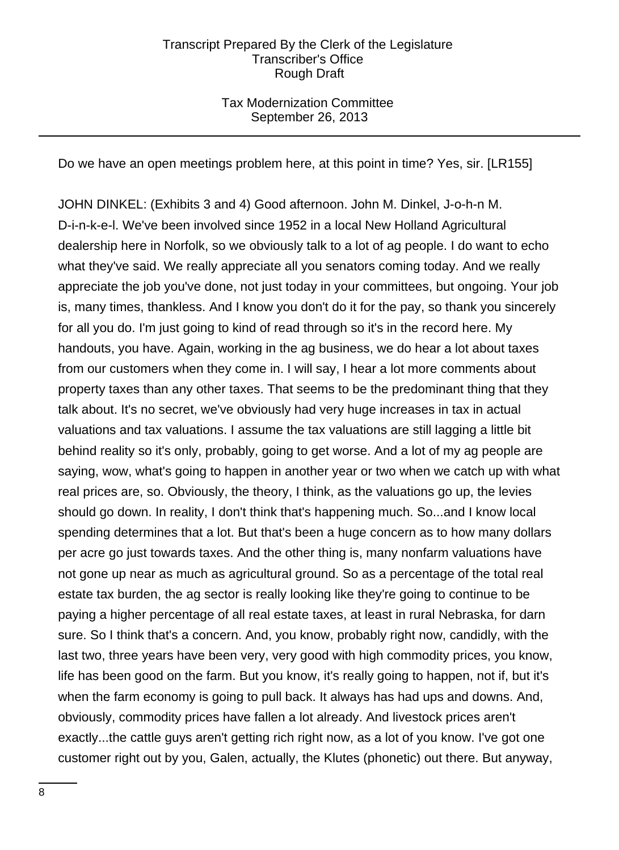## Tax Modernization Committee September 26, 2013

Do we have an open meetings problem here, at this point in time? Yes, sir. [LR155]

JOHN DINKEL: (Exhibits 3 and 4) Good afternoon. John M. Dinkel, J-o-h-n M. D-i-n-k-e-l. We've been involved since 1952 in a local New Holland Agricultural dealership here in Norfolk, so we obviously talk to a lot of ag people. I do want to echo what they've said. We really appreciate all you senators coming today. And we really appreciate the job you've done, not just today in your committees, but ongoing. Your job is, many times, thankless. And I know you don't do it for the pay, so thank you sincerely for all you do. I'm just going to kind of read through so it's in the record here. My handouts, you have. Again, working in the ag business, we do hear a lot about taxes from our customers when they come in. I will say, I hear a lot more comments about property taxes than any other taxes. That seems to be the predominant thing that they talk about. It's no secret, we've obviously had very huge increases in tax in actual valuations and tax valuations. I assume the tax valuations are still lagging a little bit behind reality so it's only, probably, going to get worse. And a lot of my ag people are saying, wow, what's going to happen in another year or two when we catch up with what real prices are, so. Obviously, the theory, I think, as the valuations go up, the levies should go down. In reality, I don't think that's happening much. So...and I know local spending determines that a lot. But that's been a huge concern as to how many dollars per acre go just towards taxes. And the other thing is, many nonfarm valuations have not gone up near as much as agricultural ground. So as a percentage of the total real estate tax burden, the ag sector is really looking like they're going to continue to be paying a higher percentage of all real estate taxes, at least in rural Nebraska, for darn sure. So I think that's a concern. And, you know, probably right now, candidly, with the last two, three years have been very, very good with high commodity prices, you know, life has been good on the farm. But you know, it's really going to happen, not if, but it's when the farm economy is going to pull back. It always has had ups and downs. And, obviously, commodity prices have fallen a lot already. And livestock prices aren't exactly...the cattle guys aren't getting rich right now, as a lot of you know. I've got one customer right out by you, Galen, actually, the Klutes (phonetic) out there. But anyway,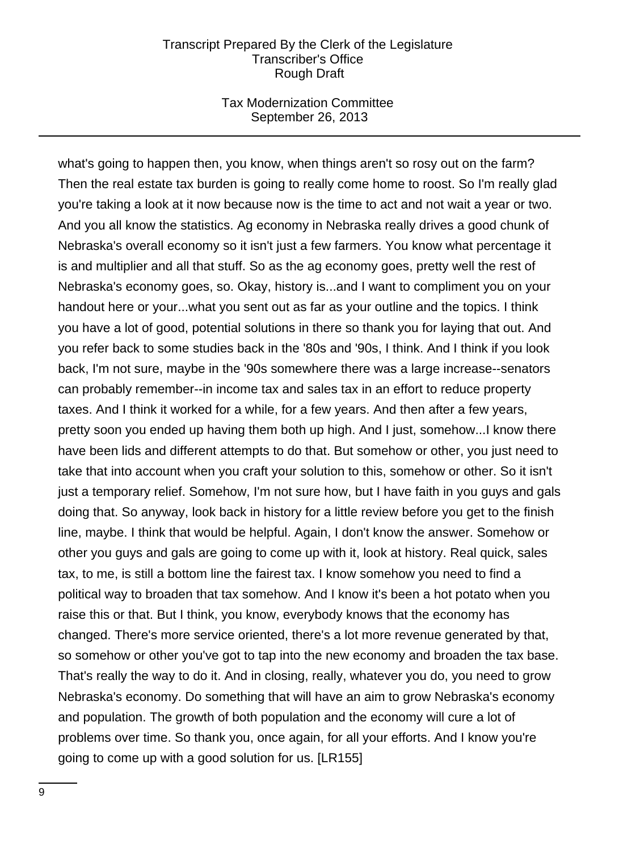## Tax Modernization Committee September 26, 2013

what's going to happen then, you know, when things aren't so rosy out on the farm? Then the real estate tax burden is going to really come home to roost. So I'm really glad you're taking a look at it now because now is the time to act and not wait a year or two. And you all know the statistics. Ag economy in Nebraska really drives a good chunk of Nebraska's overall economy so it isn't just a few farmers. You know what percentage it is and multiplier and all that stuff. So as the ag economy goes, pretty well the rest of Nebraska's economy goes, so. Okay, history is...and I want to compliment you on your handout here or your...what you sent out as far as your outline and the topics. I think you have a lot of good, potential solutions in there so thank you for laying that out. And you refer back to some studies back in the '80s and '90s, I think. And I think if you look back, I'm not sure, maybe in the '90s somewhere there was a large increase--senators can probably remember--in income tax and sales tax in an effort to reduce property taxes. And I think it worked for a while, for a few years. And then after a few years, pretty soon you ended up having them both up high. And I just, somehow...I know there have been lids and different attempts to do that. But somehow or other, you just need to take that into account when you craft your solution to this, somehow or other. So it isn't just a temporary relief. Somehow, I'm not sure how, but I have faith in you guys and gals doing that. So anyway, look back in history for a little review before you get to the finish line, maybe. I think that would be helpful. Again, I don't know the answer. Somehow or other you guys and gals are going to come up with it, look at history. Real quick, sales tax, to me, is still a bottom line the fairest tax. I know somehow you need to find a political way to broaden that tax somehow. And I know it's been a hot potato when you raise this or that. But I think, you know, everybody knows that the economy has changed. There's more service oriented, there's a lot more revenue generated by that, so somehow or other you've got to tap into the new economy and broaden the tax base. That's really the way to do it. And in closing, really, whatever you do, you need to grow Nebraska's economy. Do something that will have an aim to grow Nebraska's economy and population. The growth of both population and the economy will cure a lot of problems over time. So thank you, once again, for all your efforts. And I know you're going to come up with a good solution for us. [LR155]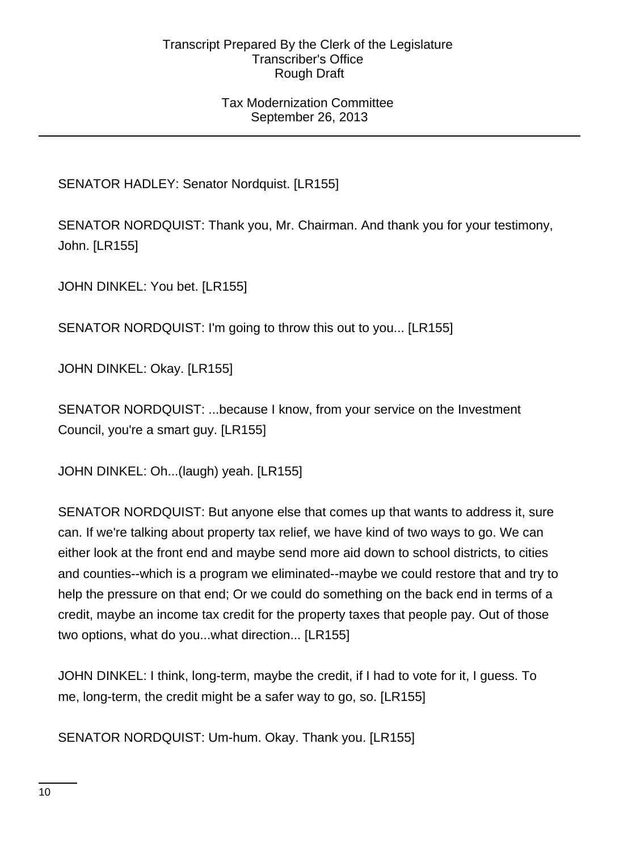## Tax Modernization Committee September 26, 2013

# SENATOR HADLEY: Senator Nordquist. [LR155]

SENATOR NORDQUIST: Thank you, Mr. Chairman. And thank you for your testimony, John. [LR155]

JOHN DINKEL: You bet. [LR155]

SENATOR NORDQUIST: I'm going to throw this out to you... [LR155]

JOHN DINKEL: Okay. [LR155]

SENATOR NORDQUIST: ...because I know, from your service on the Investment Council, you're a smart guy. [LR155]

JOHN DINKEL: Oh...(laugh) yeah. [LR155]

SENATOR NORDQUIST: But anyone else that comes up that wants to address it, sure can. If we're talking about property tax relief, we have kind of two ways to go. We can either look at the front end and maybe send more aid down to school districts, to cities and counties--which is a program we eliminated--maybe we could restore that and try to help the pressure on that end; Or we could do something on the back end in terms of a credit, maybe an income tax credit for the property taxes that people pay. Out of those two options, what do you...what direction... [LR155]

JOHN DINKEL: I think, long-term, maybe the credit, if I had to vote for it, I guess. To me, long-term, the credit might be a safer way to go, so. [LR155]

SENATOR NORDQUIST: Um-hum. Okay. Thank you. [LR155]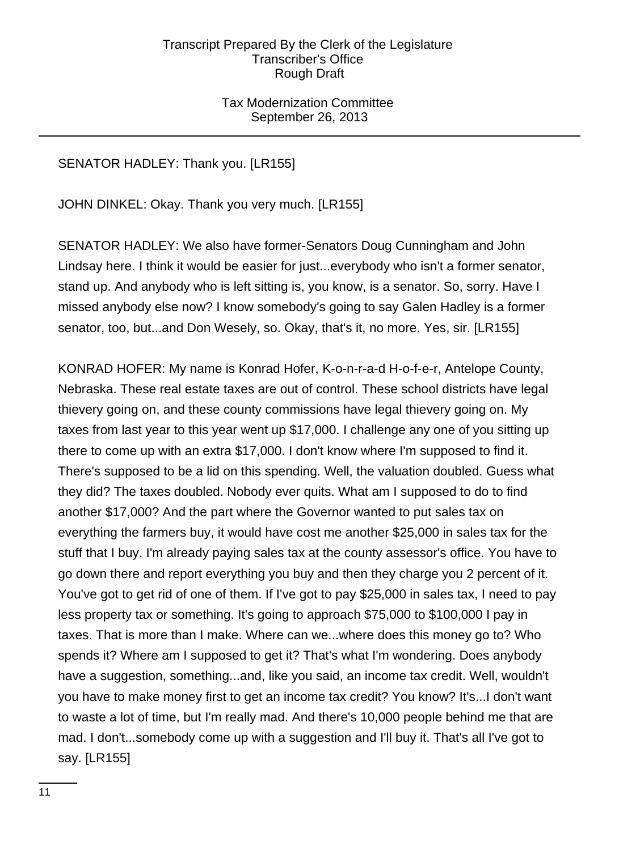## Tax Modernization Committee September 26, 2013

# SENATOR HADLEY: Thank you. [LR155]

JOHN DINKEL: Okay. Thank you very much. [LR155]

SENATOR HADLEY: We also have former-Senators Doug Cunningham and John Lindsay here. I think it would be easier for just...everybody who isn't a former senator, stand up. And anybody who is left sitting is, you know, is a senator. So, sorry. Have I missed anybody else now? I know somebody's going to say Galen Hadley is a former senator, too, but...and Don Wesely, so. Okay, that's it, no more. Yes, sir. [LR155]

KONRAD HOFER: My name is Konrad Hofer, K-o-n-r-a-d H-o-f-e-r, Antelope County, Nebraska. These real estate taxes are out of control. These school districts have legal thievery going on, and these county commissions have legal thievery going on. My taxes from last year to this year went up \$17,000. I challenge any one of you sitting up there to come up with an extra \$17,000. I don't know where I'm supposed to find it. There's supposed to be a lid on this spending. Well, the valuation doubled. Guess what they did? The taxes doubled. Nobody ever quits. What am I supposed to do to find another \$17,000? And the part where the Governor wanted to put sales tax on everything the farmers buy, it would have cost me another \$25,000 in sales tax for the stuff that I buy. I'm already paying sales tax at the county assessor's office. You have to go down there and report everything you buy and then they charge you 2 percent of it. You've got to get rid of one of them. If I've got to pay \$25,000 in sales tax, I need to pay less property tax or something. It's going to approach \$75,000 to \$100,000 I pay in taxes. That is more than I make. Where can we...where does this money go to? Who spends it? Where am I supposed to get it? That's what I'm wondering. Does anybody have a suggestion, something...and, like you said, an income tax credit. Well, wouldn't you have to make money first to get an income tax credit? You know? It's...I don't want to waste a lot of time, but I'm really mad. And there's 10,000 people behind me that are mad. I don't...somebody come up with a suggestion and I'll buy it. That's all I've got to say. [LR155]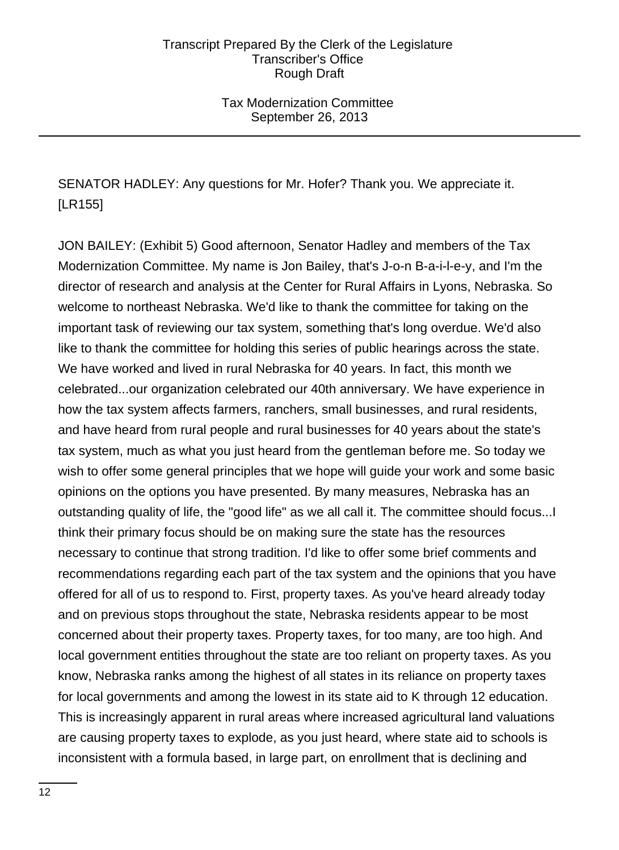Tax Modernization Committee September 26, 2013

SENATOR HADLEY: Any questions for Mr. Hofer? Thank you. We appreciate it. [LR155]

JON BAILEY: (Exhibit 5) Good afternoon, Senator Hadley and members of the Tax Modernization Committee. My name is Jon Bailey, that's J-o-n B-a-i-l-e-y, and I'm the director of research and analysis at the Center for Rural Affairs in Lyons, Nebraska. So welcome to northeast Nebraska. We'd like to thank the committee for taking on the important task of reviewing our tax system, something that's long overdue. We'd also like to thank the committee for holding this series of public hearings across the state. We have worked and lived in rural Nebraska for 40 years. In fact, this month we celebrated...our organization celebrated our 40th anniversary. We have experience in how the tax system affects farmers, ranchers, small businesses, and rural residents, and have heard from rural people and rural businesses for 40 years about the state's tax system, much as what you just heard from the gentleman before me. So today we wish to offer some general principles that we hope will guide your work and some basic opinions on the options you have presented. By many measures, Nebraska has an outstanding quality of life, the "good life" as we all call it. The committee should focus...I think their primary focus should be on making sure the state has the resources necessary to continue that strong tradition. I'd like to offer some brief comments and recommendations regarding each part of the tax system and the opinions that you have offered for all of us to respond to. First, property taxes. As you've heard already today and on previous stops throughout the state, Nebraska residents appear to be most concerned about their property taxes. Property taxes, for too many, are too high. And local government entities throughout the state are too reliant on property taxes. As you know, Nebraska ranks among the highest of all states in its reliance on property taxes for local governments and among the lowest in its state aid to K through 12 education. This is increasingly apparent in rural areas where increased agricultural land valuations are causing property taxes to explode, as you just heard, where state aid to schools is inconsistent with a formula based, in large part, on enrollment that is declining and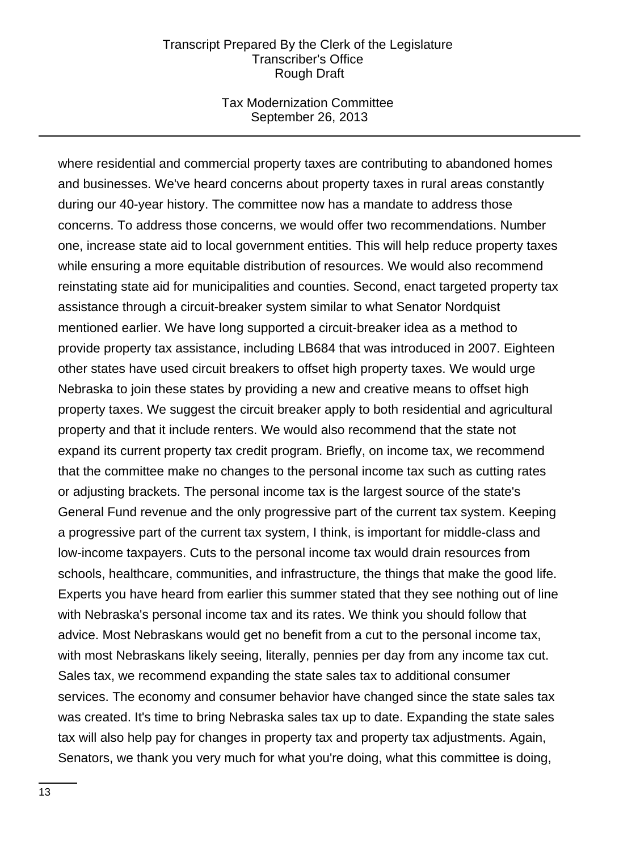#### Tax Modernization Committee September 26, 2013

where residential and commercial property taxes are contributing to abandoned homes and businesses. We've heard concerns about property taxes in rural areas constantly during our 40-year history. The committee now has a mandate to address those concerns. To address those concerns, we would offer two recommendations. Number one, increase state aid to local government entities. This will help reduce property taxes while ensuring a more equitable distribution of resources. We would also recommend reinstating state aid for municipalities and counties. Second, enact targeted property tax assistance through a circuit-breaker system similar to what Senator Nordquist mentioned earlier. We have long supported a circuit-breaker idea as a method to provide property tax assistance, including LB684 that was introduced in 2007. Eighteen other states have used circuit breakers to offset high property taxes. We would urge Nebraska to join these states by providing a new and creative means to offset high property taxes. We suggest the circuit breaker apply to both residential and agricultural property and that it include renters. We would also recommend that the state not expand its current property tax credit program. Briefly, on income tax, we recommend that the committee make no changes to the personal income tax such as cutting rates or adjusting brackets. The personal income tax is the largest source of the state's General Fund revenue and the only progressive part of the current tax system. Keeping a progressive part of the current tax system, I think, is important for middle-class and low-income taxpayers. Cuts to the personal income tax would drain resources from schools, healthcare, communities, and infrastructure, the things that make the good life. Experts you have heard from earlier this summer stated that they see nothing out of line with Nebraska's personal income tax and its rates. We think you should follow that advice. Most Nebraskans would get no benefit from a cut to the personal income tax, with most Nebraskans likely seeing, literally, pennies per day from any income tax cut. Sales tax, we recommend expanding the state sales tax to additional consumer services. The economy and consumer behavior have changed since the state sales tax was created. It's time to bring Nebraska sales tax up to date. Expanding the state sales tax will also help pay for changes in property tax and property tax adjustments. Again, Senators, we thank you very much for what you're doing, what this committee is doing,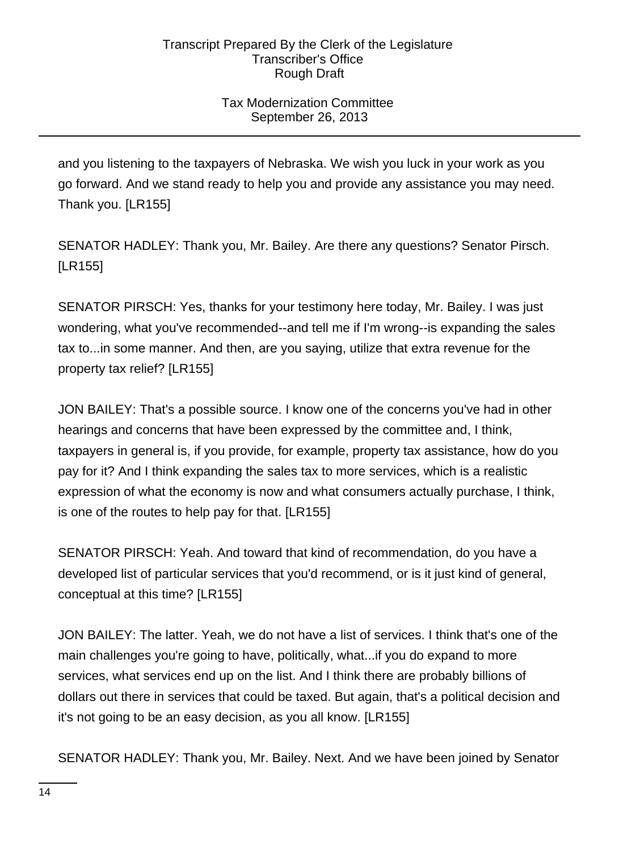# Tax Modernization Committee September 26, 2013

and you listening to the taxpayers of Nebraska. We wish you luck in your work as you go forward. And we stand ready to help you and provide any assistance you may need. Thank you. [LR155]

SENATOR HADLEY: Thank you, Mr. Bailey. Are there any questions? Senator Pirsch. [LR155]

SENATOR PIRSCH: Yes, thanks for your testimony here today, Mr. Bailey. I was just wondering, what you've recommended--and tell me if I'm wrong--is expanding the sales tax to...in some manner. And then, are you saying, utilize that extra revenue for the property tax relief? [LR155]

JON BAILEY: That's a possible source. I know one of the concerns you've had in other hearings and concerns that have been expressed by the committee and, I think, taxpayers in general is, if you provide, for example, property tax assistance, how do you pay for it? And I think expanding the sales tax to more services, which is a realistic expression of what the economy is now and what consumers actually purchase, I think, is one of the routes to help pay for that. [LR155]

SENATOR PIRSCH: Yeah. And toward that kind of recommendation, do you have a developed list of particular services that you'd recommend, or is it just kind of general, conceptual at this time? [LR155]

JON BAILEY: The latter. Yeah, we do not have a list of services. I think that's one of the main challenges you're going to have, politically, what...if you do expand to more services, what services end up on the list. And I think there are probably billions of dollars out there in services that could be taxed. But again, that's a political decision and it's not going to be an easy decision, as you all know. [LR155]

SENATOR HADLEY: Thank you, Mr. Bailey. Next. And we have been joined by Senator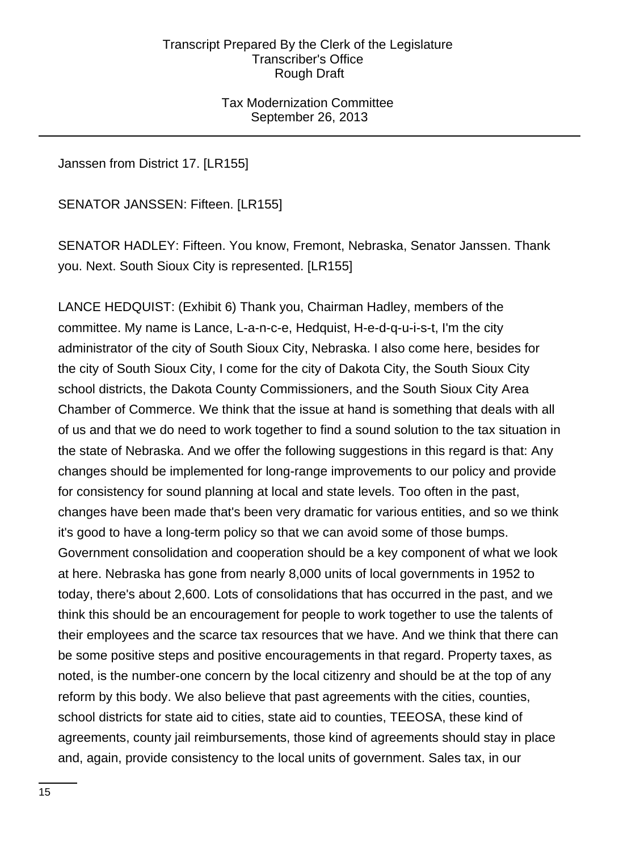Tax Modernization Committee September 26, 2013

Janssen from District 17. [LR155]

SENATOR JANSSEN: Fifteen. [LR155]

SENATOR HADLEY: Fifteen. You know, Fremont, Nebraska, Senator Janssen. Thank you. Next. South Sioux City is represented. [LR155]

LANCE HEDQUIST: (Exhibit 6) Thank you, Chairman Hadley, members of the committee. My name is Lance, L-a-n-c-e, Hedquist, H-e-d-q-u-i-s-t, I'm the city administrator of the city of South Sioux City, Nebraska. I also come here, besides for the city of South Sioux City, I come for the city of Dakota City, the South Sioux City school districts, the Dakota County Commissioners, and the South Sioux City Area Chamber of Commerce. We think that the issue at hand is something that deals with all of us and that we do need to work together to find a sound solution to the tax situation in the state of Nebraska. And we offer the following suggestions in this regard is that: Any changes should be implemented for long-range improvements to our policy and provide for consistency for sound planning at local and state levels. Too often in the past, changes have been made that's been very dramatic for various entities, and so we think it's good to have a long-term policy so that we can avoid some of those bumps. Government consolidation and cooperation should be a key component of what we look at here. Nebraska has gone from nearly 8,000 units of local governments in 1952 to today, there's about 2,600. Lots of consolidations that has occurred in the past, and we think this should be an encouragement for people to work together to use the talents of their employees and the scarce tax resources that we have. And we think that there can be some positive steps and positive encouragements in that regard. Property taxes, as noted, is the number-one concern by the local citizenry and should be at the top of any reform by this body. We also believe that past agreements with the cities, counties, school districts for state aid to cities, state aid to counties, TEEOSA, these kind of agreements, county jail reimbursements, those kind of agreements should stay in place and, again, provide consistency to the local units of government. Sales tax, in our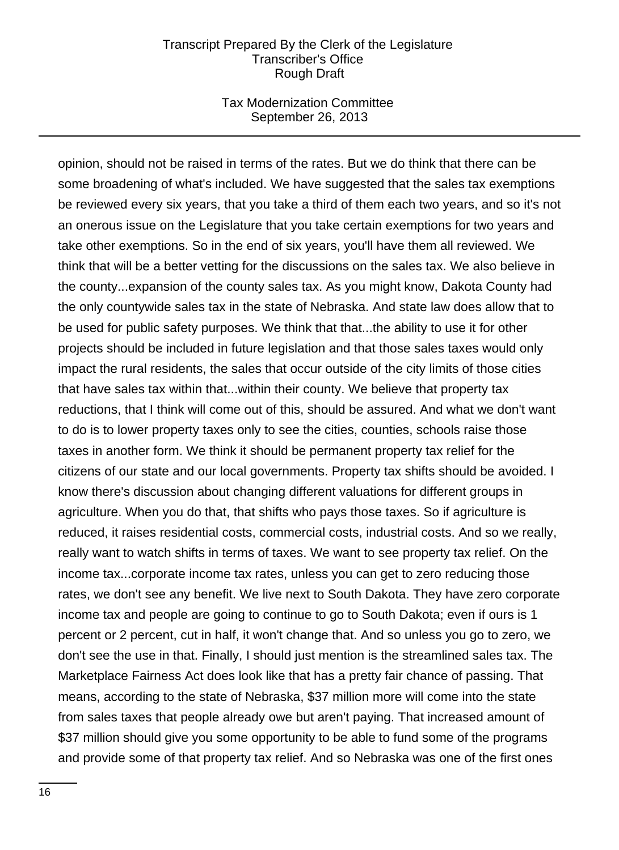## Tax Modernization Committee September 26, 2013

opinion, should not be raised in terms of the rates. But we do think that there can be some broadening of what's included. We have suggested that the sales tax exemptions be reviewed every six years, that you take a third of them each two years, and so it's not an onerous issue on the Legislature that you take certain exemptions for two years and take other exemptions. So in the end of six years, you'll have them all reviewed. We think that will be a better vetting for the discussions on the sales tax. We also believe in the county...expansion of the county sales tax. As you might know, Dakota County had the only countywide sales tax in the state of Nebraska. And state law does allow that to be used for public safety purposes. We think that that...the ability to use it for other projects should be included in future legislation and that those sales taxes would only impact the rural residents, the sales that occur outside of the city limits of those cities that have sales tax within that...within their county. We believe that property tax reductions, that I think will come out of this, should be assured. And what we don't want to do is to lower property taxes only to see the cities, counties, schools raise those taxes in another form. We think it should be permanent property tax relief for the citizens of our state and our local governments. Property tax shifts should be avoided. I know there's discussion about changing different valuations for different groups in agriculture. When you do that, that shifts who pays those taxes. So if agriculture is reduced, it raises residential costs, commercial costs, industrial costs. And so we really, really want to watch shifts in terms of taxes. We want to see property tax relief. On the income tax...corporate income tax rates, unless you can get to zero reducing those rates, we don't see any benefit. We live next to South Dakota. They have zero corporate income tax and people are going to continue to go to South Dakota; even if ours is 1 percent or 2 percent, cut in half, it won't change that. And so unless you go to zero, we don't see the use in that. Finally, I should just mention is the streamlined sales tax. The Marketplace Fairness Act does look like that has a pretty fair chance of passing. That means, according to the state of Nebraska, \$37 million more will come into the state from sales taxes that people already owe but aren't paying. That increased amount of \$37 million should give you some opportunity to be able to fund some of the programs and provide some of that property tax relief. And so Nebraska was one of the first ones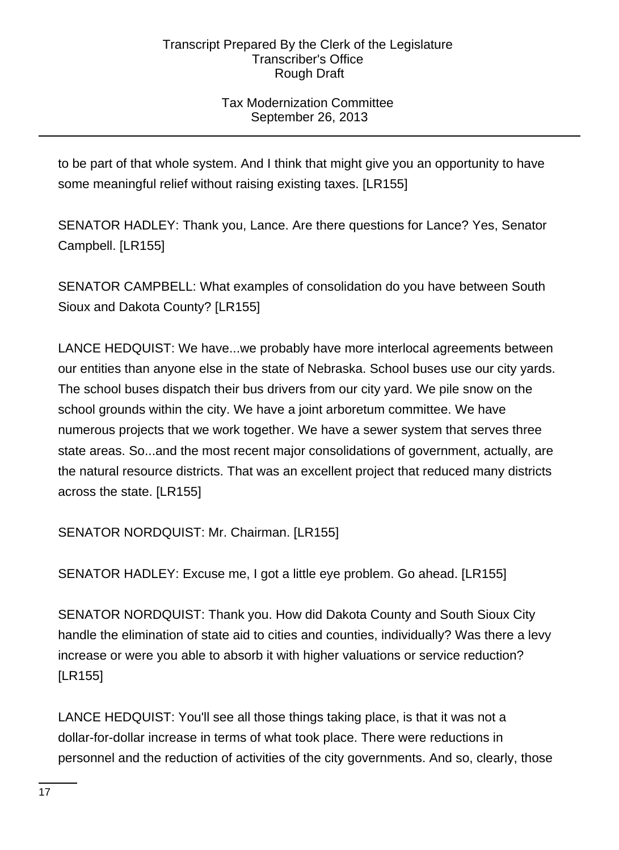# Tax Modernization Committee September 26, 2013

to be part of that whole system. And I think that might give you an opportunity to have some meaningful relief without raising existing taxes. [LR155]

SENATOR HADLEY: Thank you, Lance. Are there questions for Lance? Yes, Senator Campbell. [LR155]

SENATOR CAMPBELL: What examples of consolidation do you have between South Sioux and Dakota County? [LR155]

LANCE HEDQUIST: We have...we probably have more interlocal agreements between our entities than anyone else in the state of Nebraska. School buses use our city yards. The school buses dispatch their bus drivers from our city yard. We pile snow on the school grounds within the city. We have a joint arboretum committee. We have numerous projects that we work together. We have a sewer system that serves three state areas. So...and the most recent major consolidations of government, actually, are the natural resource districts. That was an excellent project that reduced many districts across the state. [LR155]

SENATOR NORDQUIST: Mr. Chairman. [LR155]

SENATOR HADLEY: Excuse me, I got a little eye problem. Go ahead. [LR155]

SENATOR NORDQUIST: Thank you. How did Dakota County and South Sioux City handle the elimination of state aid to cities and counties, individually? Was there a levy increase or were you able to absorb it with higher valuations or service reduction? [LR155]

LANCE HEDQUIST: You'll see all those things taking place, is that it was not a dollar-for-dollar increase in terms of what took place. There were reductions in personnel and the reduction of activities of the city governments. And so, clearly, those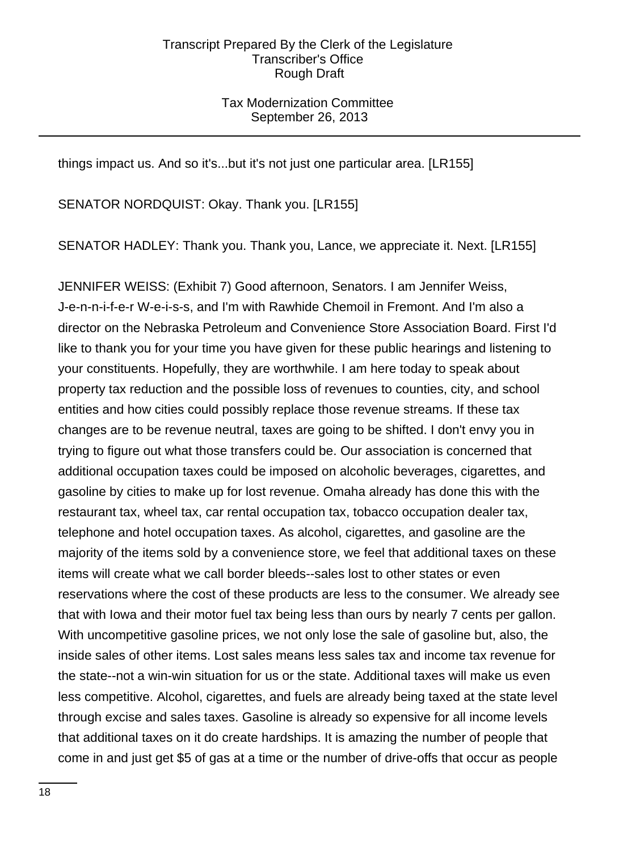## Tax Modernization Committee September 26, 2013

things impact us. And so it's...but it's not just one particular area. [LR155]

SENATOR NORDQUIST: Okay. Thank you. [LR155]

SENATOR HADLEY: Thank you. Thank you, Lance, we appreciate it. Next. [LR155]

JENNIFER WEISS: (Exhibit 7) Good afternoon, Senators. I am Jennifer Weiss, J-e-n-n-i-f-e-r W-e-i-s-s, and I'm with Rawhide Chemoil in Fremont. And I'm also a director on the Nebraska Petroleum and Convenience Store Association Board. First I'd like to thank you for your time you have given for these public hearings and listening to your constituents. Hopefully, they are worthwhile. I am here today to speak about property tax reduction and the possible loss of revenues to counties, city, and school entities and how cities could possibly replace those revenue streams. If these tax changes are to be revenue neutral, taxes are going to be shifted. I don't envy you in trying to figure out what those transfers could be. Our association is concerned that additional occupation taxes could be imposed on alcoholic beverages, cigarettes, and gasoline by cities to make up for lost revenue. Omaha already has done this with the restaurant tax, wheel tax, car rental occupation tax, tobacco occupation dealer tax, telephone and hotel occupation taxes. As alcohol, cigarettes, and gasoline are the majority of the items sold by a convenience store, we feel that additional taxes on these items will create what we call border bleeds--sales lost to other states or even reservations where the cost of these products are less to the consumer. We already see that with Iowa and their motor fuel tax being less than ours by nearly 7 cents per gallon. With uncompetitive gasoline prices, we not only lose the sale of gasoline but, also, the inside sales of other items. Lost sales means less sales tax and income tax revenue for the state--not a win-win situation for us or the state. Additional taxes will make us even less competitive. Alcohol, cigarettes, and fuels are already being taxed at the state level through excise and sales taxes. Gasoline is already so expensive for all income levels that additional taxes on it do create hardships. It is amazing the number of people that come in and just get \$5 of gas at a time or the number of drive-offs that occur as people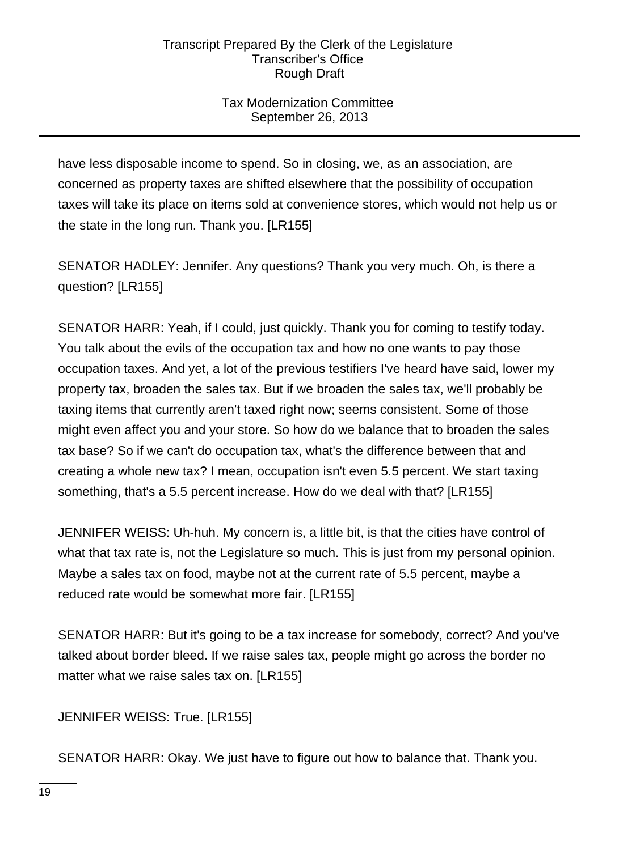# Tax Modernization Committee September 26, 2013

have less disposable income to spend. So in closing, we, as an association, are concerned as property taxes are shifted elsewhere that the possibility of occupation taxes will take its place on items sold at convenience stores, which would not help us or the state in the long run. Thank you. [LR155]

SENATOR HADLEY: Jennifer. Any questions? Thank you very much. Oh, is there a question? [LR155]

SENATOR HARR: Yeah, if I could, just quickly. Thank you for coming to testify today. You talk about the evils of the occupation tax and how no one wants to pay those occupation taxes. And yet, a lot of the previous testifiers I've heard have said, lower my property tax, broaden the sales tax. But if we broaden the sales tax, we'll probably be taxing items that currently aren't taxed right now; seems consistent. Some of those might even affect you and your store. So how do we balance that to broaden the sales tax base? So if we can't do occupation tax, what's the difference between that and creating a whole new tax? I mean, occupation isn't even 5.5 percent. We start taxing something, that's a 5.5 percent increase. How do we deal with that? [LR155]

JENNIFER WEISS: Uh-huh. My concern is, a little bit, is that the cities have control of what that tax rate is, not the Legislature so much. This is just from my personal opinion. Maybe a sales tax on food, maybe not at the current rate of 5.5 percent, maybe a reduced rate would be somewhat more fair. [LR155]

SENATOR HARR: But it's going to be a tax increase for somebody, correct? And you've talked about border bleed. If we raise sales tax, people might go across the border no matter what we raise sales tax on. [LR155]

JENNIFER WEISS: True. [LR155]

SENATOR HARR: Okay. We just have to figure out how to balance that. Thank you.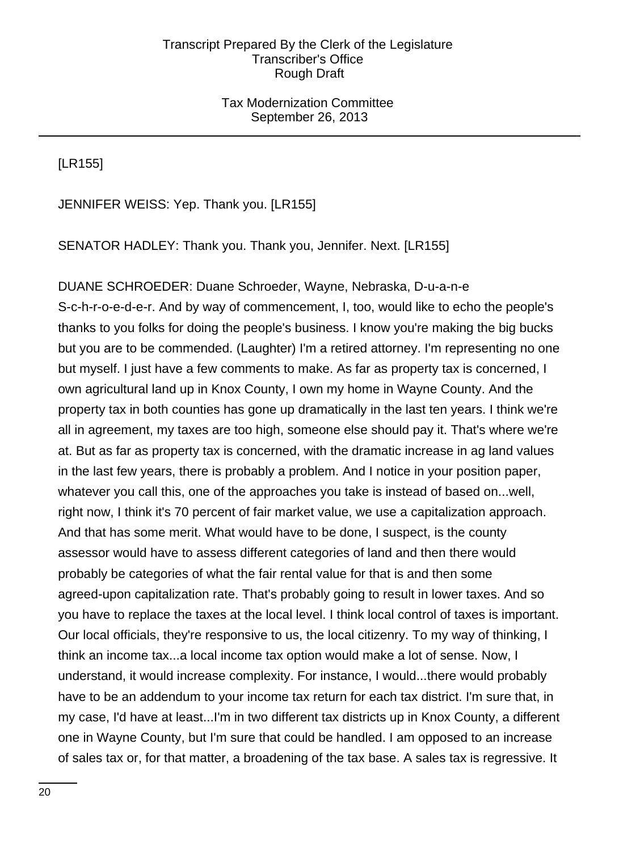## Tax Modernization Committee September 26, 2013

[LR155]

JENNIFER WEISS: Yep. Thank you. [LR155]

SENATOR HADLEY: Thank you. Thank you, Jennifer. Next. [LR155]

DUANE SCHROEDER: Duane Schroeder, Wayne, Nebraska, D-u-a-n-e S-c-h-r-o-e-d-e-r. And by way of commencement, I, too, would like to echo the people's thanks to you folks for doing the people's business. I know you're making the big bucks but you are to be commended. (Laughter) I'm a retired attorney. I'm representing no one but myself. I just have a few comments to make. As far as property tax is concerned, I own agricultural land up in Knox County, I own my home in Wayne County. And the property tax in both counties has gone up dramatically in the last ten years. I think we're all in agreement, my taxes are too high, someone else should pay it. That's where we're at. But as far as property tax is concerned, with the dramatic increase in ag land values in the last few years, there is probably a problem. And I notice in your position paper, whatever you call this, one of the approaches you take is instead of based on...well, right now, I think it's 70 percent of fair market value, we use a capitalization approach. And that has some merit. What would have to be done, I suspect, is the county assessor would have to assess different categories of land and then there would probably be categories of what the fair rental value for that is and then some agreed-upon capitalization rate. That's probably going to result in lower taxes. And so you have to replace the taxes at the local level. I think local control of taxes is important. Our local officials, they're responsive to us, the local citizenry. To my way of thinking, I think an income tax...a local income tax option would make a lot of sense. Now, I understand, it would increase complexity. For instance, I would...there would probably have to be an addendum to your income tax return for each tax district. I'm sure that, in my case, I'd have at least...I'm in two different tax districts up in Knox County, a different one in Wayne County, but I'm sure that could be handled. I am opposed to an increase of sales tax or, for that matter, a broadening of the tax base. A sales tax is regressive. It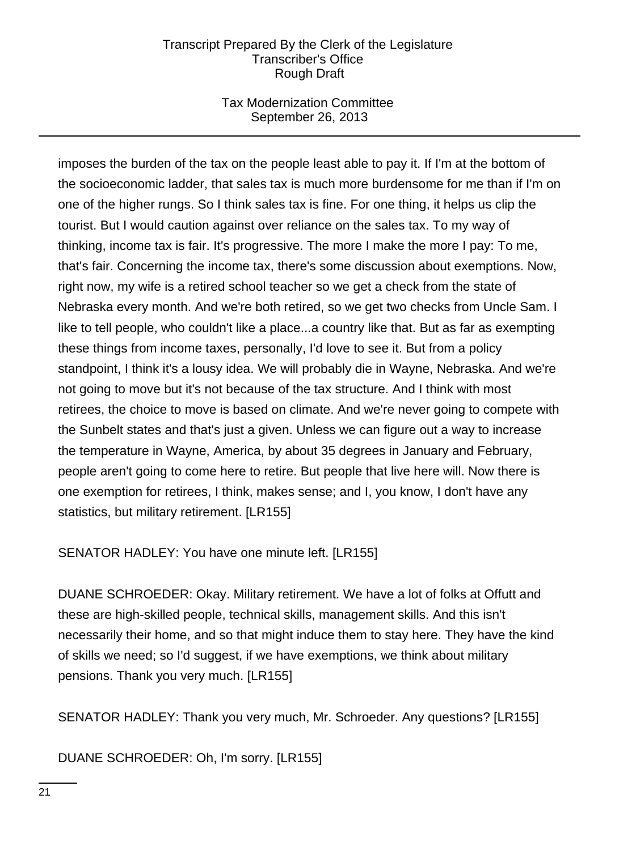## Tax Modernization Committee September 26, 2013

imposes the burden of the tax on the people least able to pay it. If I'm at the bottom of the socioeconomic ladder, that sales tax is much more burdensome for me than if I'm on one of the higher rungs. So I think sales tax is fine. For one thing, it helps us clip the tourist. But I would caution against over reliance on the sales tax. To my way of thinking, income tax is fair. It's progressive. The more I make the more I pay: To me, that's fair. Concerning the income tax, there's some discussion about exemptions. Now, right now, my wife is a retired school teacher so we get a check from the state of Nebraska every month. And we're both retired, so we get two checks from Uncle Sam. I like to tell people, who couldn't like a place...a country like that. But as far as exempting these things from income taxes, personally, I'd love to see it. But from a policy standpoint, I think it's a lousy idea. We will probably die in Wayne, Nebraska. And we're not going to move but it's not because of the tax structure. And I think with most retirees, the choice to move is based on climate. And we're never going to compete with the Sunbelt states and that's just a given. Unless we can figure out a way to increase the temperature in Wayne, America, by about 35 degrees in January and February, people aren't going to come here to retire. But people that live here will. Now there is one exemption for retirees, I think, makes sense; and I, you know, I don't have any statistics, but military retirement. [LR155]

SENATOR HADLEY: You have one minute left. [LR155]

DUANE SCHROEDER: Okay. Military retirement. We have a lot of folks at Offutt and these are high-skilled people, technical skills, management skills. And this isn't necessarily their home, and so that might induce them to stay here. They have the kind of skills we need; so I'd suggest, if we have exemptions, we think about military pensions. Thank you very much. [LR155]

SENATOR HADLEY: Thank you very much, Mr. Schroeder. Any questions? [LR155]

DUANE SCHROEDER: Oh, I'm sorry. [LR155]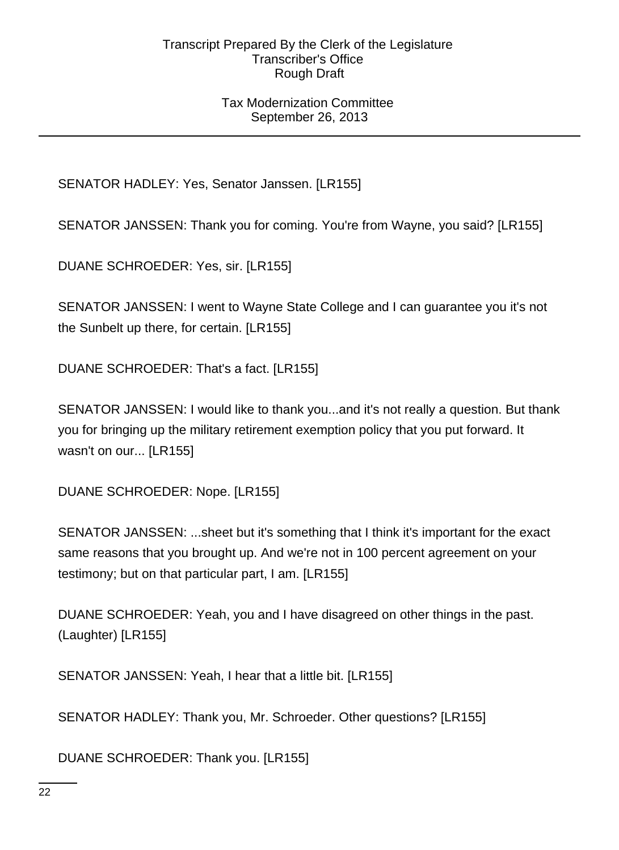## Tax Modernization Committee September 26, 2013

SENATOR HADLEY: Yes, Senator Janssen. [LR155]

SENATOR JANSSEN: Thank you for coming. You're from Wayne, you said? [LR155]

DUANE SCHROEDER: Yes, sir. [LR155]

SENATOR JANSSEN: I went to Wayne State College and I can guarantee you it's not the Sunbelt up there, for certain. [LR155]

DUANE SCHROEDER: That's a fact. [LR155]

SENATOR JANSSEN: I would like to thank you...and it's not really a question. But thank you for bringing up the military retirement exemption policy that you put forward. It wasn't on our... [LR155]

DUANE SCHROEDER: Nope. [LR155]

SENATOR JANSSEN: ...sheet but it's something that I think it's important for the exact same reasons that you brought up. And we're not in 100 percent agreement on your testimony; but on that particular part, I am. [LR155]

DUANE SCHROEDER: Yeah, you and I have disagreed on other things in the past. (Laughter) [LR155]

SENATOR JANSSEN: Yeah, I hear that a little bit. [LR155]

SENATOR HADLEY: Thank you, Mr. Schroeder. Other questions? [LR155]

DUANE SCHROEDER: Thank you. [LR155]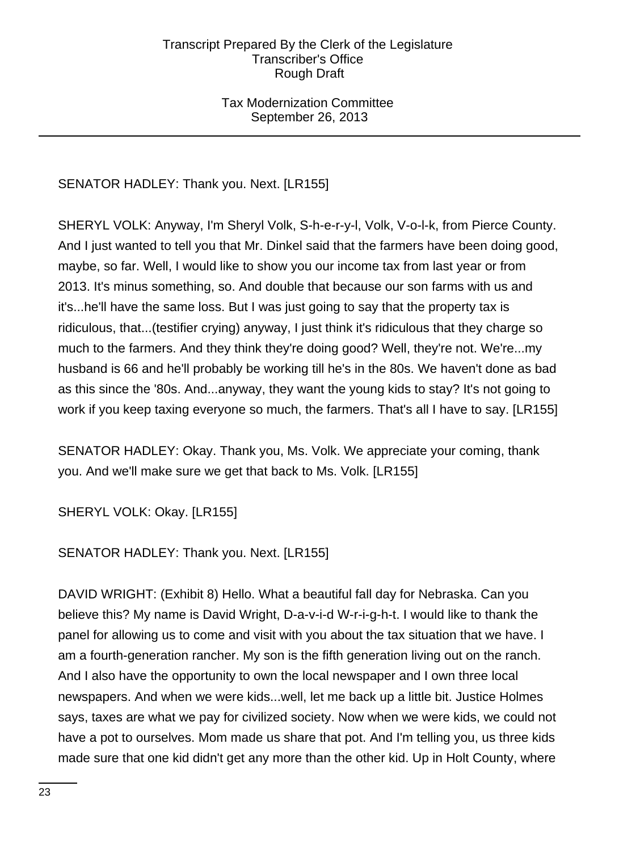## Tax Modernization Committee September 26, 2013

# SENATOR HADLEY: Thank you. Next. [LR155]

SHERYL VOLK: Anyway, I'm Sheryl Volk, S-h-e-r-y-l, Volk, V-o-l-k, from Pierce County. And I just wanted to tell you that Mr. Dinkel said that the farmers have been doing good, maybe, so far. Well, I would like to show you our income tax from last year or from 2013. It's minus something, so. And double that because our son farms with us and it's...he'll have the same loss. But I was just going to say that the property tax is ridiculous, that...(testifier crying) anyway, I just think it's ridiculous that they charge so much to the farmers. And they think they're doing good? Well, they're not. We're...my husband is 66 and he'll probably be working till he's in the 80s. We haven't done as bad as this since the '80s. And...anyway, they want the young kids to stay? It's not going to work if you keep taxing everyone so much, the farmers. That's all I have to say. [LR155]

SENATOR HADLEY: Okay. Thank you, Ms. Volk. We appreciate your coming, thank you. And we'll make sure we get that back to Ms. Volk. [LR155]

SHERYL VOLK: Okay. [LR155]

SENATOR HADLEY: Thank you. Next. [LR155]

DAVID WRIGHT: (Exhibit 8) Hello. What a beautiful fall day for Nebraska. Can you believe this? My name is David Wright, D-a-v-i-d W-r-i-g-h-t. I would like to thank the panel for allowing us to come and visit with you about the tax situation that we have. I am a fourth-generation rancher. My son is the fifth generation living out on the ranch. And I also have the opportunity to own the local newspaper and I own three local newspapers. And when we were kids...well, let me back up a little bit. Justice Holmes says, taxes are what we pay for civilized society. Now when we were kids, we could not have a pot to ourselves. Mom made us share that pot. And I'm telling you, us three kids made sure that one kid didn't get any more than the other kid. Up in Holt County, where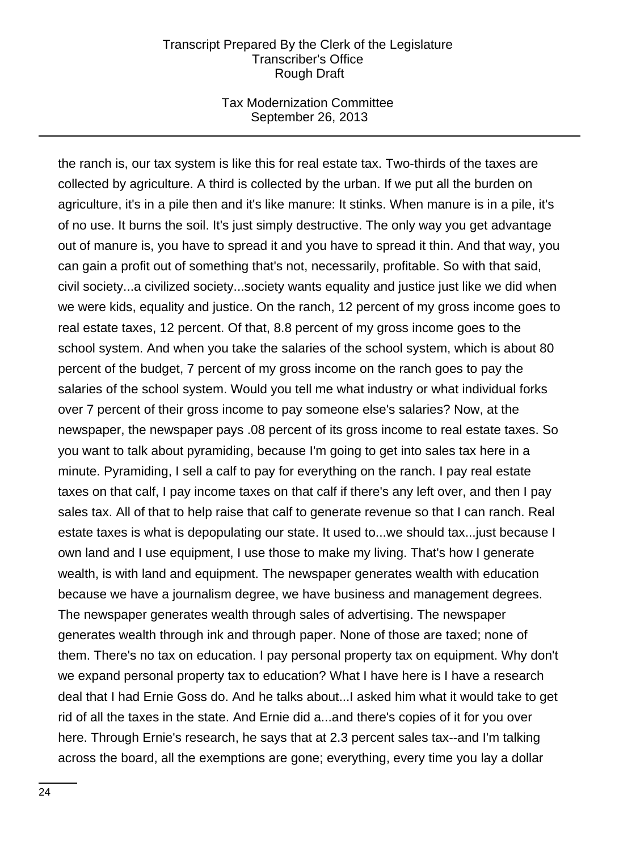### Tax Modernization Committee September 26, 2013

the ranch is, our tax system is like this for real estate tax. Two-thirds of the taxes are collected by agriculture. A third is collected by the urban. If we put all the burden on agriculture, it's in a pile then and it's like manure: It stinks. When manure is in a pile, it's of no use. It burns the soil. It's just simply destructive. The only way you get advantage out of manure is, you have to spread it and you have to spread it thin. And that way, you can gain a profit out of something that's not, necessarily, profitable. So with that said, civil society...a civilized society...society wants equality and justice just like we did when we were kids, equality and justice. On the ranch, 12 percent of my gross income goes to real estate taxes, 12 percent. Of that, 8.8 percent of my gross income goes to the school system. And when you take the salaries of the school system, which is about 80 percent of the budget, 7 percent of my gross income on the ranch goes to pay the salaries of the school system. Would you tell me what industry or what individual forks over 7 percent of their gross income to pay someone else's salaries? Now, at the newspaper, the newspaper pays .08 percent of its gross income to real estate taxes. So you want to talk about pyramiding, because I'm going to get into sales tax here in a minute. Pyramiding, I sell a calf to pay for everything on the ranch. I pay real estate taxes on that calf, I pay income taxes on that calf if there's any left over, and then I pay sales tax. All of that to help raise that calf to generate revenue so that I can ranch. Real estate taxes is what is depopulating our state. It used to...we should tax...just because I own land and I use equipment, I use those to make my living. That's how I generate wealth, is with land and equipment. The newspaper generates wealth with education because we have a journalism degree, we have business and management degrees. The newspaper generates wealth through sales of advertising. The newspaper generates wealth through ink and through paper. None of those are taxed; none of them. There's no tax on education. I pay personal property tax on equipment. Why don't we expand personal property tax to education? What I have here is I have a research deal that I had Ernie Goss do. And he talks about...I asked him what it would take to get rid of all the taxes in the state. And Ernie did a...and there's copies of it for you over here. Through Ernie's research, he says that at 2.3 percent sales tax--and I'm talking across the board, all the exemptions are gone; everything, every time you lay a dollar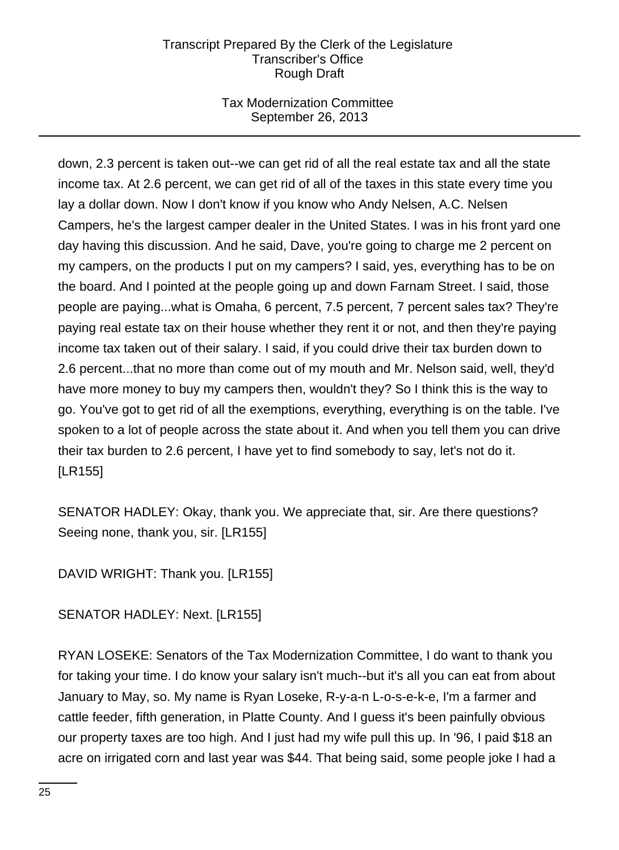# Tax Modernization Committee September 26, 2013

down, 2.3 percent is taken out--we can get rid of all the real estate tax and all the state income tax. At 2.6 percent, we can get rid of all of the taxes in this state every time you lay a dollar down. Now I don't know if you know who Andy Nelsen, A.C. Nelsen Campers, he's the largest camper dealer in the United States. I was in his front yard one day having this discussion. And he said, Dave, you're going to charge me 2 percent on my campers, on the products I put on my campers? I said, yes, everything has to be on the board. And I pointed at the people going up and down Farnam Street. I said, those people are paying...what is Omaha, 6 percent, 7.5 percent, 7 percent sales tax? They're paying real estate tax on their house whether they rent it or not, and then they're paying income tax taken out of their salary. I said, if you could drive their tax burden down to 2.6 percent...that no more than come out of my mouth and Mr. Nelson said, well, they'd have more money to buy my campers then, wouldn't they? So I think this is the way to go. You've got to get rid of all the exemptions, everything, everything is on the table. I've spoken to a lot of people across the state about it. And when you tell them you can drive their tax burden to 2.6 percent, I have yet to find somebody to say, let's not do it. [LR155]

SENATOR HADLEY: Okay, thank you. We appreciate that, sir. Are there questions? Seeing none, thank you, sir. [LR155]

DAVID WRIGHT: Thank you. [LR155]

SENATOR HADLEY: Next. [LR155]

RYAN LOSEKE: Senators of the Tax Modernization Committee, I do want to thank you for taking your time. I do know your salary isn't much--but it's all you can eat from about January to May, so. My name is Ryan Loseke, R-y-a-n L-o-s-e-k-e, I'm a farmer and cattle feeder, fifth generation, in Platte County. And I guess it's been painfully obvious our property taxes are too high. And I just had my wife pull this up. In '96, I paid \$18 an acre on irrigated corn and last year was \$44. That being said, some people joke I had a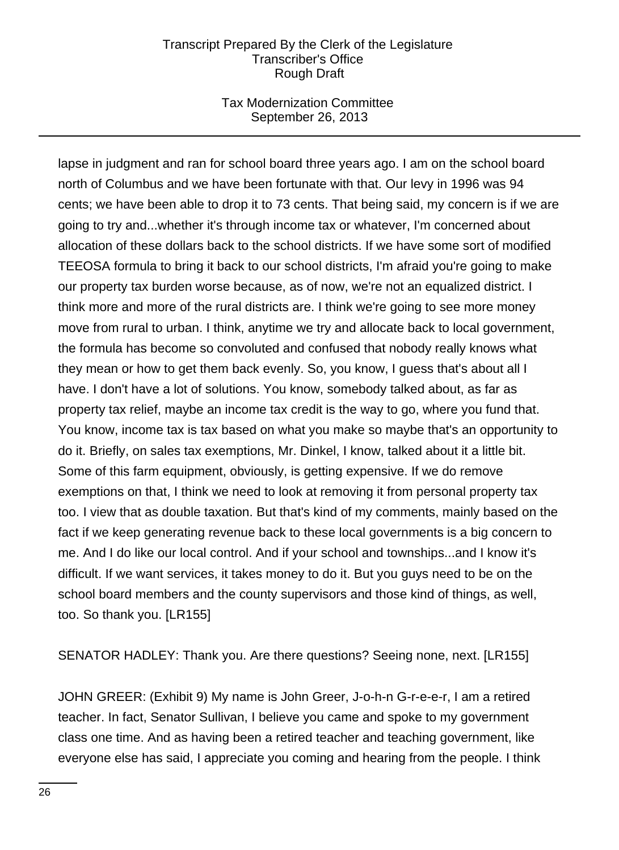## Tax Modernization Committee September 26, 2013

lapse in judgment and ran for school board three years ago. I am on the school board north of Columbus and we have been fortunate with that. Our levy in 1996 was 94 cents; we have been able to drop it to 73 cents. That being said, my concern is if we are going to try and...whether it's through income tax or whatever, I'm concerned about allocation of these dollars back to the school districts. If we have some sort of modified TEEOSA formula to bring it back to our school districts, I'm afraid you're going to make our property tax burden worse because, as of now, we're not an equalized district. I think more and more of the rural districts are. I think we're going to see more money move from rural to urban. I think, anytime we try and allocate back to local government, the formula has become so convoluted and confused that nobody really knows what they mean or how to get them back evenly. So, you know, I guess that's about all I have. I don't have a lot of solutions. You know, somebody talked about, as far as property tax relief, maybe an income tax credit is the way to go, where you fund that. You know, income tax is tax based on what you make so maybe that's an opportunity to do it. Briefly, on sales tax exemptions, Mr. Dinkel, I know, talked about it a little bit. Some of this farm equipment, obviously, is getting expensive. If we do remove exemptions on that, I think we need to look at removing it from personal property tax too. I view that as double taxation. But that's kind of my comments, mainly based on the fact if we keep generating revenue back to these local governments is a big concern to me. And I do like our local control. And if your school and townships...and I know it's difficult. If we want services, it takes money to do it. But you guys need to be on the school board members and the county supervisors and those kind of things, as well, too. So thank you. [LR155]

SENATOR HADLEY: Thank you. Are there questions? Seeing none, next. [LR155]

JOHN GREER: (Exhibit 9) My name is John Greer, J-o-h-n G-r-e-e-r, I am a retired teacher. In fact, Senator Sullivan, I believe you came and spoke to my government class one time. And as having been a retired teacher and teaching government, like everyone else has said, I appreciate you coming and hearing from the people. I think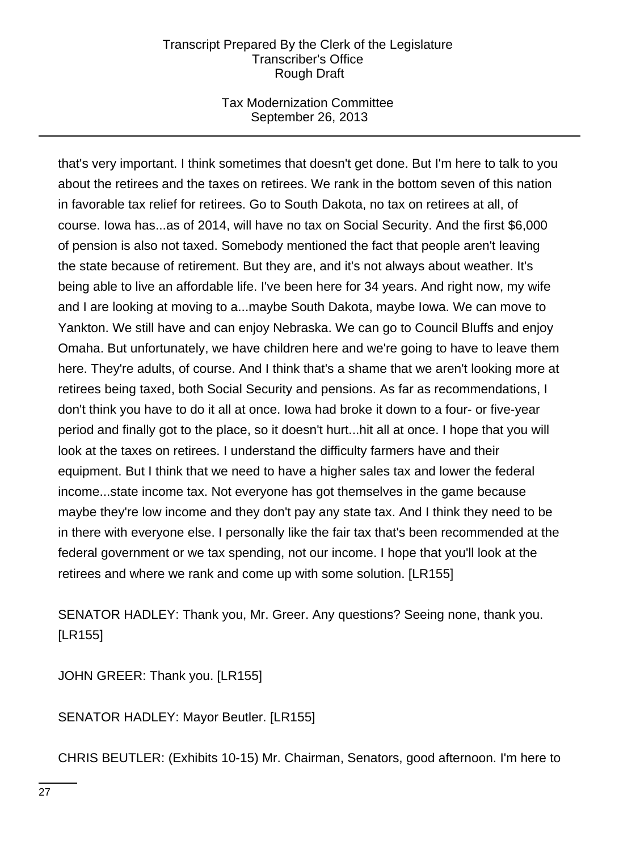## Tax Modernization Committee September 26, 2013

that's very important. I think sometimes that doesn't get done. But I'm here to talk to you about the retirees and the taxes on retirees. We rank in the bottom seven of this nation in favorable tax relief for retirees. Go to South Dakota, no tax on retirees at all, of course. Iowa has...as of 2014, will have no tax on Social Security. And the first \$6,000 of pension is also not taxed. Somebody mentioned the fact that people aren't leaving the state because of retirement. But they are, and it's not always about weather. It's being able to live an affordable life. I've been here for 34 years. And right now, my wife and I are looking at moving to a...maybe South Dakota, maybe Iowa. We can move to Yankton. We still have and can enjoy Nebraska. We can go to Council Bluffs and enjoy Omaha. But unfortunately, we have children here and we're going to have to leave them here. They're adults, of course. And I think that's a shame that we aren't looking more at retirees being taxed, both Social Security and pensions. As far as recommendations, I don't think you have to do it all at once. Iowa had broke it down to a four- or five-year period and finally got to the place, so it doesn't hurt...hit all at once. I hope that you will look at the taxes on retirees. I understand the difficulty farmers have and their equipment. But I think that we need to have a higher sales tax and lower the federal income...state income tax. Not everyone has got themselves in the game because maybe they're low income and they don't pay any state tax. And I think they need to be in there with everyone else. I personally like the fair tax that's been recommended at the federal government or we tax spending, not our income. I hope that you'll look at the retirees and where we rank and come up with some solution. [LR155]

SENATOR HADLEY: Thank you, Mr. Greer. Any questions? Seeing none, thank you. [LR155]

JOHN GREER: Thank you. [LR155]

SENATOR HADLEY: Mayor Beutler. [LR155]

CHRIS BEUTLER: (Exhibits 10-15) Mr. Chairman, Senators, good afternoon. I'm here to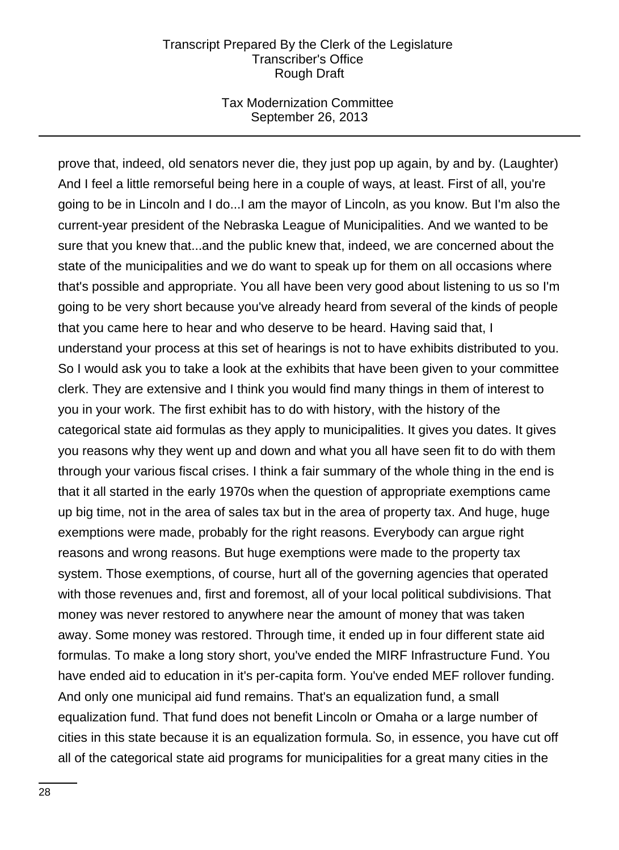## Tax Modernization Committee September 26, 2013

prove that, indeed, old senators never die, they just pop up again, by and by. (Laughter) And I feel a little remorseful being here in a couple of ways, at least. First of all, you're going to be in Lincoln and I do...I am the mayor of Lincoln, as you know. But I'm also the current-year president of the Nebraska League of Municipalities. And we wanted to be sure that you knew that...and the public knew that, indeed, we are concerned about the state of the municipalities and we do want to speak up for them on all occasions where that's possible and appropriate. You all have been very good about listening to us so I'm going to be very short because you've already heard from several of the kinds of people that you came here to hear and who deserve to be heard. Having said that, I understand your process at this set of hearings is not to have exhibits distributed to you. So I would ask you to take a look at the exhibits that have been given to your committee clerk. They are extensive and I think you would find many things in them of interest to you in your work. The first exhibit has to do with history, with the history of the categorical state aid formulas as they apply to municipalities. It gives you dates. It gives you reasons why they went up and down and what you all have seen fit to do with them through your various fiscal crises. I think a fair summary of the whole thing in the end is that it all started in the early 1970s when the question of appropriate exemptions came up big time, not in the area of sales tax but in the area of property tax. And huge, huge exemptions were made, probably for the right reasons. Everybody can argue right reasons and wrong reasons. But huge exemptions were made to the property tax system. Those exemptions, of course, hurt all of the governing agencies that operated with those revenues and, first and foremost, all of your local political subdivisions. That money was never restored to anywhere near the amount of money that was taken away. Some money was restored. Through time, it ended up in four different state aid formulas. To make a long story short, you've ended the MIRF Infrastructure Fund. You have ended aid to education in it's per-capita form. You've ended MEF rollover funding. And only one municipal aid fund remains. That's an equalization fund, a small equalization fund. That fund does not benefit Lincoln or Omaha or a large number of cities in this state because it is an equalization formula. So, in essence, you have cut off all of the categorical state aid programs for municipalities for a great many cities in the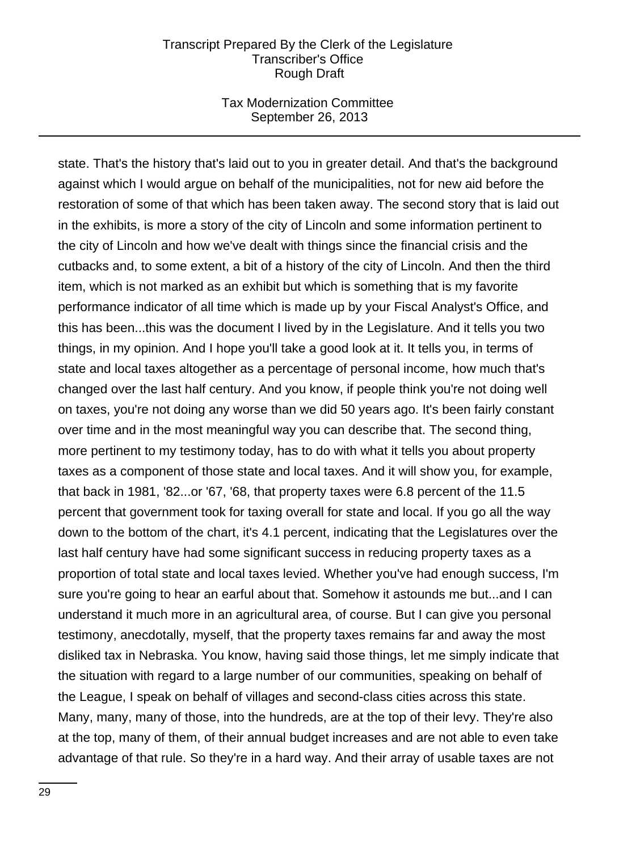### Tax Modernization Committee September 26, 2013

state. That's the history that's laid out to you in greater detail. And that's the background against which I would argue on behalf of the municipalities, not for new aid before the restoration of some of that which has been taken away. The second story that is laid out in the exhibits, is more a story of the city of Lincoln and some information pertinent to the city of Lincoln and how we've dealt with things since the financial crisis and the cutbacks and, to some extent, a bit of a history of the city of Lincoln. And then the third item, which is not marked as an exhibit but which is something that is my favorite performance indicator of all time which is made up by your Fiscal Analyst's Office, and this has been...this was the document I lived by in the Legislature. And it tells you two things, in my opinion. And I hope you'll take a good look at it. It tells you, in terms of state and local taxes altogether as a percentage of personal income, how much that's changed over the last half century. And you know, if people think you're not doing well on taxes, you're not doing any worse than we did 50 years ago. It's been fairly constant over time and in the most meaningful way you can describe that. The second thing, more pertinent to my testimony today, has to do with what it tells you about property taxes as a component of those state and local taxes. And it will show you, for example, that back in 1981, '82...or '67, '68, that property taxes were 6.8 percent of the 11.5 percent that government took for taxing overall for state and local. If you go all the way down to the bottom of the chart, it's 4.1 percent, indicating that the Legislatures over the last half century have had some significant success in reducing property taxes as a proportion of total state and local taxes levied. Whether you've had enough success, I'm sure you're going to hear an earful about that. Somehow it astounds me but...and I can understand it much more in an agricultural area, of course. But I can give you personal testimony, anecdotally, myself, that the property taxes remains far and away the most disliked tax in Nebraska. You know, having said those things, let me simply indicate that the situation with regard to a large number of our communities, speaking on behalf of the League, I speak on behalf of villages and second-class cities across this state. Many, many, many of those, into the hundreds, are at the top of their levy. They're also at the top, many of them, of their annual budget increases and are not able to even take advantage of that rule. So they're in a hard way. And their array of usable taxes are not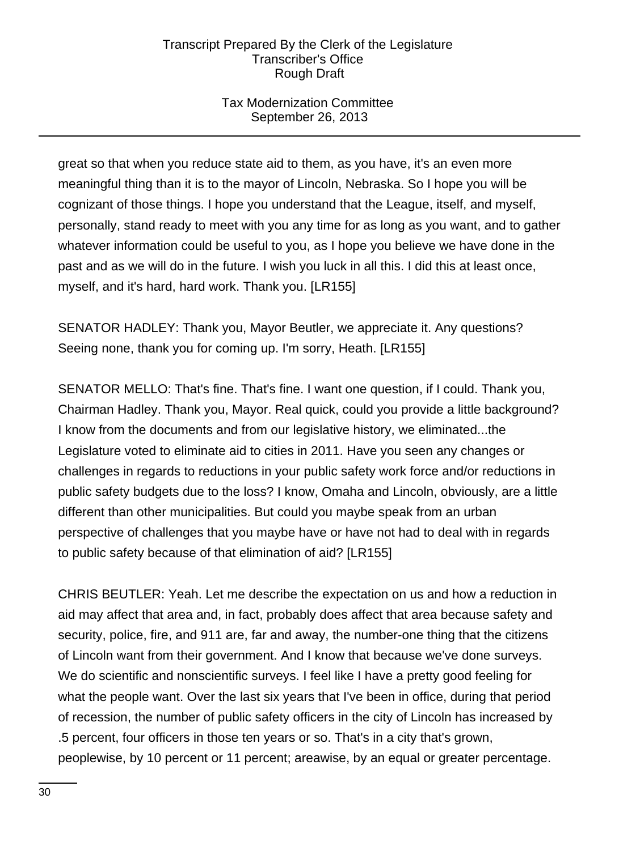# Tax Modernization Committee September 26, 2013

great so that when you reduce state aid to them, as you have, it's an even more meaningful thing than it is to the mayor of Lincoln, Nebraska. So I hope you will be cognizant of those things. I hope you understand that the League, itself, and myself, personally, stand ready to meet with you any time for as long as you want, and to gather whatever information could be useful to you, as I hope you believe we have done in the past and as we will do in the future. I wish you luck in all this. I did this at least once, myself, and it's hard, hard work. Thank you. [LR155]

SENATOR HADLEY: Thank you, Mayor Beutler, we appreciate it. Any questions? Seeing none, thank you for coming up. I'm sorry, Heath. [LR155]

SENATOR MELLO: That's fine. That's fine. I want one question, if I could. Thank you, Chairman Hadley. Thank you, Mayor. Real quick, could you provide a little background? I know from the documents and from our legislative history, we eliminated...the Legislature voted to eliminate aid to cities in 2011. Have you seen any changes or challenges in regards to reductions in your public safety work force and/or reductions in public safety budgets due to the loss? I know, Omaha and Lincoln, obviously, are a little different than other municipalities. But could you maybe speak from an urban perspective of challenges that you maybe have or have not had to deal with in regards to public safety because of that elimination of aid? [LR155]

CHRIS BEUTLER: Yeah. Let me describe the expectation on us and how a reduction in aid may affect that area and, in fact, probably does affect that area because safety and security, police, fire, and 911 are, far and away, the number-one thing that the citizens of Lincoln want from their government. And I know that because we've done surveys. We do scientific and nonscientific surveys. I feel like I have a pretty good feeling for what the people want. Over the last six years that I've been in office, during that period of recession, the number of public safety officers in the city of Lincoln has increased by .5 percent, four officers in those ten years or so. That's in a city that's grown, peoplewise, by 10 percent or 11 percent; areawise, by an equal or greater percentage.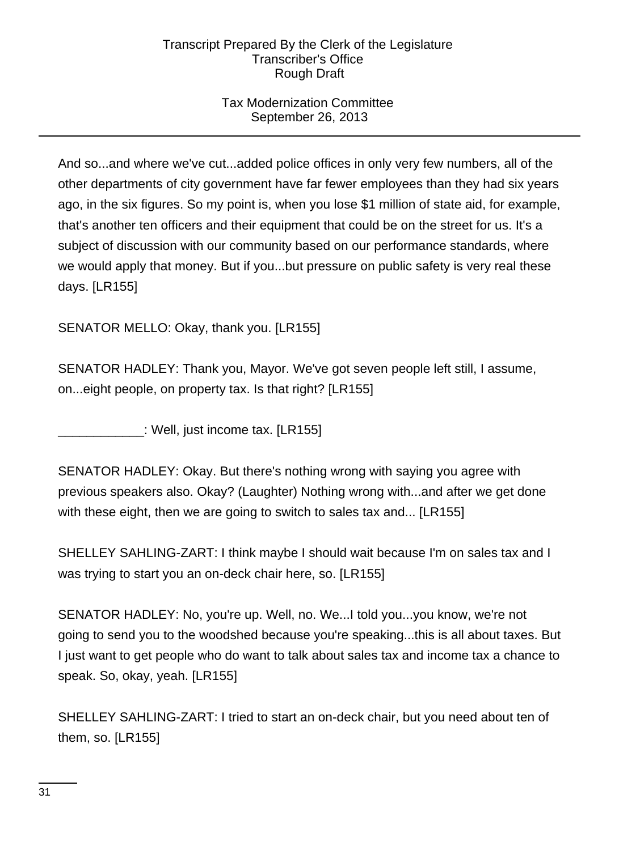# Tax Modernization Committee September 26, 2013

And so...and where we've cut...added police offices in only very few numbers, all of the other departments of city government have far fewer employees than they had six years ago, in the six figures. So my point is, when you lose \$1 million of state aid, for example, that's another ten officers and their equipment that could be on the street for us. It's a subject of discussion with our community based on our performance standards, where we would apply that money. But if you...but pressure on public safety is very real these days. [LR155]

SENATOR MELLO: Okay, thank you. [LR155]

SENATOR HADLEY: Thank you, Mayor. We've got seven people left still, I assume, on...eight people, on property tax. Is that right? [LR155]

\_\_\_\_\_\_\_\_\_\_\_\_: Well, just income tax. [LR155]

SENATOR HADLEY: Okay. But there's nothing wrong with saying you agree with previous speakers also. Okay? (Laughter) Nothing wrong with...and after we get done with these eight, then we are going to switch to sales tax and... [LR155]

SHELLEY SAHLING-ZART: I think maybe I should wait because I'm on sales tax and I was trying to start you an on-deck chair here, so. [LR155]

SENATOR HADLEY: No, you're up. Well, no. We...I told you...you know, we're not going to send you to the woodshed because you're speaking...this is all about taxes. But I just want to get people who do want to talk about sales tax and income tax a chance to speak. So, okay, yeah. [LR155]

SHELLEY SAHLING-ZART: I tried to start an on-deck chair, but you need about ten of them, so. [LR155]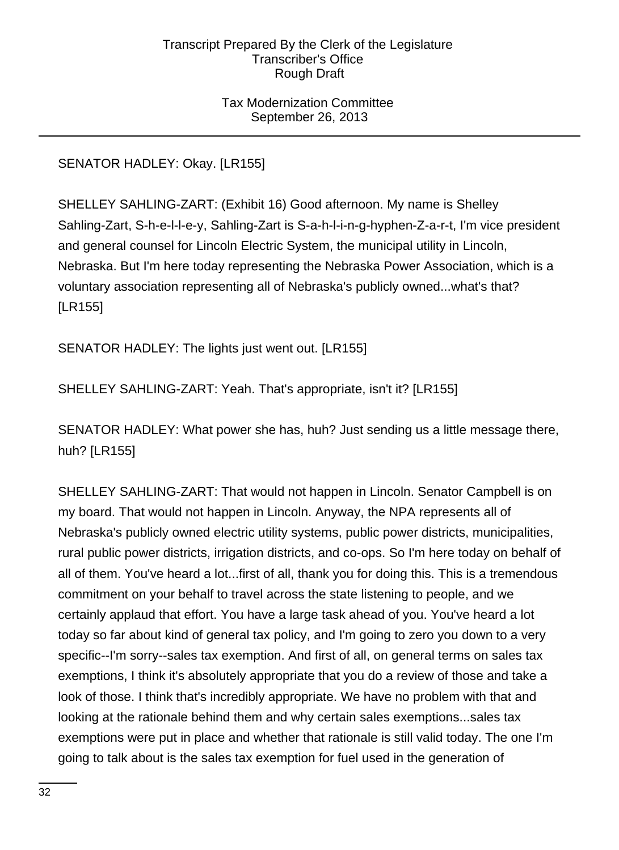## Tax Modernization Committee September 26, 2013

SENATOR HADLEY: Okay. [LR155]

SHELLEY SAHLING-ZART: (Exhibit 16) Good afternoon. My name is Shelley Sahling-Zart, S-h-e-l-l-e-y, Sahling-Zart is S-a-h-l-i-n-g-hyphen-Z-a-r-t, I'm vice president and general counsel for Lincoln Electric System, the municipal utility in Lincoln, Nebraska. But I'm here today representing the Nebraska Power Association, which is a voluntary association representing all of Nebraska's publicly owned...what's that? [LR155]

SENATOR HADLEY: The lights just went out. [LR155]

SHELLEY SAHLING-ZART: Yeah. That's appropriate, isn't it? [LR155]

SENATOR HADLEY: What power she has, huh? Just sending us a little message there, huh? [LR155]

SHELLEY SAHLING-ZART: That would not happen in Lincoln. Senator Campbell is on my board. That would not happen in Lincoln. Anyway, the NPA represents all of Nebraska's publicly owned electric utility systems, public power districts, municipalities, rural public power districts, irrigation districts, and co-ops. So I'm here today on behalf of all of them. You've heard a lot...first of all, thank you for doing this. This is a tremendous commitment on your behalf to travel across the state listening to people, and we certainly applaud that effort. You have a large task ahead of you. You've heard a lot today so far about kind of general tax policy, and I'm going to zero you down to a very specific--I'm sorry--sales tax exemption. And first of all, on general terms on sales tax exemptions, I think it's absolutely appropriate that you do a review of those and take a look of those. I think that's incredibly appropriate. We have no problem with that and looking at the rationale behind them and why certain sales exemptions...sales tax exemptions were put in place and whether that rationale is still valid today. The one I'm going to talk about is the sales tax exemption for fuel used in the generation of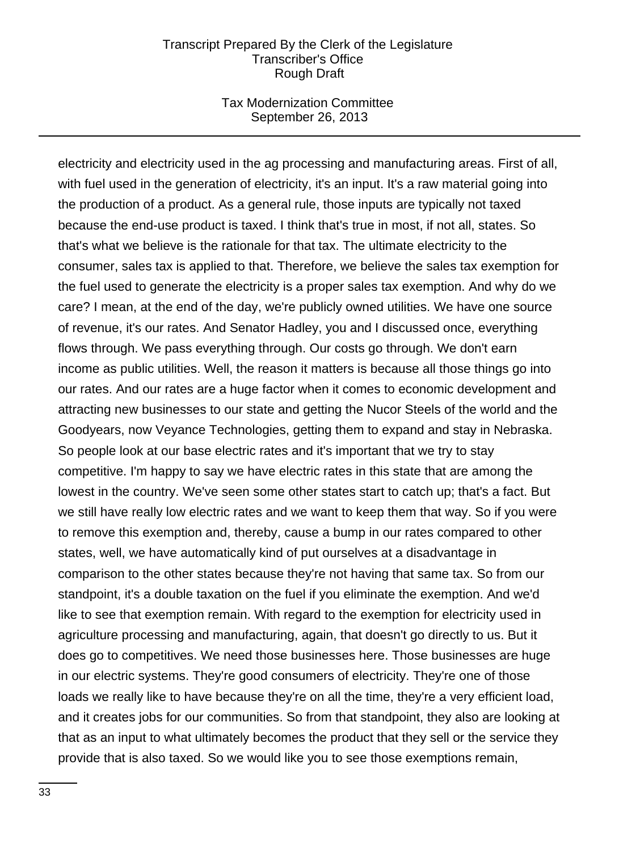#### Tax Modernization Committee September 26, 2013

electricity and electricity used in the ag processing and manufacturing areas. First of all, with fuel used in the generation of electricity, it's an input. It's a raw material going into the production of a product. As a general rule, those inputs are typically not taxed because the end-use product is taxed. I think that's true in most, if not all, states. So that's what we believe is the rationale for that tax. The ultimate electricity to the consumer, sales tax is applied to that. Therefore, we believe the sales tax exemption for the fuel used to generate the electricity is a proper sales tax exemption. And why do we care? I mean, at the end of the day, we're publicly owned utilities. We have one source of revenue, it's our rates. And Senator Hadley, you and I discussed once, everything flows through. We pass everything through. Our costs go through. We don't earn income as public utilities. Well, the reason it matters is because all those things go into our rates. And our rates are a huge factor when it comes to economic development and attracting new businesses to our state and getting the Nucor Steels of the world and the Goodyears, now Veyance Technologies, getting them to expand and stay in Nebraska. So people look at our base electric rates and it's important that we try to stay competitive. I'm happy to say we have electric rates in this state that are among the lowest in the country. We've seen some other states start to catch up; that's a fact. But we still have really low electric rates and we want to keep them that way. So if you were to remove this exemption and, thereby, cause a bump in our rates compared to other states, well, we have automatically kind of put ourselves at a disadvantage in comparison to the other states because they're not having that same tax. So from our standpoint, it's a double taxation on the fuel if you eliminate the exemption. And we'd like to see that exemption remain. With regard to the exemption for electricity used in agriculture processing and manufacturing, again, that doesn't go directly to us. But it does go to competitives. We need those businesses here. Those businesses are huge in our electric systems. They're good consumers of electricity. They're one of those loads we really like to have because they're on all the time, they're a very efficient load, and it creates jobs for our communities. So from that standpoint, they also are looking at that as an input to what ultimately becomes the product that they sell or the service they provide that is also taxed. So we would like you to see those exemptions remain,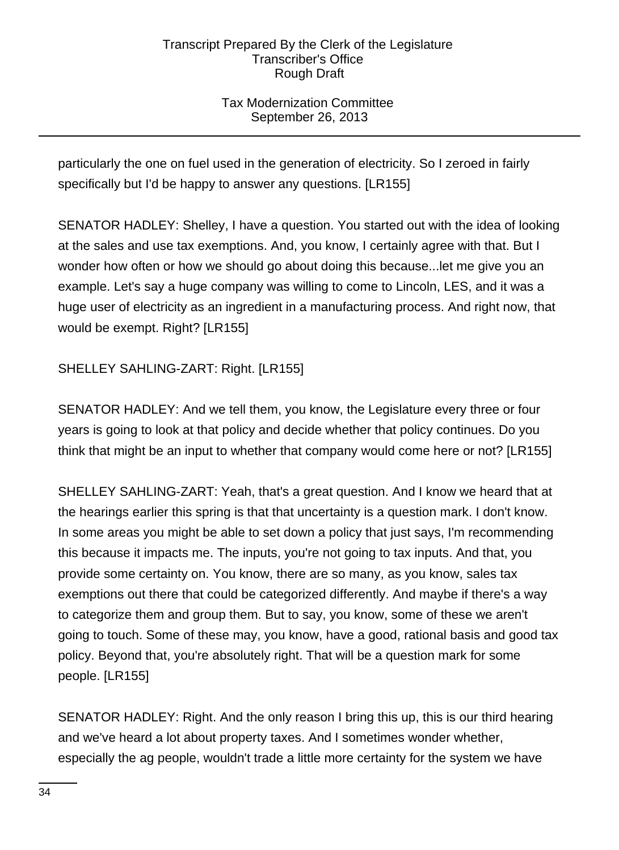# Tax Modernization Committee September 26, 2013

particularly the one on fuel used in the generation of electricity. So I zeroed in fairly specifically but I'd be happy to answer any questions. [LR155]

SENATOR HADLEY: Shelley, I have a question. You started out with the idea of looking at the sales and use tax exemptions. And, you know, I certainly agree with that. But I wonder how often or how we should go about doing this because...let me give you an example. Let's say a huge company was willing to come to Lincoln, LES, and it was a huge user of electricity as an ingredient in a manufacturing process. And right now, that would be exempt. Right? [LR155]

# SHELLEY SAHLING-ZART: Right. [LR155]

SENATOR HADLEY: And we tell them, you know, the Legislature every three or four years is going to look at that policy and decide whether that policy continues. Do you think that might be an input to whether that company would come here or not? [LR155]

SHELLEY SAHLING-ZART: Yeah, that's a great question. And I know we heard that at the hearings earlier this spring is that that uncertainty is a question mark. I don't know. In some areas you might be able to set down a policy that just says, I'm recommending this because it impacts me. The inputs, you're not going to tax inputs. And that, you provide some certainty on. You know, there are so many, as you know, sales tax exemptions out there that could be categorized differently. And maybe if there's a way to categorize them and group them. But to say, you know, some of these we aren't going to touch. Some of these may, you know, have a good, rational basis and good tax policy. Beyond that, you're absolutely right. That will be a question mark for some people. [LR155]

SENATOR HADLEY: Right. And the only reason I bring this up, this is our third hearing and we've heard a lot about property taxes. And I sometimes wonder whether, especially the ag people, wouldn't trade a little more certainty for the system we have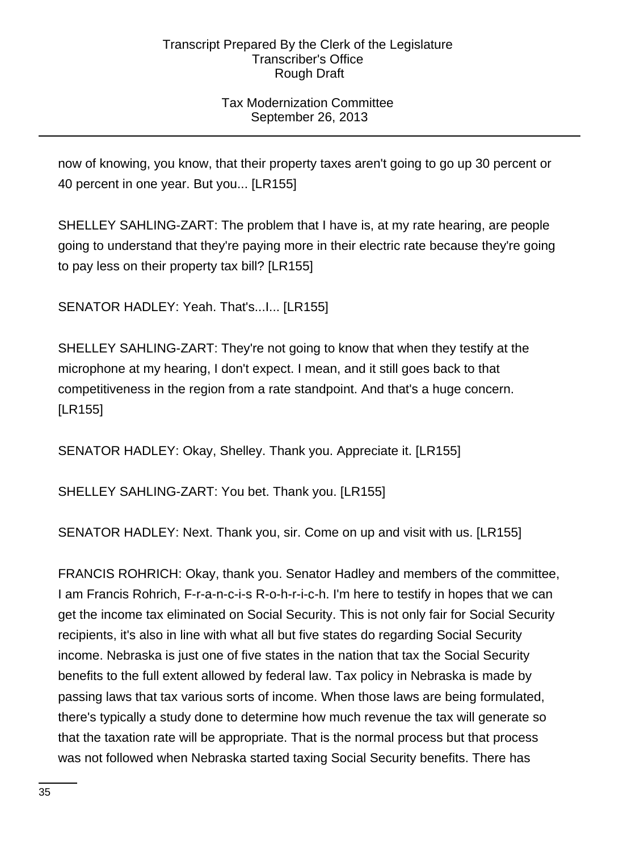# Tax Modernization Committee September 26, 2013

now of knowing, you know, that their property taxes aren't going to go up 30 percent or 40 percent in one year. But you... [LR155]

SHELLEY SAHLING-ZART: The problem that I have is, at my rate hearing, are people going to understand that they're paying more in their electric rate because they're going to pay less on their property tax bill? [LR155]

SENATOR HADLEY: Yeah. That's...I... [LR155]

SHELLEY SAHLING-ZART: They're not going to know that when they testify at the microphone at my hearing, I don't expect. I mean, and it still goes back to that competitiveness in the region from a rate standpoint. And that's a huge concern. [LR155]

SENATOR HADLEY: Okay, Shelley. Thank you. Appreciate it. [LR155]

SHELLEY SAHLING-ZART: You bet. Thank you. [LR155]

SENATOR HADLEY: Next. Thank you, sir. Come on up and visit with us. [LR155]

FRANCIS ROHRICH: Okay, thank you. Senator Hadley and members of the committee, I am Francis Rohrich, F-r-a-n-c-i-s R-o-h-r-i-c-h. I'm here to testify in hopes that we can get the income tax eliminated on Social Security. This is not only fair for Social Security recipients, it's also in line with what all but five states do regarding Social Security income. Nebraska is just one of five states in the nation that tax the Social Security benefits to the full extent allowed by federal law. Tax policy in Nebraska is made by passing laws that tax various sorts of income. When those laws are being formulated, there's typically a study done to determine how much revenue the tax will generate so that the taxation rate will be appropriate. That is the normal process but that process was not followed when Nebraska started taxing Social Security benefits. There has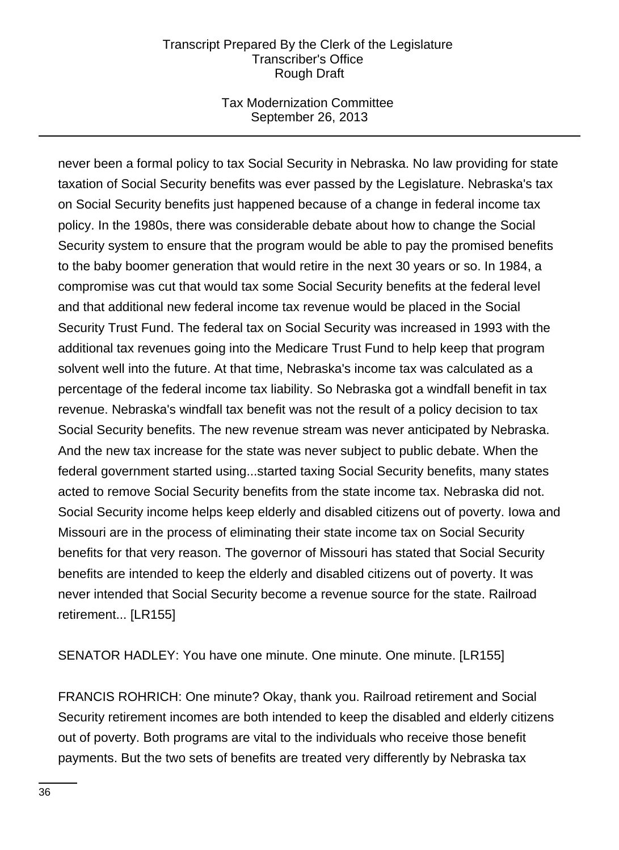## Tax Modernization Committee September 26, 2013

never been a formal policy to tax Social Security in Nebraska. No law providing for state taxation of Social Security benefits was ever passed by the Legislature. Nebraska's tax on Social Security benefits just happened because of a change in federal income tax policy. In the 1980s, there was considerable debate about how to change the Social Security system to ensure that the program would be able to pay the promised benefits to the baby boomer generation that would retire in the next 30 years or so. In 1984, a compromise was cut that would tax some Social Security benefits at the federal level and that additional new federal income tax revenue would be placed in the Social Security Trust Fund. The federal tax on Social Security was increased in 1993 with the additional tax revenues going into the Medicare Trust Fund to help keep that program solvent well into the future. At that time, Nebraska's income tax was calculated as a percentage of the federal income tax liability. So Nebraska got a windfall benefit in tax revenue. Nebraska's windfall tax benefit was not the result of a policy decision to tax Social Security benefits. The new revenue stream was never anticipated by Nebraska. And the new tax increase for the state was never subject to public debate. When the federal government started using...started taxing Social Security benefits, many states acted to remove Social Security benefits from the state income tax. Nebraska did not. Social Security income helps keep elderly and disabled citizens out of poverty. Iowa and Missouri are in the process of eliminating their state income tax on Social Security benefits for that very reason. The governor of Missouri has stated that Social Security benefits are intended to keep the elderly and disabled citizens out of poverty. It was never intended that Social Security become a revenue source for the state. Railroad retirement... [LR155]

SENATOR HADLEY: You have one minute. One minute. One minute. [LR155]

FRANCIS ROHRICH: One minute? Okay, thank you. Railroad retirement and Social Security retirement incomes are both intended to keep the disabled and elderly citizens out of poverty. Both programs are vital to the individuals who receive those benefit payments. But the two sets of benefits are treated very differently by Nebraska tax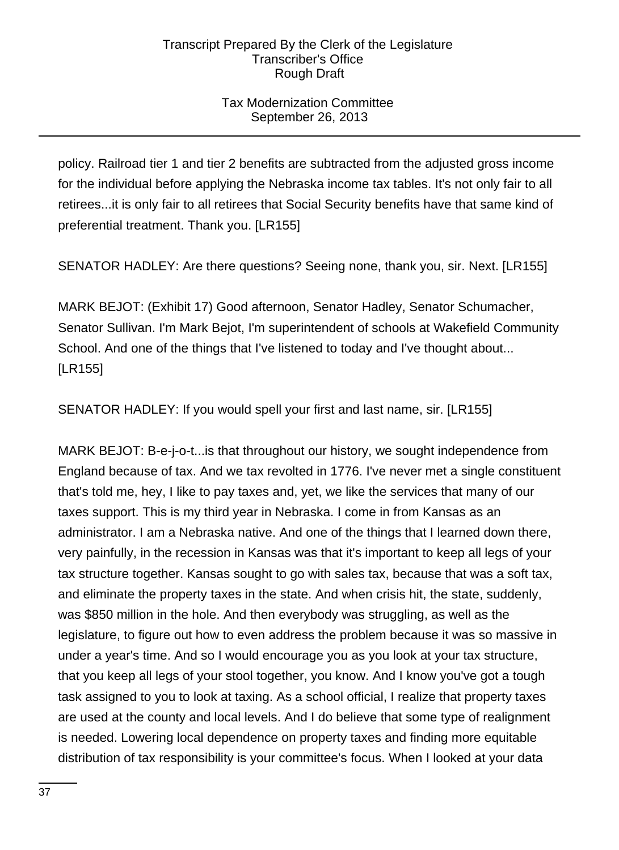## Tax Modernization Committee September 26, 2013

policy. Railroad tier 1 and tier 2 benefits are subtracted from the adjusted gross income for the individual before applying the Nebraska income tax tables. It's not only fair to all retirees...it is only fair to all retirees that Social Security benefits have that same kind of preferential treatment. Thank you. [LR155]

SENATOR HADLEY: Are there questions? Seeing none, thank you, sir. Next. [LR155]

MARK BEJOT: (Exhibit 17) Good afternoon, Senator Hadley, Senator Schumacher, Senator Sullivan. I'm Mark Bejot, I'm superintendent of schools at Wakefield Community School. And one of the things that I've listened to today and I've thought about... [LR155]

SENATOR HADLEY: If you would spell your first and last name, sir. [LR155]

MARK BEJOT: B-e-j-o-t...is that throughout our history, we sought independence from England because of tax. And we tax revolted in 1776. I've never met a single constituent that's told me, hey, I like to pay taxes and, yet, we like the services that many of our taxes support. This is my third year in Nebraska. I come in from Kansas as an administrator. I am a Nebraska native. And one of the things that I learned down there, very painfully, in the recession in Kansas was that it's important to keep all legs of your tax structure together. Kansas sought to go with sales tax, because that was a soft tax, and eliminate the property taxes in the state. And when crisis hit, the state, suddenly, was \$850 million in the hole. And then everybody was struggling, as well as the legislature, to figure out how to even address the problem because it was so massive in under a year's time. And so I would encourage you as you look at your tax structure, that you keep all legs of your stool together, you know. And I know you've got a tough task assigned to you to look at taxing. As a school official, I realize that property taxes are used at the county and local levels. And I do believe that some type of realignment is needed. Lowering local dependence on property taxes and finding more equitable distribution of tax responsibility is your committee's focus. When I looked at your data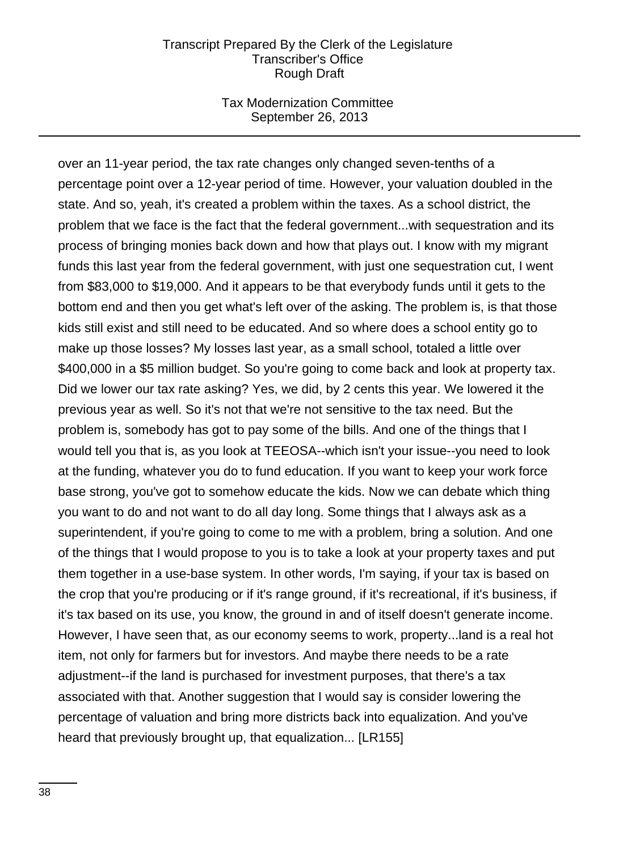### Tax Modernization Committee September 26, 2013

over an 11-year period, the tax rate changes only changed seven-tenths of a percentage point over a 12-year period of time. However, your valuation doubled in the state. And so, yeah, it's created a problem within the taxes. As a school district, the problem that we face is the fact that the federal government...with sequestration and its process of bringing monies back down and how that plays out. I know with my migrant funds this last year from the federal government, with just one sequestration cut, I went from \$83,000 to \$19,000. And it appears to be that everybody funds until it gets to the bottom end and then you get what's left over of the asking. The problem is, is that those kids still exist and still need to be educated. And so where does a school entity go to make up those losses? My losses last year, as a small school, totaled a little over \$400,000 in a \$5 million budget. So you're going to come back and look at property tax. Did we lower our tax rate asking? Yes, we did, by 2 cents this year. We lowered it the previous year as well. So it's not that we're not sensitive to the tax need. But the problem is, somebody has got to pay some of the bills. And one of the things that I would tell you that is, as you look at TEEOSA--which isn't your issue--you need to look at the funding, whatever you do to fund education. If you want to keep your work force base strong, you've got to somehow educate the kids. Now we can debate which thing you want to do and not want to do all day long. Some things that I always ask as a superintendent, if you're going to come to me with a problem, bring a solution. And one of the things that I would propose to you is to take a look at your property taxes and put them together in a use-base system. In other words, I'm saying, if your tax is based on the crop that you're producing or if it's range ground, if it's recreational, if it's business, if it's tax based on its use, you know, the ground in and of itself doesn't generate income. However, I have seen that, as our economy seems to work, property...land is a real hot item, not only for farmers but for investors. And maybe there needs to be a rate adjustment--if the land is purchased for investment purposes, that there's a tax associated with that. Another suggestion that I would say is consider lowering the percentage of valuation and bring more districts back into equalization. And you've heard that previously brought up, that equalization... [LR155]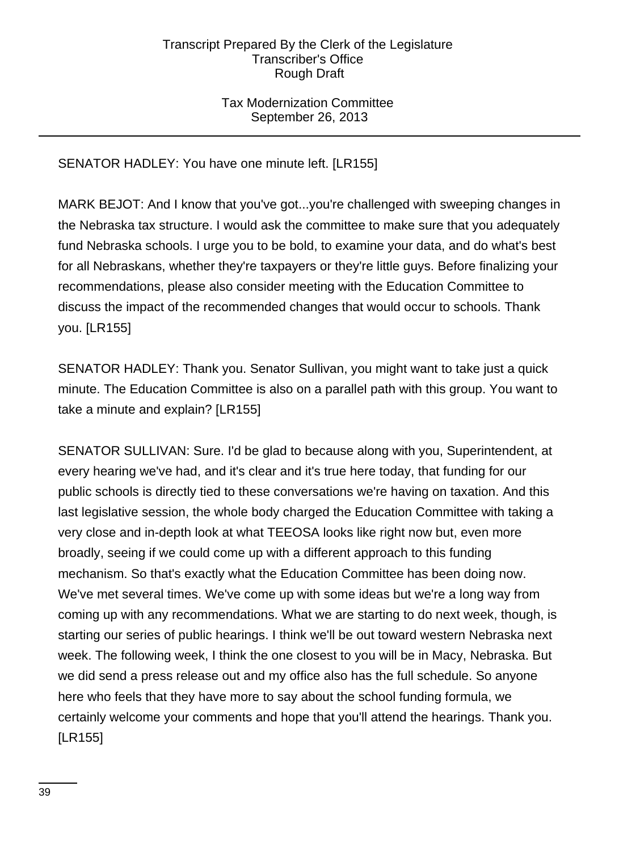## Tax Modernization Committee September 26, 2013

SENATOR HADLEY: You have one minute left. [LR155]

MARK BEJOT: And I know that you've got...you're challenged with sweeping changes in the Nebraska tax structure. I would ask the committee to make sure that you adequately fund Nebraska schools. I urge you to be bold, to examine your data, and do what's best for all Nebraskans, whether they're taxpayers or they're little guys. Before finalizing your recommendations, please also consider meeting with the Education Committee to discuss the impact of the recommended changes that would occur to schools. Thank you. [LR155]

SENATOR HADLEY: Thank you. Senator Sullivan, you might want to take just a quick minute. The Education Committee is also on a parallel path with this group. You want to take a minute and explain? [LR155]

SENATOR SULLIVAN: Sure. I'd be glad to because along with you, Superintendent, at every hearing we've had, and it's clear and it's true here today, that funding for our public schools is directly tied to these conversations we're having on taxation. And this last legislative session, the whole body charged the Education Committee with taking a very close and in-depth look at what TEEOSA looks like right now but, even more broadly, seeing if we could come up with a different approach to this funding mechanism. So that's exactly what the Education Committee has been doing now. We've met several times. We've come up with some ideas but we're a long way from coming up with any recommendations. What we are starting to do next week, though, is starting our series of public hearings. I think we'll be out toward western Nebraska next week. The following week, I think the one closest to you will be in Macy, Nebraska. But we did send a press release out and my office also has the full schedule. So anyone here who feels that they have more to say about the school funding formula, we certainly welcome your comments and hope that you'll attend the hearings. Thank you. [LR155]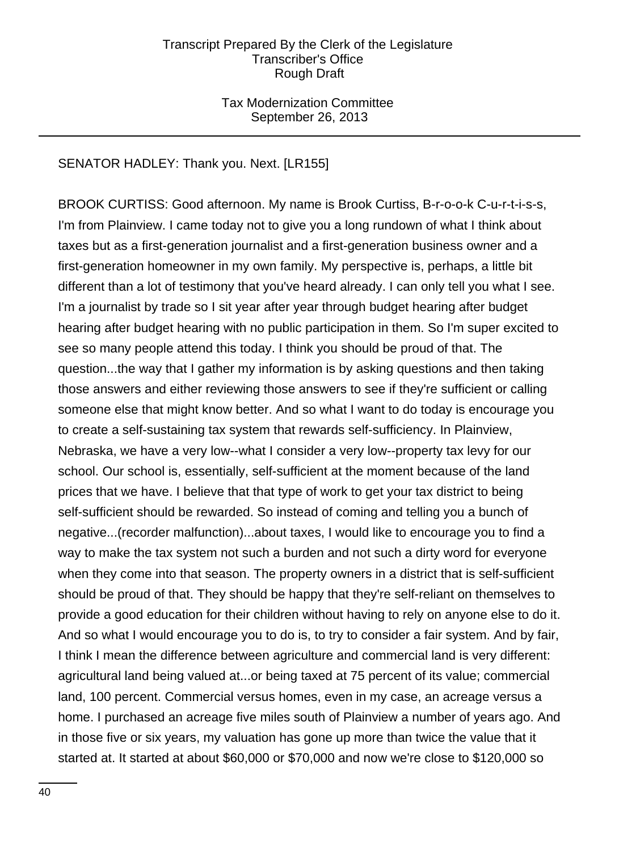Tax Modernization Committee September 26, 2013

## SENATOR HADLEY: Thank you. Next. [LR155]

BROOK CURTISS: Good afternoon. My name is Brook Curtiss, B-r-o-o-k C-u-r-t-i-s-s, I'm from Plainview. I came today not to give you a long rundown of what I think about taxes but as a first-generation journalist and a first-generation business owner and a first-generation homeowner in my own family. My perspective is, perhaps, a little bit different than a lot of testimony that you've heard already. I can only tell you what I see. I'm a journalist by trade so I sit year after year through budget hearing after budget hearing after budget hearing with no public participation in them. So I'm super excited to see so many people attend this today. I think you should be proud of that. The question...the way that I gather my information is by asking questions and then taking those answers and either reviewing those answers to see if they're sufficient or calling someone else that might know better. And so what I want to do today is encourage you to create a self-sustaining tax system that rewards self-sufficiency. In Plainview, Nebraska, we have a very low--what I consider a very low--property tax levy for our school. Our school is, essentially, self-sufficient at the moment because of the land prices that we have. I believe that that type of work to get your tax district to being self-sufficient should be rewarded. So instead of coming and telling you a bunch of negative...(recorder malfunction)...about taxes, I would like to encourage you to find a way to make the tax system not such a burden and not such a dirty word for everyone when they come into that season. The property owners in a district that is self-sufficient should be proud of that. They should be happy that they're self-reliant on themselves to provide a good education for their children without having to rely on anyone else to do it. And so what I would encourage you to do is, to try to consider a fair system. And by fair, I think I mean the difference between agriculture and commercial land is very different: agricultural land being valued at...or being taxed at 75 percent of its value; commercial land, 100 percent. Commercial versus homes, even in my case, an acreage versus a home. I purchased an acreage five miles south of Plainview a number of years ago. And in those five or six years, my valuation has gone up more than twice the value that it started at. It started at about \$60,000 or \$70,000 and now we're close to \$120,000 so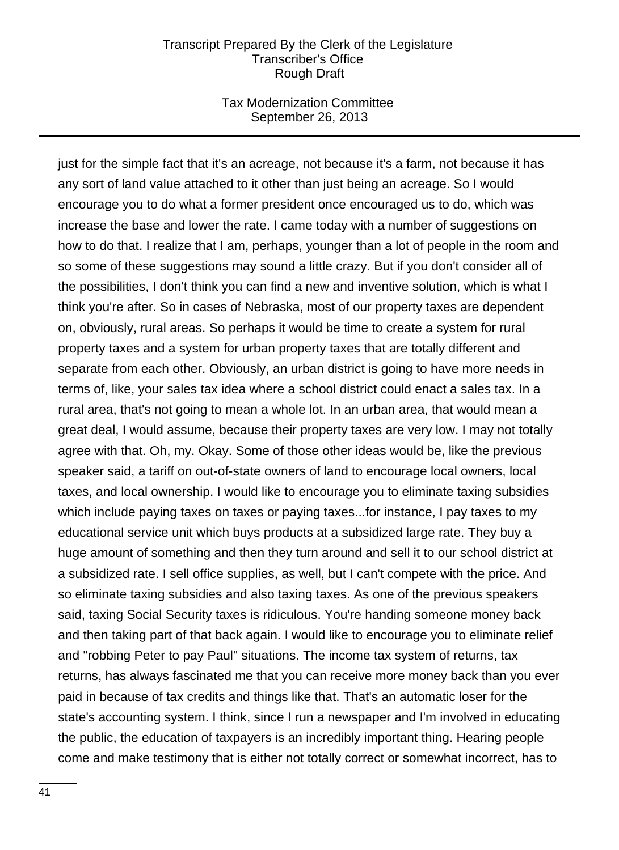### Tax Modernization Committee September 26, 2013

just for the simple fact that it's an acreage, not because it's a farm, not because it has any sort of land value attached to it other than just being an acreage. So I would encourage you to do what a former president once encouraged us to do, which was increase the base and lower the rate. I came today with a number of suggestions on how to do that. I realize that I am, perhaps, younger than a lot of people in the room and so some of these suggestions may sound a little crazy. But if you don't consider all of the possibilities, I don't think you can find a new and inventive solution, which is what I think you're after. So in cases of Nebraska, most of our property taxes are dependent on, obviously, rural areas. So perhaps it would be time to create a system for rural property taxes and a system for urban property taxes that are totally different and separate from each other. Obviously, an urban district is going to have more needs in terms of, like, your sales tax idea where a school district could enact a sales tax. In a rural area, that's not going to mean a whole lot. In an urban area, that would mean a great deal, I would assume, because their property taxes are very low. I may not totally agree with that. Oh, my. Okay. Some of those other ideas would be, like the previous speaker said, a tariff on out-of-state owners of land to encourage local owners, local taxes, and local ownership. I would like to encourage you to eliminate taxing subsidies which include paying taxes on taxes or paying taxes...for instance, I pay taxes to my educational service unit which buys products at a subsidized large rate. They buy a huge amount of something and then they turn around and sell it to our school district at a subsidized rate. I sell office supplies, as well, but I can't compete with the price. And so eliminate taxing subsidies and also taxing taxes. As one of the previous speakers said, taxing Social Security taxes is ridiculous. You're handing someone money back and then taking part of that back again. I would like to encourage you to eliminate relief and "robbing Peter to pay Paul" situations. The income tax system of returns, tax returns, has always fascinated me that you can receive more money back than you ever paid in because of tax credits and things like that. That's an automatic loser for the state's accounting system. I think, since I run a newspaper and I'm involved in educating the public, the education of taxpayers is an incredibly important thing. Hearing people come and make testimony that is either not totally correct or somewhat incorrect, has to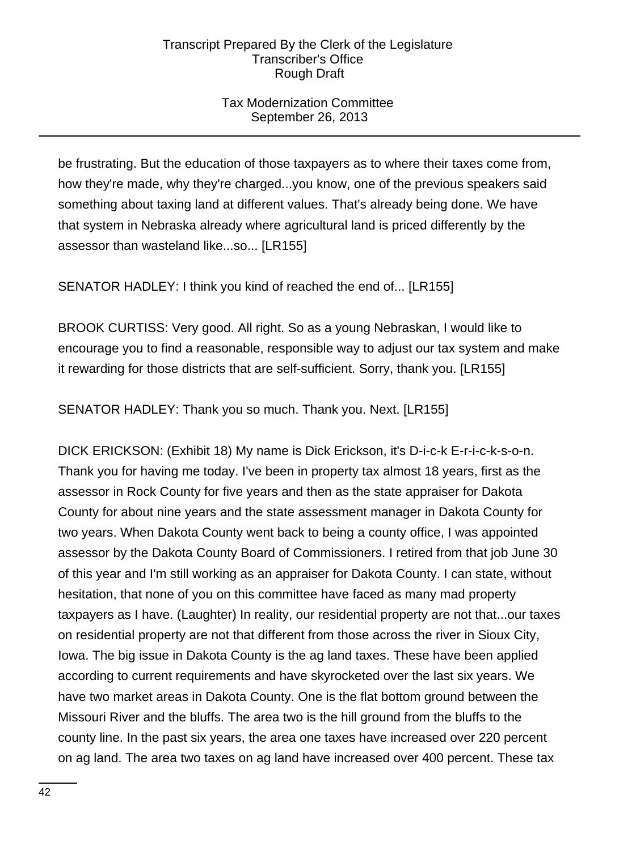## Tax Modernization Committee September 26, 2013

be frustrating. But the education of those taxpayers as to where their taxes come from, how they're made, why they're charged...you know, one of the previous speakers said something about taxing land at different values. That's already being done. We have that system in Nebraska already where agricultural land is priced differently by the assessor than wasteland like...so... [LR155]

SENATOR HADLEY: I think you kind of reached the end of... [LR155]

BROOK CURTISS: Very good. All right. So as a young Nebraskan, I would like to encourage you to find a reasonable, responsible way to adjust our tax system and make it rewarding for those districts that are self-sufficient. Sorry, thank you. [LR155]

SENATOR HADLEY: Thank you so much. Thank you. Next. [LR155]

DICK ERICKSON: (Exhibit 18) My name is Dick Erickson, it's D-i-c-k E-r-i-c-k-s-o-n. Thank you for having me today. I've been in property tax almost 18 years, first as the assessor in Rock County for five years and then as the state appraiser for Dakota County for about nine years and the state assessment manager in Dakota County for two years. When Dakota County went back to being a county office, I was appointed assessor by the Dakota County Board of Commissioners. I retired from that job June 30 of this year and I'm still working as an appraiser for Dakota County. I can state, without hesitation, that none of you on this committee have faced as many mad property taxpayers as I have. (Laughter) In reality, our residential property are not that...our taxes on residential property are not that different from those across the river in Sioux City, Iowa. The big issue in Dakota County is the ag land taxes. These have been applied according to current requirements and have skyrocketed over the last six years. We have two market areas in Dakota County. One is the flat bottom ground between the Missouri River and the bluffs. The area two is the hill ground from the bluffs to the county line. In the past six years, the area one taxes have increased over 220 percent on ag land. The area two taxes on ag land have increased over 400 percent. These tax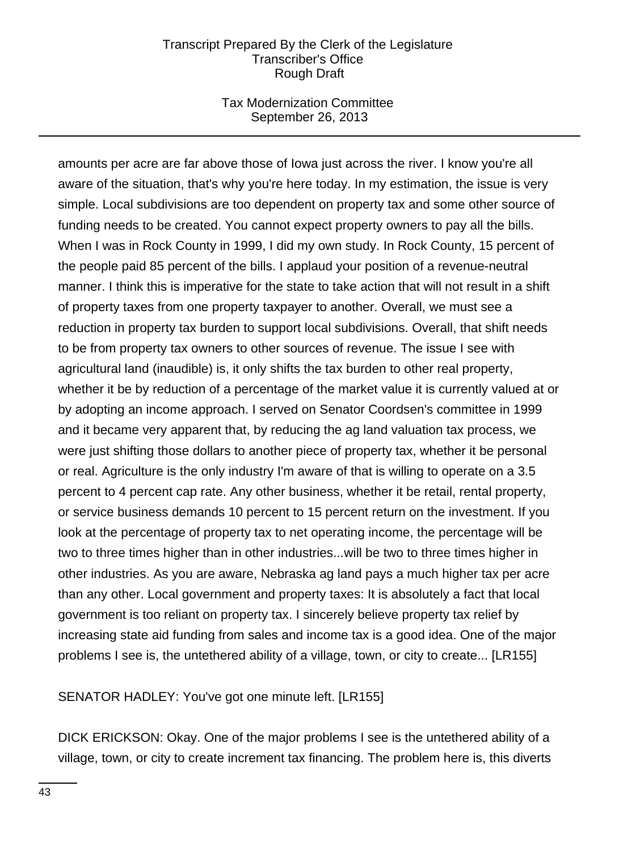## Tax Modernization Committee September 26, 2013

amounts per acre are far above those of Iowa just across the river. I know you're all aware of the situation, that's why you're here today. In my estimation, the issue is very simple. Local subdivisions are too dependent on property tax and some other source of funding needs to be created. You cannot expect property owners to pay all the bills. When I was in Rock County in 1999, I did my own study. In Rock County, 15 percent of the people paid 85 percent of the bills. I applaud your position of a revenue-neutral manner. I think this is imperative for the state to take action that will not result in a shift of property taxes from one property taxpayer to another. Overall, we must see a reduction in property tax burden to support local subdivisions. Overall, that shift needs to be from property tax owners to other sources of revenue. The issue I see with agricultural land (inaudible) is, it only shifts the tax burden to other real property, whether it be by reduction of a percentage of the market value it is currently valued at or by adopting an income approach. I served on Senator Coordsen's committee in 1999 and it became very apparent that, by reducing the ag land valuation tax process, we were just shifting those dollars to another piece of property tax, whether it be personal or real. Agriculture is the only industry I'm aware of that is willing to operate on a 3.5 percent to 4 percent cap rate. Any other business, whether it be retail, rental property, or service business demands 10 percent to 15 percent return on the investment. If you look at the percentage of property tax to net operating income, the percentage will be two to three times higher than in other industries...will be two to three times higher in other industries. As you are aware, Nebraska ag land pays a much higher tax per acre than any other. Local government and property taxes: It is absolutely a fact that local government is too reliant on property tax. I sincerely believe property tax relief by increasing state aid funding from sales and income tax is a good idea. One of the major problems I see is, the untethered ability of a village, town, or city to create... [LR155]

SENATOR HADLEY: You've got one minute left. [LR155]

DICK ERICKSON: Okay. One of the major problems I see is the untethered ability of a village, town, or city to create increment tax financing. The problem here is, this diverts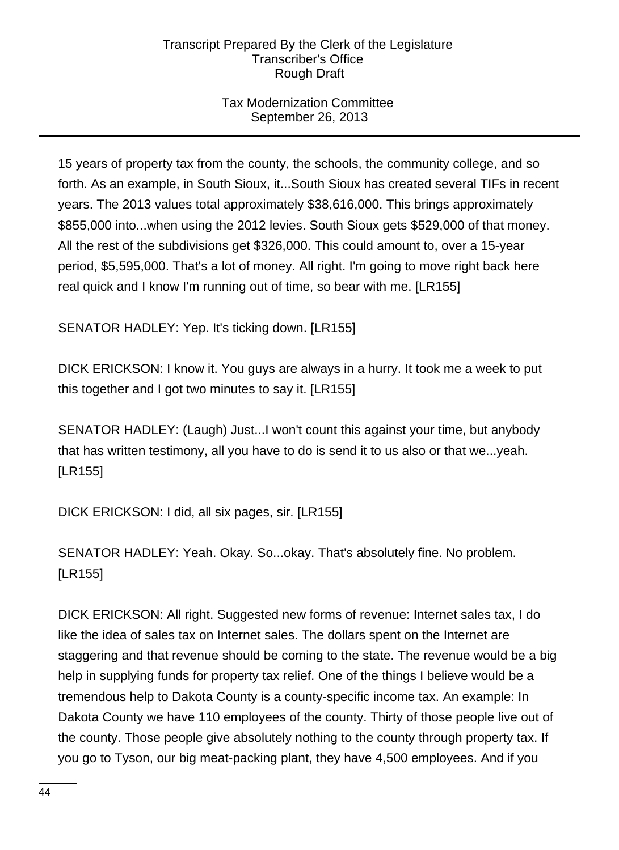## Tax Modernization Committee September 26, 2013

15 years of property tax from the county, the schools, the community college, and so forth. As an example, in South Sioux, it...South Sioux has created several TIFs in recent years. The 2013 values total approximately \$38,616,000. This brings approximately \$855,000 into...when using the 2012 levies. South Sioux gets \$529,000 of that money. All the rest of the subdivisions get \$326,000. This could amount to, over a 15-year period, \$5,595,000. That's a lot of money. All right. I'm going to move right back here real quick and I know I'm running out of time, so bear with me. [LR155]

SENATOR HADLEY: Yep. It's ticking down. [LR155]

DICK ERICKSON: I know it. You guys are always in a hurry. It took me a week to put this together and I got two minutes to say it. [LR155]

SENATOR HADLEY: (Laugh) Just...I won't count this against your time, but anybody that has written testimony, all you have to do is send it to us also or that we...yeah. [LR155]

DICK ERICKSON: I did, all six pages, sir. [LR155]

SENATOR HADLEY: Yeah. Okay. So...okay. That's absolutely fine. No problem. [LR155]

DICK ERICKSON: All right. Suggested new forms of revenue: Internet sales tax, I do like the idea of sales tax on Internet sales. The dollars spent on the Internet are staggering and that revenue should be coming to the state. The revenue would be a big help in supplying funds for property tax relief. One of the things I believe would be a tremendous help to Dakota County is a county-specific income tax. An example: In Dakota County we have 110 employees of the county. Thirty of those people live out of the county. Those people give absolutely nothing to the county through property tax. If you go to Tyson, our big meat-packing plant, they have 4,500 employees. And if you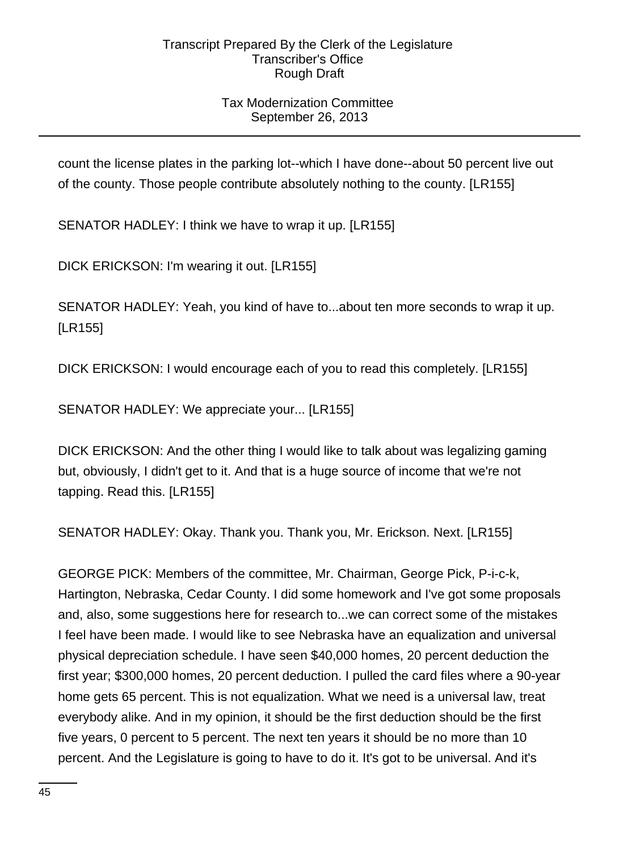## Tax Modernization Committee September 26, 2013

count the license plates in the parking lot--which I have done--about 50 percent live out of the county. Those people contribute absolutely nothing to the county. [LR155]

SENATOR HADLEY: I think we have to wrap it up. [LR155]

DICK ERICKSON: I'm wearing it out. [LR155]

SENATOR HADLEY: Yeah, you kind of have to...about ten more seconds to wrap it up. [LR155]

DICK ERICKSON: I would encourage each of you to read this completely. [LR155]

SENATOR HADLEY: We appreciate your... [LR155]

DICK ERICKSON: And the other thing I would like to talk about was legalizing gaming but, obviously, I didn't get to it. And that is a huge source of income that we're not tapping. Read this. [LR155]

SENATOR HADLEY: Okay. Thank you. Thank you, Mr. Erickson. Next. [LR155]

GEORGE PICK: Members of the committee, Mr. Chairman, George Pick, P-i-c-k, Hartington, Nebraska, Cedar County. I did some homework and I've got some proposals and, also, some suggestions here for research to...we can correct some of the mistakes I feel have been made. I would like to see Nebraska have an equalization and universal physical depreciation schedule. I have seen \$40,000 homes, 20 percent deduction the first year; \$300,000 homes, 20 percent deduction. I pulled the card files where a 90-year home gets 65 percent. This is not equalization. What we need is a universal law, treat everybody alike. And in my opinion, it should be the first deduction should be the first five years, 0 percent to 5 percent. The next ten years it should be no more than 10 percent. And the Legislature is going to have to do it. It's got to be universal. And it's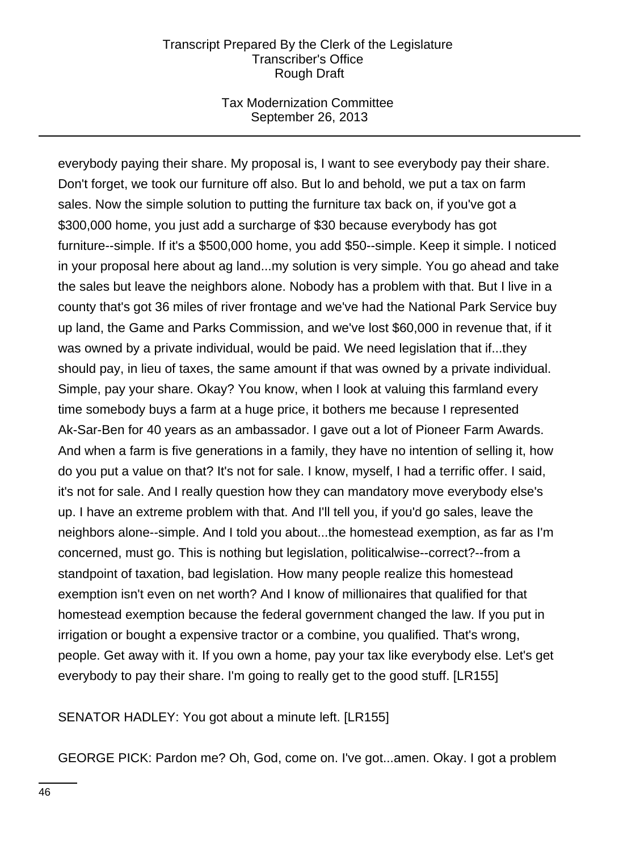## Tax Modernization Committee September 26, 2013

everybody paying their share. My proposal is, I want to see everybody pay their share. Don't forget, we took our furniture off also. But lo and behold, we put a tax on farm sales. Now the simple solution to putting the furniture tax back on, if you've got a \$300,000 home, you just add a surcharge of \$30 because everybody has got furniture--simple. If it's a \$500,000 home, you add \$50--simple. Keep it simple. I noticed in your proposal here about ag land...my solution is very simple. You go ahead and take the sales but leave the neighbors alone. Nobody has a problem with that. But I live in a county that's got 36 miles of river frontage and we've had the National Park Service buy up land, the Game and Parks Commission, and we've lost \$60,000 in revenue that, if it was owned by a private individual, would be paid. We need legislation that if...they should pay, in lieu of taxes, the same amount if that was owned by a private individual. Simple, pay your share. Okay? You know, when I look at valuing this farmland every time somebody buys a farm at a huge price, it bothers me because I represented Ak-Sar-Ben for 40 years as an ambassador. I gave out a lot of Pioneer Farm Awards. And when a farm is five generations in a family, they have no intention of selling it, how do you put a value on that? It's not for sale. I know, myself, I had a terrific offer. I said, it's not for sale. And I really question how they can mandatory move everybody else's up. I have an extreme problem with that. And I'll tell you, if you'd go sales, leave the neighbors alone--simple. And I told you about...the homestead exemption, as far as I'm concerned, must go. This is nothing but legislation, politicalwise--correct?--from a standpoint of taxation, bad legislation. How many people realize this homestead exemption isn't even on net worth? And I know of millionaires that qualified for that homestead exemption because the federal government changed the law. If you put in irrigation or bought a expensive tractor or a combine, you qualified. That's wrong, people. Get away with it. If you own a home, pay your tax like everybody else. Let's get everybody to pay their share. I'm going to really get to the good stuff. [LR155]

SENATOR HADLEY: You got about a minute left. [LR155]

GEORGE PICK: Pardon me? Oh, God, come on. I've got...amen. Okay. I got a problem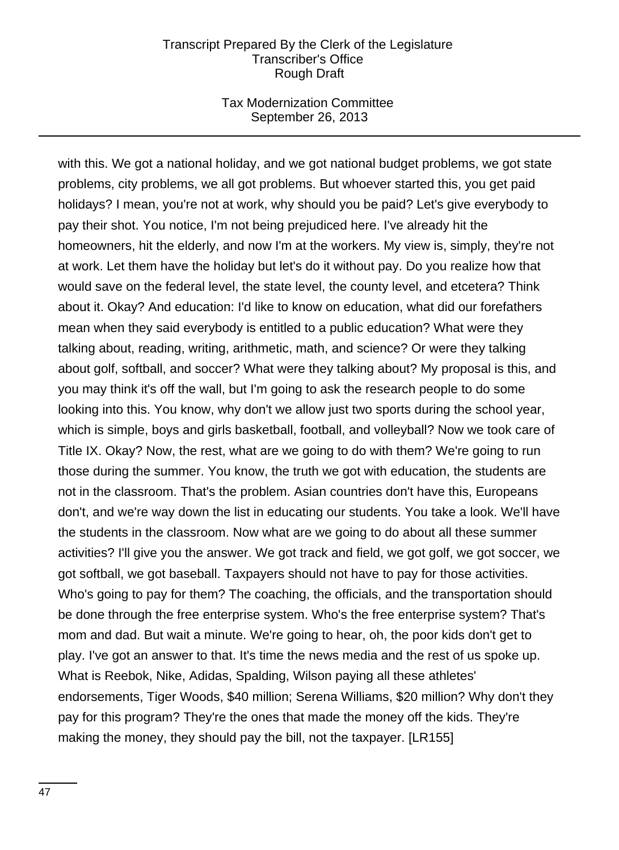### Tax Modernization Committee September 26, 2013

with this. We got a national holiday, and we got national budget problems, we got state problems, city problems, we all got problems. But whoever started this, you get paid holidays? I mean, you're not at work, why should you be paid? Let's give everybody to pay their shot. You notice, I'm not being prejudiced here. I've already hit the homeowners, hit the elderly, and now I'm at the workers. My view is, simply, they're not at work. Let them have the holiday but let's do it without pay. Do you realize how that would save on the federal level, the state level, the county level, and etcetera? Think about it. Okay? And education: I'd like to know on education, what did our forefathers mean when they said everybody is entitled to a public education? What were they talking about, reading, writing, arithmetic, math, and science? Or were they talking about golf, softball, and soccer? What were they talking about? My proposal is this, and you may think it's off the wall, but I'm going to ask the research people to do some looking into this. You know, why don't we allow just two sports during the school year, which is simple, boys and girls basketball, football, and volleyball? Now we took care of Title IX. Okay? Now, the rest, what are we going to do with them? We're going to run those during the summer. You know, the truth we got with education, the students are not in the classroom. That's the problem. Asian countries don't have this, Europeans don't, and we're way down the list in educating our students. You take a look. We'll have the students in the classroom. Now what are we going to do about all these summer activities? I'll give you the answer. We got track and field, we got golf, we got soccer, we got softball, we got baseball. Taxpayers should not have to pay for those activities. Who's going to pay for them? The coaching, the officials, and the transportation should be done through the free enterprise system. Who's the free enterprise system? That's mom and dad. But wait a minute. We're going to hear, oh, the poor kids don't get to play. I've got an answer to that. It's time the news media and the rest of us spoke up. What is Reebok, Nike, Adidas, Spalding, Wilson paying all these athletes' endorsements, Tiger Woods, \$40 million; Serena Williams, \$20 million? Why don't they pay for this program? They're the ones that made the money off the kids. They're making the money, they should pay the bill, not the taxpayer. [LR155]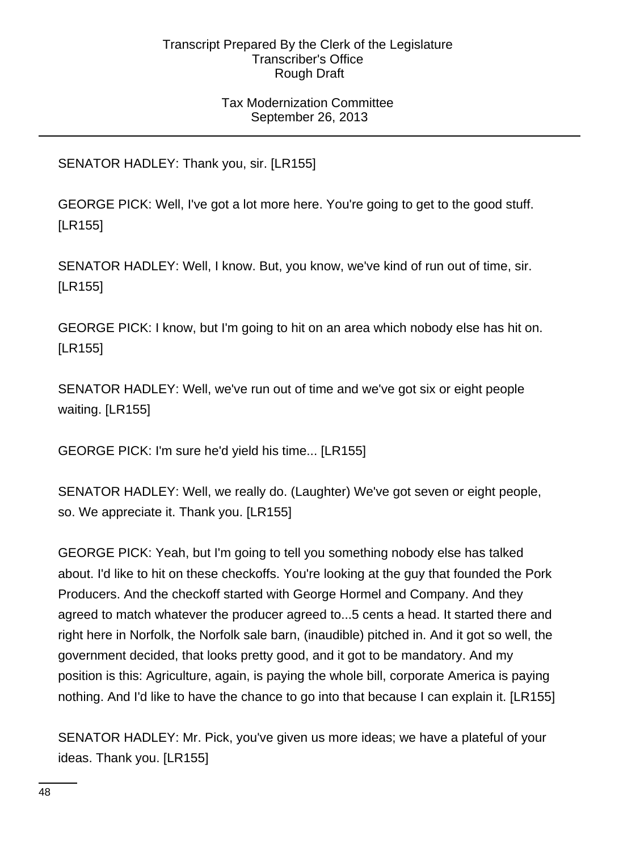## Tax Modernization Committee September 26, 2013

SENATOR HADLEY: Thank you, sir. [LR155]

GEORGE PICK: Well, I've got a lot more here. You're going to get to the good stuff. [LR155]

SENATOR HADLEY: Well, I know. But, you know, we've kind of run out of time, sir. [LR155]

GEORGE PICK: I know, but I'm going to hit on an area which nobody else has hit on. [LR155]

SENATOR HADLEY: Well, we've run out of time and we've got six or eight people waiting. [LR155]

GEORGE PICK: I'm sure he'd yield his time... [LR155]

SENATOR HADLEY: Well, we really do. (Laughter) We've got seven or eight people, so. We appreciate it. Thank you. [LR155]

GEORGE PICK: Yeah, but I'm going to tell you something nobody else has talked about. I'd like to hit on these checkoffs. You're looking at the guy that founded the Pork Producers. And the checkoff started with George Hormel and Company. And they agreed to match whatever the producer agreed to...5 cents a head. It started there and right here in Norfolk, the Norfolk sale barn, (inaudible) pitched in. And it got so well, the government decided, that looks pretty good, and it got to be mandatory. And my position is this: Agriculture, again, is paying the whole bill, corporate America is paying nothing. And I'd like to have the chance to go into that because I can explain it. [LR155]

SENATOR HADLEY: Mr. Pick, you've given us more ideas; we have a plateful of your ideas. Thank you. [LR155]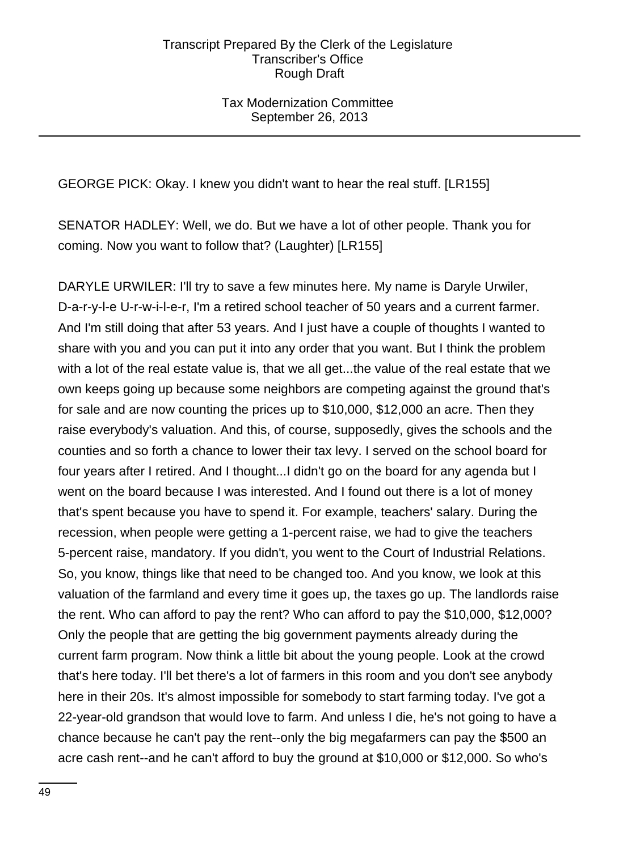Tax Modernization Committee September 26, 2013

GEORGE PICK: Okay. I knew you didn't want to hear the real stuff. [LR155]

SENATOR HADLEY: Well, we do. But we have a lot of other people. Thank you for coming. Now you want to follow that? (Laughter) [LR155]

DARYLE URWILER: I'll try to save a few minutes here. My name is Daryle Urwiler, D-a-r-y-l-e U-r-w-i-l-e-r, I'm a retired school teacher of 50 years and a current farmer. And I'm still doing that after 53 years. And I just have a couple of thoughts I wanted to share with you and you can put it into any order that you want. But I think the problem with a lot of the real estate value is, that we all get...the value of the real estate that we own keeps going up because some neighbors are competing against the ground that's for sale and are now counting the prices up to \$10,000, \$12,000 an acre. Then they raise everybody's valuation. And this, of course, supposedly, gives the schools and the counties and so forth a chance to lower their tax levy. I served on the school board for four years after I retired. And I thought...I didn't go on the board for any agenda but I went on the board because I was interested. And I found out there is a lot of money that's spent because you have to spend it. For example, teachers' salary. During the recession, when people were getting a 1-percent raise, we had to give the teachers 5-percent raise, mandatory. If you didn't, you went to the Court of Industrial Relations. So, you know, things like that need to be changed too. And you know, we look at this valuation of the farmland and every time it goes up, the taxes go up. The landlords raise the rent. Who can afford to pay the rent? Who can afford to pay the \$10,000, \$12,000? Only the people that are getting the big government payments already during the current farm program. Now think a little bit about the young people. Look at the crowd that's here today. I'll bet there's a lot of farmers in this room and you don't see anybody here in their 20s. It's almost impossible for somebody to start farming today. I've got a 22-year-old grandson that would love to farm. And unless I die, he's not going to have a chance because he can't pay the rent--only the big megafarmers can pay the \$500 an acre cash rent--and he can't afford to buy the ground at \$10,000 or \$12,000. So who's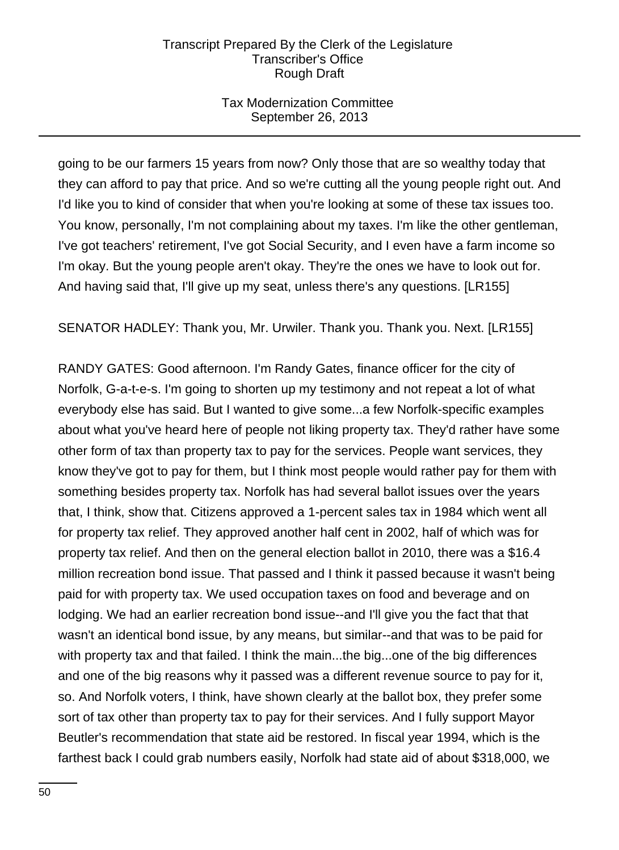## Tax Modernization Committee September 26, 2013

going to be our farmers 15 years from now? Only those that are so wealthy today that they can afford to pay that price. And so we're cutting all the young people right out. And I'd like you to kind of consider that when you're looking at some of these tax issues too. You know, personally, I'm not complaining about my taxes. I'm like the other gentleman, I've got teachers' retirement, I've got Social Security, and I even have a farm income so I'm okay. But the young people aren't okay. They're the ones we have to look out for. And having said that, I'll give up my seat, unless there's any questions. [LR155]

SENATOR HADLEY: Thank you, Mr. Urwiler. Thank you. Thank you. Next. [LR155]

RANDY GATES: Good afternoon. I'm Randy Gates, finance officer for the city of Norfolk, G-a-t-e-s. I'm going to shorten up my testimony and not repeat a lot of what everybody else has said. But I wanted to give some...a few Norfolk-specific examples about what you've heard here of people not liking property tax. They'd rather have some other form of tax than property tax to pay for the services. People want services, they know they've got to pay for them, but I think most people would rather pay for them with something besides property tax. Norfolk has had several ballot issues over the years that, I think, show that. Citizens approved a 1-percent sales tax in 1984 which went all for property tax relief. They approved another half cent in 2002, half of which was for property tax relief. And then on the general election ballot in 2010, there was a \$16.4 million recreation bond issue. That passed and I think it passed because it wasn't being paid for with property tax. We used occupation taxes on food and beverage and on lodging. We had an earlier recreation bond issue--and I'll give you the fact that that wasn't an identical bond issue, by any means, but similar--and that was to be paid for with property tax and that failed. I think the main...the big...one of the big differences and one of the big reasons why it passed was a different revenue source to pay for it, so. And Norfolk voters, I think, have shown clearly at the ballot box, they prefer some sort of tax other than property tax to pay for their services. And I fully support Mayor Beutler's recommendation that state aid be restored. In fiscal year 1994, which is the farthest back I could grab numbers easily, Norfolk had state aid of about \$318,000, we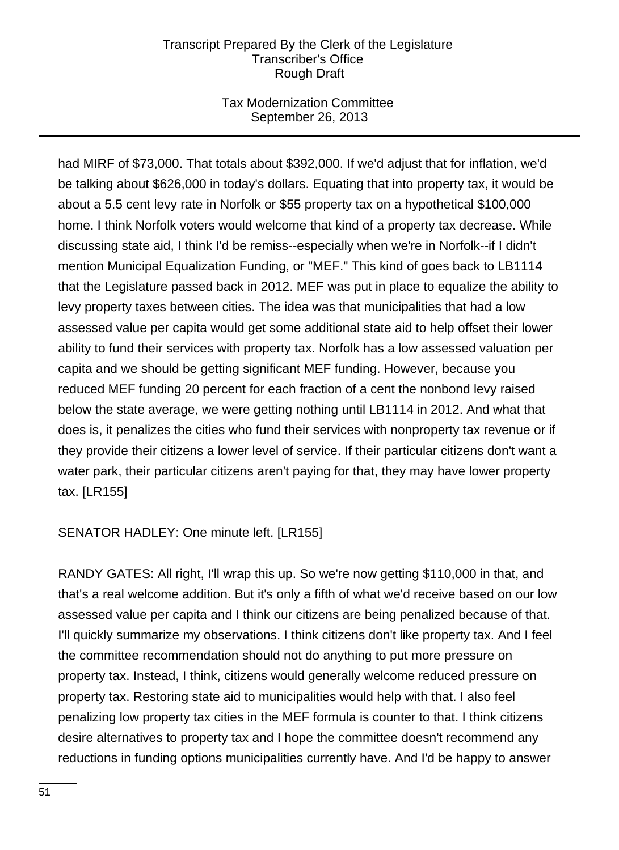## Tax Modernization Committee September 26, 2013

had MIRF of \$73,000. That totals about \$392,000. If we'd adjust that for inflation, we'd be talking about \$626,000 in today's dollars. Equating that into property tax, it would be about a 5.5 cent levy rate in Norfolk or \$55 property tax on a hypothetical \$100,000 home. I think Norfolk voters would welcome that kind of a property tax decrease. While discussing state aid, I think I'd be remiss--especially when we're in Norfolk--if I didn't mention Municipal Equalization Funding, or "MEF." This kind of goes back to LB1114 that the Legislature passed back in 2012. MEF was put in place to equalize the ability to levy property taxes between cities. The idea was that municipalities that had a low assessed value per capita would get some additional state aid to help offset their lower ability to fund their services with property tax. Norfolk has a low assessed valuation per capita and we should be getting significant MEF funding. However, because you reduced MEF funding 20 percent for each fraction of a cent the nonbond levy raised below the state average, we were getting nothing until LB1114 in 2012. And what that does is, it penalizes the cities who fund their services with nonproperty tax revenue or if they provide their citizens a lower level of service. If their particular citizens don't want a water park, their particular citizens aren't paying for that, they may have lower property tax. [LR155]

SENATOR HADLEY: One minute left. [LR155]

RANDY GATES: All right, I'll wrap this up. So we're now getting \$110,000 in that, and that's a real welcome addition. But it's only a fifth of what we'd receive based on our low assessed value per capita and I think our citizens are being penalized because of that. I'll quickly summarize my observations. I think citizens don't like property tax. And I feel the committee recommendation should not do anything to put more pressure on property tax. Instead, I think, citizens would generally welcome reduced pressure on property tax. Restoring state aid to municipalities would help with that. I also feel penalizing low property tax cities in the MEF formula is counter to that. I think citizens desire alternatives to property tax and I hope the committee doesn't recommend any reductions in funding options municipalities currently have. And I'd be happy to answer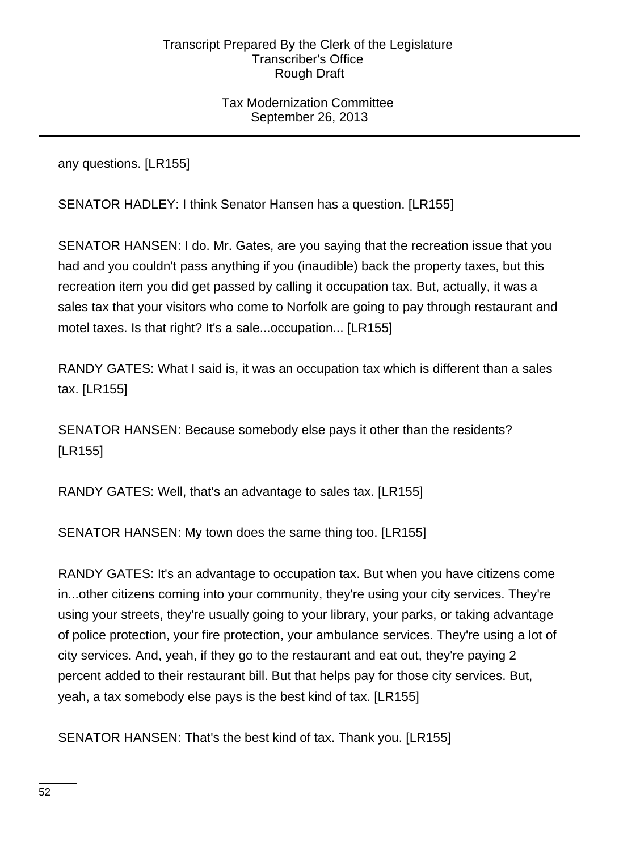## Tax Modernization Committee September 26, 2013

any questions. [LR155]

SENATOR HADLEY: I think Senator Hansen has a question. [LR155]

SENATOR HANSEN: I do. Mr. Gates, are you saying that the recreation issue that you had and you couldn't pass anything if you (inaudible) back the property taxes, but this recreation item you did get passed by calling it occupation tax. But, actually, it was a sales tax that your visitors who come to Norfolk are going to pay through restaurant and motel taxes. Is that right? It's a sale...occupation... [LR155]

RANDY GATES: What I said is, it was an occupation tax which is different than a sales tax. [LR155]

SENATOR HANSEN: Because somebody else pays it other than the residents? [LR155]

RANDY GATES: Well, that's an advantage to sales tax. [LR155]

SENATOR HANSEN: My town does the same thing too. [LR155]

RANDY GATES: It's an advantage to occupation tax. But when you have citizens come in...other citizens coming into your community, they're using your city services. They're using your streets, they're usually going to your library, your parks, or taking advantage of police protection, your fire protection, your ambulance services. They're using a lot of city services. And, yeah, if they go to the restaurant and eat out, they're paying 2 percent added to their restaurant bill. But that helps pay for those city services. But, yeah, a tax somebody else pays is the best kind of tax. [LR155]

SENATOR HANSEN: That's the best kind of tax. Thank you. [LR155]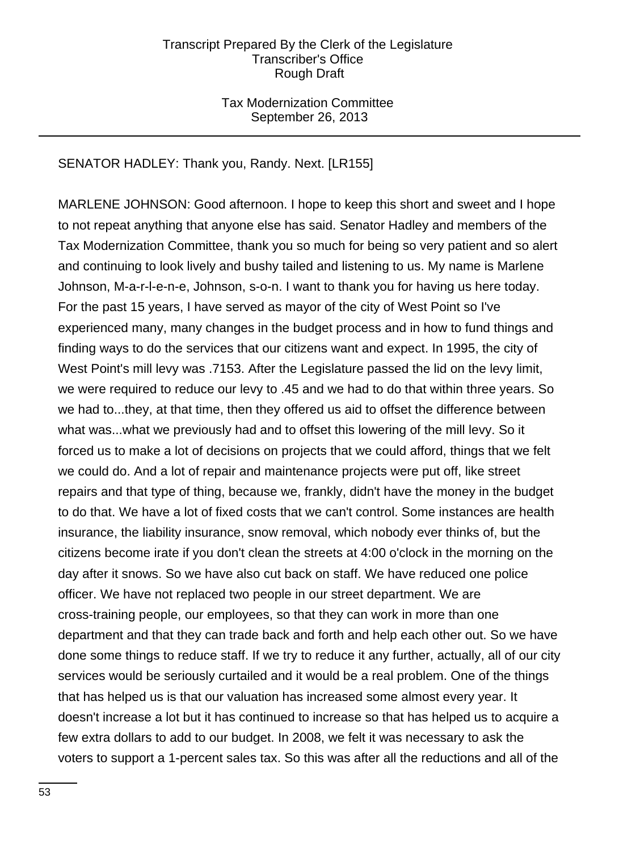## Tax Modernization Committee September 26, 2013

## SENATOR HADLEY: Thank you, Randy. Next. [LR155]

MARLENE JOHNSON: Good afternoon. I hope to keep this short and sweet and I hope to not repeat anything that anyone else has said. Senator Hadley and members of the Tax Modernization Committee, thank you so much for being so very patient and so alert and continuing to look lively and bushy tailed and listening to us. My name is Marlene Johnson, M-a-r-l-e-n-e, Johnson, s-o-n. I want to thank you for having us here today. For the past 15 years, I have served as mayor of the city of West Point so I've experienced many, many changes in the budget process and in how to fund things and finding ways to do the services that our citizens want and expect. In 1995, the city of West Point's mill levy was .7153. After the Legislature passed the lid on the levy limit, we were required to reduce our levy to .45 and we had to do that within three years. So we had to...they, at that time, then they offered us aid to offset the difference between what was...what we previously had and to offset this lowering of the mill levy. So it forced us to make a lot of decisions on projects that we could afford, things that we felt we could do. And a lot of repair and maintenance projects were put off, like street repairs and that type of thing, because we, frankly, didn't have the money in the budget to do that. We have a lot of fixed costs that we can't control. Some instances are health insurance, the liability insurance, snow removal, which nobody ever thinks of, but the citizens become irate if you don't clean the streets at 4:00 o'clock in the morning on the day after it snows. So we have also cut back on staff. We have reduced one police officer. We have not replaced two people in our street department. We are cross-training people, our employees, so that they can work in more than one department and that they can trade back and forth and help each other out. So we have done some things to reduce staff. If we try to reduce it any further, actually, all of our city services would be seriously curtailed and it would be a real problem. One of the things that has helped us is that our valuation has increased some almost every year. It doesn't increase a lot but it has continued to increase so that has helped us to acquire a few extra dollars to add to our budget. In 2008, we felt it was necessary to ask the voters to support a 1-percent sales tax. So this was after all the reductions and all of the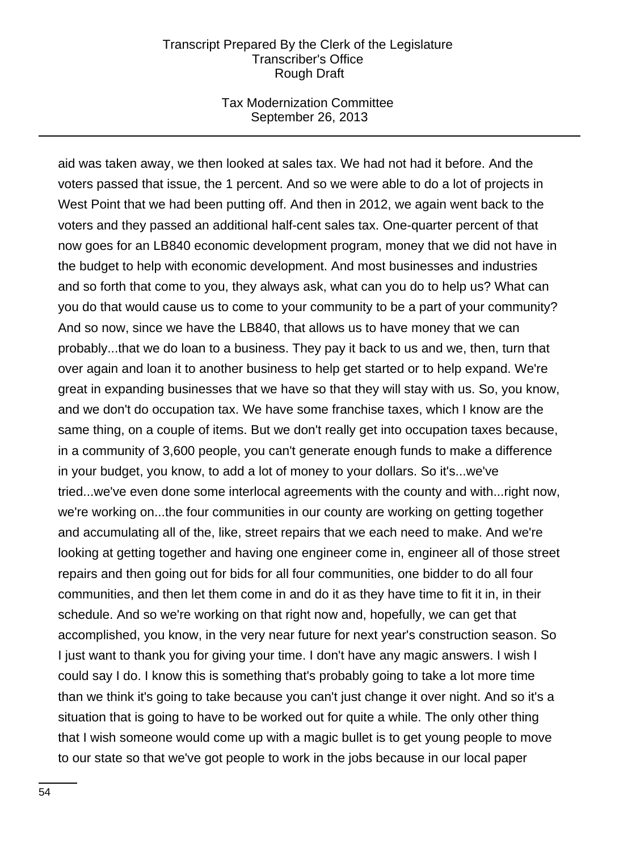## Tax Modernization Committee September 26, 2013

aid was taken away, we then looked at sales tax. We had not had it before. And the voters passed that issue, the 1 percent. And so we were able to do a lot of projects in West Point that we had been putting off. And then in 2012, we again went back to the voters and they passed an additional half-cent sales tax. One-quarter percent of that now goes for an LB840 economic development program, money that we did not have in the budget to help with economic development. And most businesses and industries and so forth that come to you, they always ask, what can you do to help us? What can you do that would cause us to come to your community to be a part of your community? And so now, since we have the LB840, that allows us to have money that we can probably...that we do loan to a business. They pay it back to us and we, then, turn that over again and loan it to another business to help get started or to help expand. We're great in expanding businesses that we have so that they will stay with us. So, you know, and we don't do occupation tax. We have some franchise taxes, which I know are the same thing, on a couple of items. But we don't really get into occupation taxes because, in a community of 3,600 people, you can't generate enough funds to make a difference in your budget, you know, to add a lot of money to your dollars. So it's...we've tried...we've even done some interlocal agreements with the county and with...right now, we're working on...the four communities in our county are working on getting together and accumulating all of the, like, street repairs that we each need to make. And we're looking at getting together and having one engineer come in, engineer all of those street repairs and then going out for bids for all four communities, one bidder to do all four communities, and then let them come in and do it as they have time to fit it in, in their schedule. And so we're working on that right now and, hopefully, we can get that accomplished, you know, in the very near future for next year's construction season. So I just want to thank you for giving your time. I don't have any magic answers. I wish I could say I do. I know this is something that's probably going to take a lot more time than we think it's going to take because you can't just change it over night. And so it's a situation that is going to have to be worked out for quite a while. The only other thing that I wish someone would come up with a magic bullet is to get young people to move to our state so that we've got people to work in the jobs because in our local paper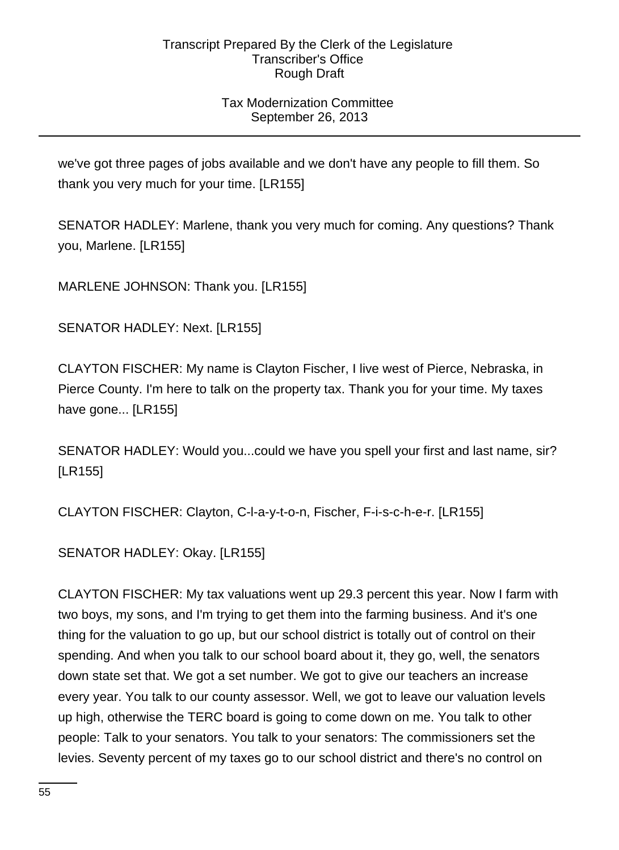## Tax Modernization Committee September 26, 2013

we've got three pages of jobs available and we don't have any people to fill them. So thank you very much for your time. [LR155]

SENATOR HADLEY: Marlene, thank you very much for coming. Any questions? Thank you, Marlene. [LR155]

MARLENE JOHNSON: Thank you. [LR155]

SENATOR HADLEY: Next. [LR155]

CLAYTON FISCHER: My name is Clayton Fischer, I live west of Pierce, Nebraska, in Pierce County. I'm here to talk on the property tax. Thank you for your time. My taxes have gone... [LR155]

SENATOR HADLEY: Would you...could we have you spell your first and last name, sir? [LR155]

CLAYTON FISCHER: Clayton, C-l-a-y-t-o-n, Fischer, F-i-s-c-h-e-r. [LR155]

SENATOR HADLEY: Okay. [LR155]

CLAYTON FISCHER: My tax valuations went up 29.3 percent this year. Now I farm with two boys, my sons, and I'm trying to get them into the farming business. And it's one thing for the valuation to go up, but our school district is totally out of control on their spending. And when you talk to our school board about it, they go, well, the senators down state set that. We got a set number. We got to give our teachers an increase every year. You talk to our county assessor. Well, we got to leave our valuation levels up high, otherwise the TERC board is going to come down on me. You talk to other people: Talk to your senators. You talk to your senators: The commissioners set the levies. Seventy percent of my taxes go to our school district and there's no control on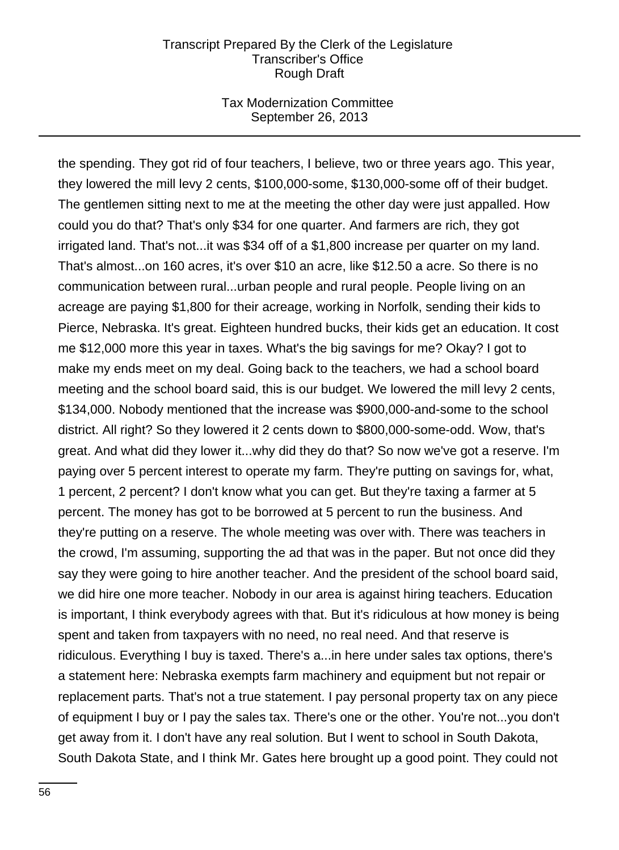### Tax Modernization Committee September 26, 2013

the spending. They got rid of four teachers, I believe, two or three years ago. This year, they lowered the mill levy 2 cents, \$100,000-some, \$130,000-some off of their budget. The gentlemen sitting next to me at the meeting the other day were just appalled. How could you do that? That's only \$34 for one quarter. And farmers are rich, they got irrigated land. That's not...it was \$34 off of a \$1,800 increase per quarter on my land. That's almost...on 160 acres, it's over \$10 an acre, like \$12.50 a acre. So there is no communication between rural...urban people and rural people. People living on an acreage are paying \$1,800 for their acreage, working in Norfolk, sending their kids to Pierce, Nebraska. It's great. Eighteen hundred bucks, their kids get an education. It cost me \$12,000 more this year in taxes. What's the big savings for me? Okay? I got to make my ends meet on my deal. Going back to the teachers, we had a school board meeting and the school board said, this is our budget. We lowered the mill levy 2 cents, \$134,000. Nobody mentioned that the increase was \$900,000-and-some to the school district. All right? So they lowered it 2 cents down to \$800,000-some-odd. Wow, that's great. And what did they lower it...why did they do that? So now we've got a reserve. I'm paying over 5 percent interest to operate my farm. They're putting on savings for, what, 1 percent, 2 percent? I don't know what you can get. But they're taxing a farmer at 5 percent. The money has got to be borrowed at 5 percent to run the business. And they're putting on a reserve. The whole meeting was over with. There was teachers in the crowd, I'm assuming, supporting the ad that was in the paper. But not once did they say they were going to hire another teacher. And the president of the school board said, we did hire one more teacher. Nobody in our area is against hiring teachers. Education is important, I think everybody agrees with that. But it's ridiculous at how money is being spent and taken from taxpayers with no need, no real need. And that reserve is ridiculous. Everything I buy is taxed. There's a...in here under sales tax options, there's a statement here: Nebraska exempts farm machinery and equipment but not repair or replacement parts. That's not a true statement. I pay personal property tax on any piece of equipment I buy or I pay the sales tax. There's one or the other. You're not...you don't get away from it. I don't have any real solution. But I went to school in South Dakota, South Dakota State, and I think Mr. Gates here brought up a good point. They could not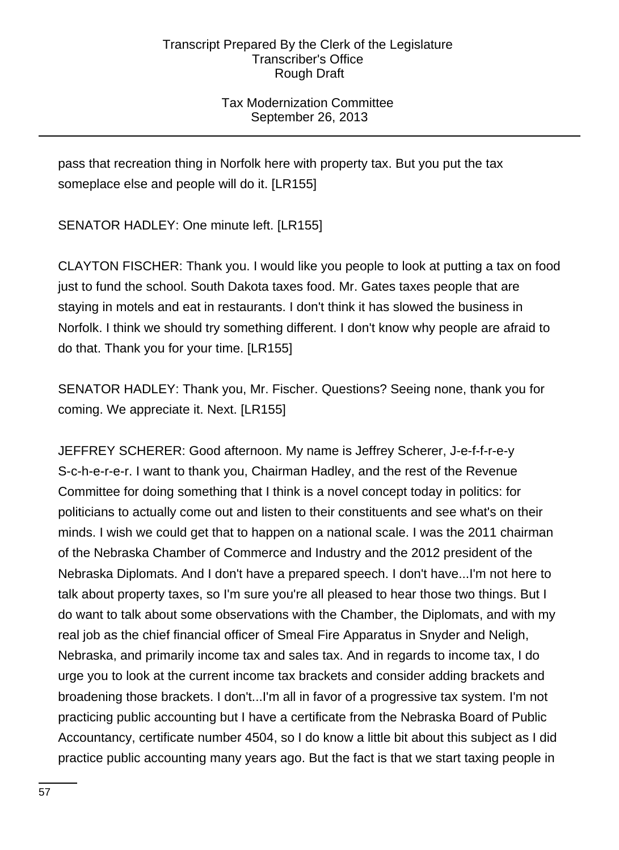## Tax Modernization Committee September 26, 2013

pass that recreation thing in Norfolk here with property tax. But you put the tax someplace else and people will do it. [LR155]

SENATOR HADLEY: One minute left. [LR155]

CLAYTON FISCHER: Thank you. I would like you people to look at putting a tax on food just to fund the school. South Dakota taxes food. Mr. Gates taxes people that are staying in motels and eat in restaurants. I don't think it has slowed the business in Norfolk. I think we should try something different. I don't know why people are afraid to do that. Thank you for your time. [LR155]

SENATOR HADLEY: Thank you, Mr. Fischer. Questions? Seeing none, thank you for coming. We appreciate it. Next. [LR155]

JEFFREY SCHERER: Good afternoon. My name is Jeffrey Scherer, J-e-f-f-r-e-y S-c-h-e-r-e-r. I want to thank you, Chairman Hadley, and the rest of the Revenue Committee for doing something that I think is a novel concept today in politics: for politicians to actually come out and listen to their constituents and see what's on their minds. I wish we could get that to happen on a national scale. I was the 2011 chairman of the Nebraska Chamber of Commerce and Industry and the 2012 president of the Nebraska Diplomats. And I don't have a prepared speech. I don't have...I'm not here to talk about property taxes, so I'm sure you're all pleased to hear those two things. But I do want to talk about some observations with the Chamber, the Diplomats, and with my real job as the chief financial officer of Smeal Fire Apparatus in Snyder and Neligh, Nebraska, and primarily income tax and sales tax. And in regards to income tax, I do urge you to look at the current income tax brackets and consider adding brackets and broadening those brackets. I don't...I'm all in favor of a progressive tax system. I'm not practicing public accounting but I have a certificate from the Nebraska Board of Public Accountancy, certificate number 4504, so I do know a little bit about this subject as I did practice public accounting many years ago. But the fact is that we start taxing people in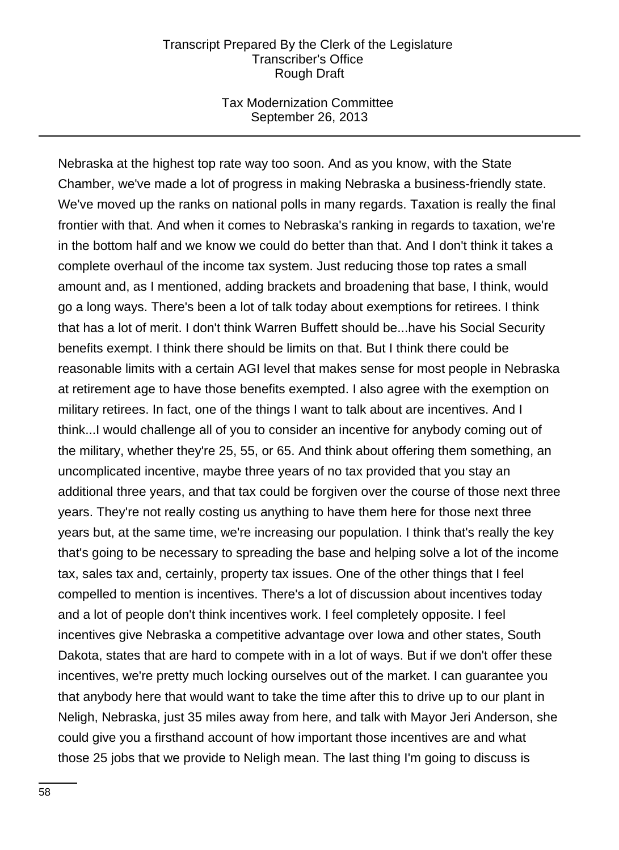### Tax Modernization Committee September 26, 2013

Nebraska at the highest top rate way too soon. And as you know, with the State Chamber, we've made a lot of progress in making Nebraska a business-friendly state. We've moved up the ranks on national polls in many regards. Taxation is really the final frontier with that. And when it comes to Nebraska's ranking in regards to taxation, we're in the bottom half and we know we could do better than that. And I don't think it takes a complete overhaul of the income tax system. Just reducing those top rates a small amount and, as I mentioned, adding brackets and broadening that base, I think, would go a long ways. There's been a lot of talk today about exemptions for retirees. I think that has a lot of merit. I don't think Warren Buffett should be...have his Social Security benefits exempt. I think there should be limits on that. But I think there could be reasonable limits with a certain AGI level that makes sense for most people in Nebraska at retirement age to have those benefits exempted. I also agree with the exemption on military retirees. In fact, one of the things I want to talk about are incentives. And I think...I would challenge all of you to consider an incentive for anybody coming out of the military, whether they're 25, 55, or 65. And think about offering them something, an uncomplicated incentive, maybe three years of no tax provided that you stay an additional three years, and that tax could be forgiven over the course of those next three years. They're not really costing us anything to have them here for those next three years but, at the same time, we're increasing our population. I think that's really the key that's going to be necessary to spreading the base and helping solve a lot of the income tax, sales tax and, certainly, property tax issues. One of the other things that I feel compelled to mention is incentives. There's a lot of discussion about incentives today and a lot of people don't think incentives work. I feel completely opposite. I feel incentives give Nebraska a competitive advantage over Iowa and other states, South Dakota, states that are hard to compete with in a lot of ways. But if we don't offer these incentives, we're pretty much locking ourselves out of the market. I can guarantee you that anybody here that would want to take the time after this to drive up to our plant in Neligh, Nebraska, just 35 miles away from here, and talk with Mayor Jeri Anderson, she could give you a firsthand account of how important those incentives are and what those 25 jobs that we provide to Neligh mean. The last thing I'm going to discuss is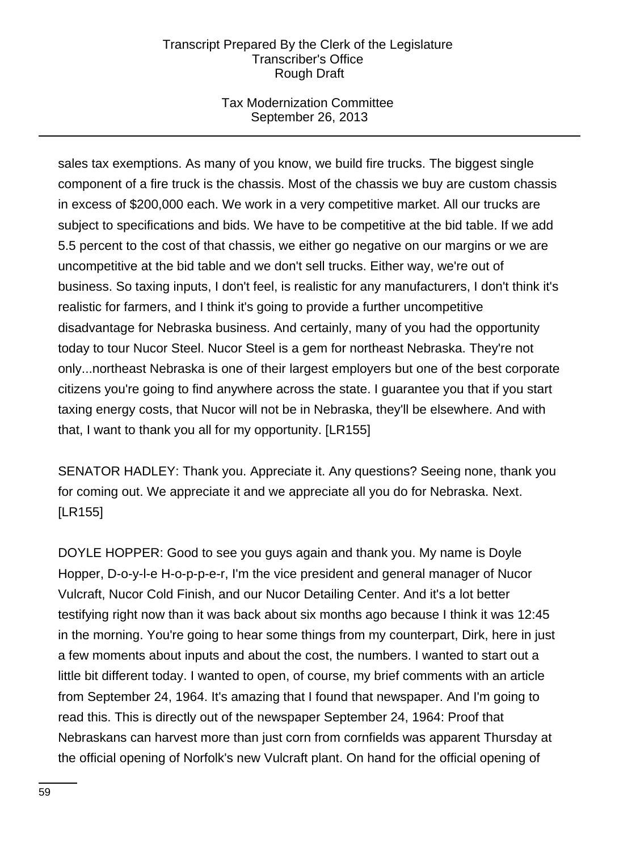## Tax Modernization Committee September 26, 2013

sales tax exemptions. As many of you know, we build fire trucks. The biggest single component of a fire truck is the chassis. Most of the chassis we buy are custom chassis in excess of \$200,000 each. We work in a very competitive market. All our trucks are subject to specifications and bids. We have to be competitive at the bid table. If we add 5.5 percent to the cost of that chassis, we either go negative on our margins or we are uncompetitive at the bid table and we don't sell trucks. Either way, we're out of business. So taxing inputs, I don't feel, is realistic for any manufacturers, I don't think it's realistic for farmers, and I think it's going to provide a further uncompetitive disadvantage for Nebraska business. And certainly, many of you had the opportunity today to tour Nucor Steel. Nucor Steel is a gem for northeast Nebraska. They're not only...northeast Nebraska is one of their largest employers but one of the best corporate citizens you're going to find anywhere across the state. I guarantee you that if you start taxing energy costs, that Nucor will not be in Nebraska, they'll be elsewhere. And with that, I want to thank you all for my opportunity. [LR155]

SENATOR HADLEY: Thank you. Appreciate it. Any questions? Seeing none, thank you for coming out. We appreciate it and we appreciate all you do for Nebraska. Next. [LR155]

DOYLE HOPPER: Good to see you guys again and thank you. My name is Doyle Hopper, D-o-y-l-e H-o-p-p-e-r, I'm the vice president and general manager of Nucor Vulcraft, Nucor Cold Finish, and our Nucor Detailing Center. And it's a lot better testifying right now than it was back about six months ago because I think it was 12:45 in the morning. You're going to hear some things from my counterpart, Dirk, here in just a few moments about inputs and about the cost, the numbers. I wanted to start out a little bit different today. I wanted to open, of course, my brief comments with an article from September 24, 1964. It's amazing that I found that newspaper. And I'm going to read this. This is directly out of the newspaper September 24, 1964: Proof that Nebraskans can harvest more than just corn from cornfields was apparent Thursday at the official opening of Norfolk's new Vulcraft plant. On hand for the official opening of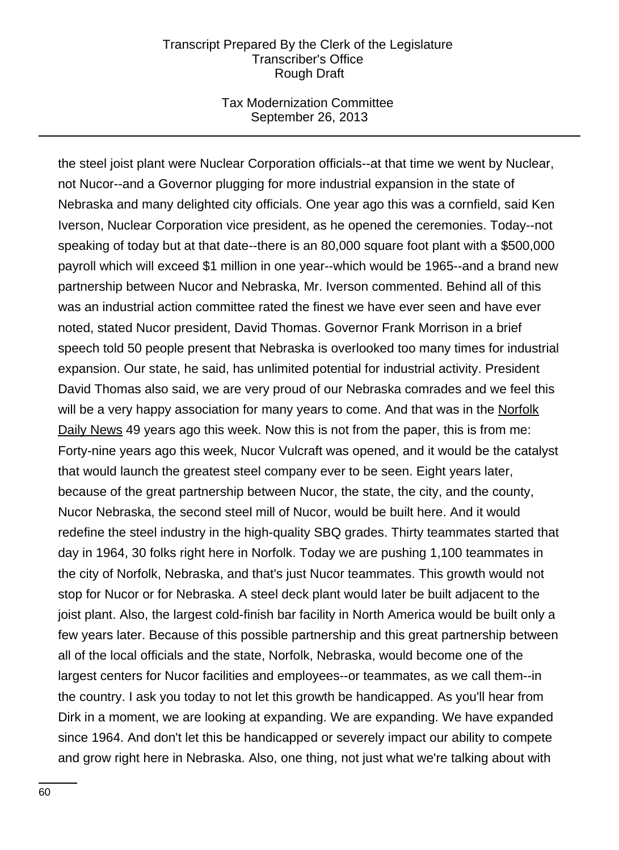### Tax Modernization Committee September 26, 2013

the steel joist plant were Nuclear Corporation officials--at that time we went by Nuclear, not Nucor--and a Governor plugging for more industrial expansion in the state of Nebraska and many delighted city officials. One year ago this was a cornfield, said Ken Iverson, Nuclear Corporation vice president, as he opened the ceremonies. Today--not speaking of today but at that date--there is an 80,000 square foot plant with a \$500,000 payroll which will exceed \$1 million in one year--which would be 1965--and a brand new partnership between Nucor and Nebraska, Mr. Iverson commented. Behind all of this was an industrial action committee rated the finest we have ever seen and have ever noted, stated Nucor president, David Thomas. Governor Frank Morrison in a brief speech told 50 people present that Nebraska is overlooked too many times for industrial expansion. Our state, he said, has unlimited potential for industrial activity. President David Thomas also said, we are very proud of our Nebraska comrades and we feel this will be a very happy association for many years to come. And that was in the Norfolk Daily News 49 years ago this week. Now this is not from the paper, this is from me: Forty-nine years ago this week, Nucor Vulcraft was opened, and it would be the catalyst that would launch the greatest steel company ever to be seen. Eight years later, because of the great partnership between Nucor, the state, the city, and the county, Nucor Nebraska, the second steel mill of Nucor, would be built here. And it would redefine the steel industry in the high-quality SBQ grades. Thirty teammates started that day in 1964, 30 folks right here in Norfolk. Today we are pushing 1,100 teammates in the city of Norfolk, Nebraska, and that's just Nucor teammates. This growth would not stop for Nucor or for Nebraska. A steel deck plant would later be built adjacent to the joist plant. Also, the largest cold-finish bar facility in North America would be built only a few years later. Because of this possible partnership and this great partnership between all of the local officials and the state, Norfolk, Nebraska, would become one of the largest centers for Nucor facilities and employees--or teammates, as we call them--in the country. I ask you today to not let this growth be handicapped. As you'll hear from Dirk in a moment, we are looking at expanding. We are expanding. We have expanded since 1964. And don't let this be handicapped or severely impact our ability to compete and grow right here in Nebraska. Also, one thing, not just what we're talking about with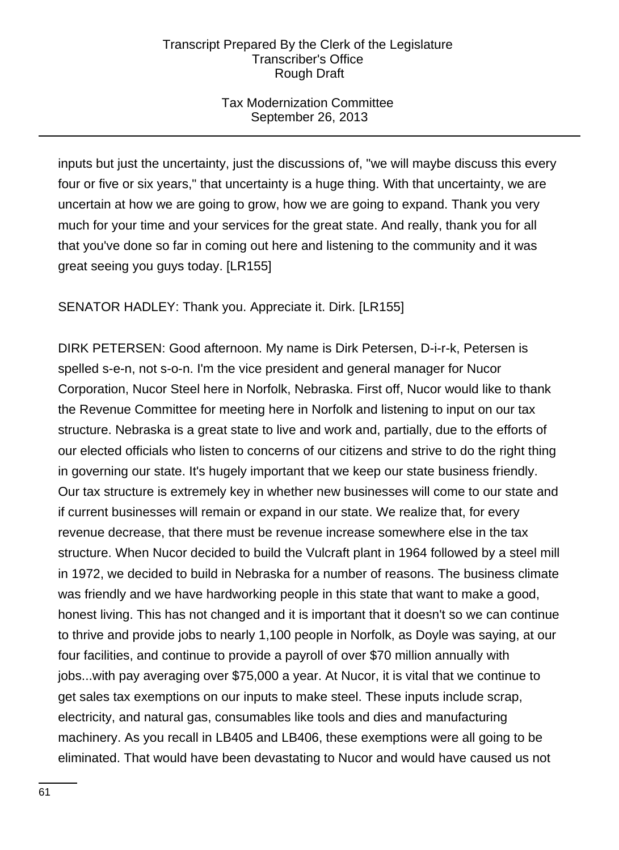## Tax Modernization Committee September 26, 2013

inputs but just the uncertainty, just the discussions of, "we will maybe discuss this every four or five or six years," that uncertainty is a huge thing. With that uncertainty, we are uncertain at how we are going to grow, how we are going to expand. Thank you very much for your time and your services for the great state. And really, thank you for all that you've done so far in coming out here and listening to the community and it was great seeing you guys today. [LR155]

# SENATOR HADLEY: Thank you. Appreciate it. Dirk. [LR155]

DIRK PETERSEN: Good afternoon. My name is Dirk Petersen, D-i-r-k, Petersen is spelled s-e-n, not s-o-n. I'm the vice president and general manager for Nucor Corporation, Nucor Steel here in Norfolk, Nebraska. First off, Nucor would like to thank the Revenue Committee for meeting here in Norfolk and listening to input on our tax structure. Nebraska is a great state to live and work and, partially, due to the efforts of our elected officials who listen to concerns of our citizens and strive to do the right thing in governing our state. It's hugely important that we keep our state business friendly. Our tax structure is extremely key in whether new businesses will come to our state and if current businesses will remain or expand in our state. We realize that, for every revenue decrease, that there must be revenue increase somewhere else in the tax structure. When Nucor decided to build the Vulcraft plant in 1964 followed by a steel mill in 1972, we decided to build in Nebraska for a number of reasons. The business climate was friendly and we have hardworking people in this state that want to make a good, honest living. This has not changed and it is important that it doesn't so we can continue to thrive and provide jobs to nearly 1,100 people in Norfolk, as Doyle was saying, at our four facilities, and continue to provide a payroll of over \$70 million annually with jobs...with pay averaging over \$75,000 a year. At Nucor, it is vital that we continue to get sales tax exemptions on our inputs to make steel. These inputs include scrap, electricity, and natural gas, consumables like tools and dies and manufacturing machinery. As you recall in LB405 and LB406, these exemptions were all going to be eliminated. That would have been devastating to Nucor and would have caused us not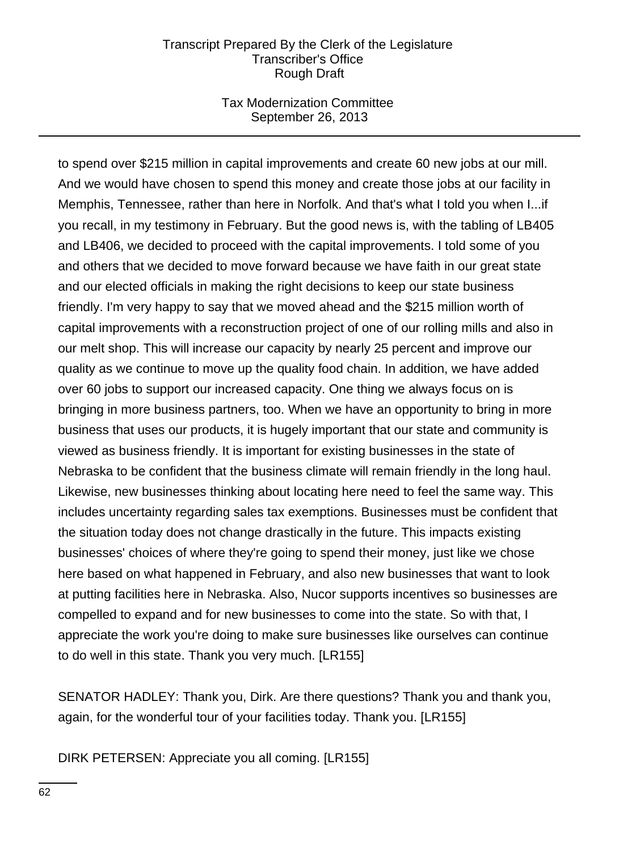## Tax Modernization Committee September 26, 2013

to spend over \$215 million in capital improvements and create 60 new jobs at our mill. And we would have chosen to spend this money and create those jobs at our facility in Memphis, Tennessee, rather than here in Norfolk. And that's what I told you when I...if you recall, in my testimony in February. But the good news is, with the tabling of LB405 and LB406, we decided to proceed with the capital improvements. I told some of you and others that we decided to move forward because we have faith in our great state and our elected officials in making the right decisions to keep our state business friendly. I'm very happy to say that we moved ahead and the \$215 million worth of capital improvements with a reconstruction project of one of our rolling mills and also in our melt shop. This will increase our capacity by nearly 25 percent and improve our quality as we continue to move up the quality food chain. In addition, we have added over 60 jobs to support our increased capacity. One thing we always focus on is bringing in more business partners, too. When we have an opportunity to bring in more business that uses our products, it is hugely important that our state and community is viewed as business friendly. It is important for existing businesses in the state of Nebraska to be confident that the business climate will remain friendly in the long haul. Likewise, new businesses thinking about locating here need to feel the same way. This includes uncertainty regarding sales tax exemptions. Businesses must be confident that the situation today does not change drastically in the future. This impacts existing businesses' choices of where they're going to spend their money, just like we chose here based on what happened in February, and also new businesses that want to look at putting facilities here in Nebraska. Also, Nucor supports incentives so businesses are compelled to expand and for new businesses to come into the state. So with that, I appreciate the work you're doing to make sure businesses like ourselves can continue to do well in this state. Thank you very much. [LR155]

SENATOR HADLEY: Thank you, Dirk. Are there questions? Thank you and thank you, again, for the wonderful tour of your facilities today. Thank you. [LR155]

DIRK PETERSEN: Appreciate you all coming. [LR155]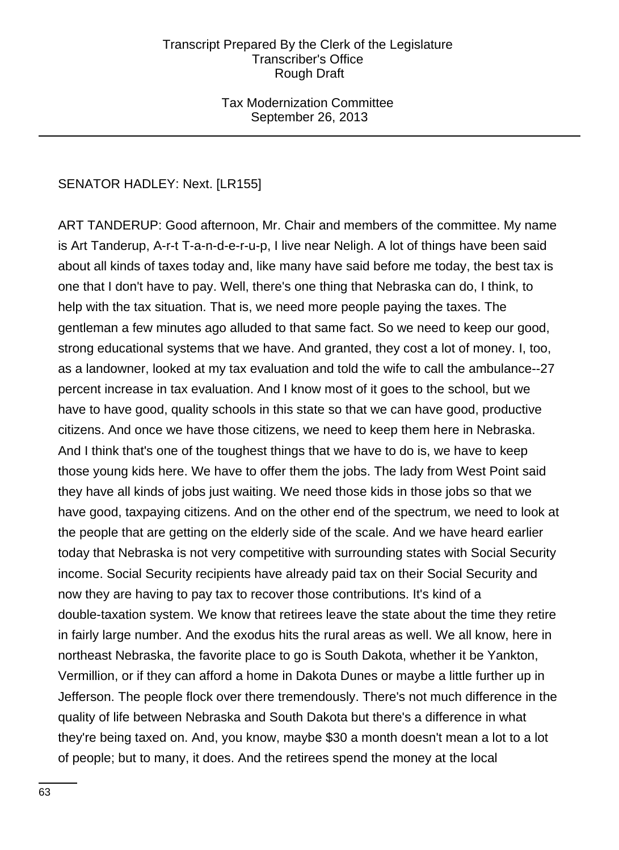## Tax Modernization Committee September 26, 2013

## SENATOR HADLEY: Next. [LR155]

ART TANDERUP: Good afternoon, Mr. Chair and members of the committee. My name is Art Tanderup, A-r-t T-a-n-d-e-r-u-p, I live near Neligh. A lot of things have been said about all kinds of taxes today and, like many have said before me today, the best tax is one that I don't have to pay. Well, there's one thing that Nebraska can do, I think, to help with the tax situation. That is, we need more people paying the taxes. The gentleman a few minutes ago alluded to that same fact. So we need to keep our good, strong educational systems that we have. And granted, they cost a lot of money. I, too, as a landowner, looked at my tax evaluation and told the wife to call the ambulance--27 percent increase in tax evaluation. And I know most of it goes to the school, but we have to have good, quality schools in this state so that we can have good, productive citizens. And once we have those citizens, we need to keep them here in Nebraska. And I think that's one of the toughest things that we have to do is, we have to keep those young kids here. We have to offer them the jobs. The lady from West Point said they have all kinds of jobs just waiting. We need those kids in those jobs so that we have good, taxpaying citizens. And on the other end of the spectrum, we need to look at the people that are getting on the elderly side of the scale. And we have heard earlier today that Nebraska is not very competitive with surrounding states with Social Security income. Social Security recipients have already paid tax on their Social Security and now they are having to pay tax to recover those contributions. It's kind of a double-taxation system. We know that retirees leave the state about the time they retire in fairly large number. And the exodus hits the rural areas as well. We all know, here in northeast Nebraska, the favorite place to go is South Dakota, whether it be Yankton, Vermillion, or if they can afford a home in Dakota Dunes or maybe a little further up in Jefferson. The people flock over there tremendously. There's not much difference in the quality of life between Nebraska and South Dakota but there's a difference in what they're being taxed on. And, you know, maybe \$30 a month doesn't mean a lot to a lot of people; but to many, it does. And the retirees spend the money at the local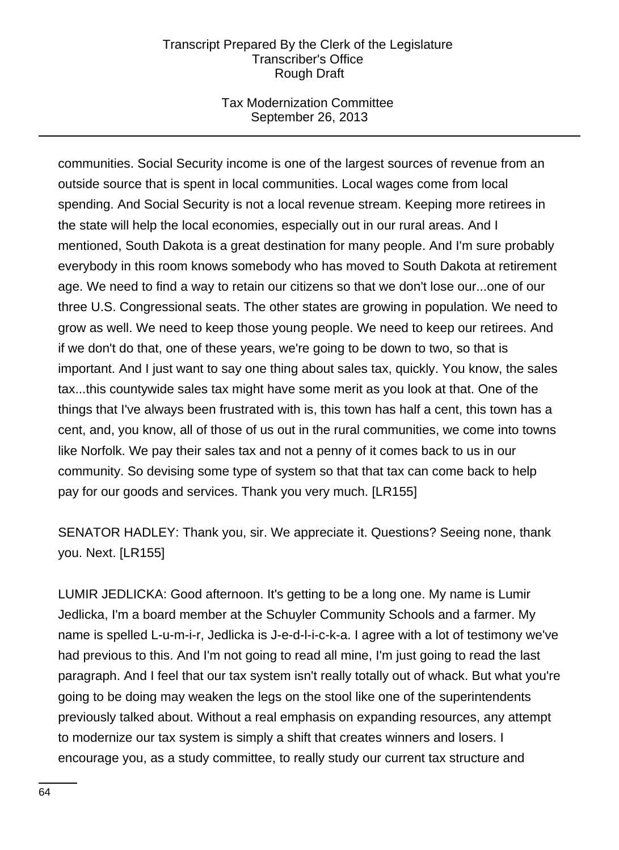## Tax Modernization Committee September 26, 2013

communities. Social Security income is one of the largest sources of revenue from an outside source that is spent in local communities. Local wages come from local spending. And Social Security is not a local revenue stream. Keeping more retirees in the state will help the local economies, especially out in our rural areas. And I mentioned, South Dakota is a great destination for many people. And I'm sure probably everybody in this room knows somebody who has moved to South Dakota at retirement age. We need to find a way to retain our citizens so that we don't lose our...one of our three U.S. Congressional seats. The other states are growing in population. We need to grow as well. We need to keep those young people. We need to keep our retirees. And if we don't do that, one of these years, we're going to be down to two, so that is important. And I just want to say one thing about sales tax, quickly. You know, the sales tax...this countywide sales tax might have some merit as you look at that. One of the things that I've always been frustrated with is, this town has half a cent, this town has a cent, and, you know, all of those of us out in the rural communities, we come into towns like Norfolk. We pay their sales tax and not a penny of it comes back to us in our community. So devising some type of system so that that tax can come back to help pay for our goods and services. Thank you very much. [LR155]

SENATOR HADLEY: Thank you, sir. We appreciate it. Questions? Seeing none, thank you. Next. [LR155]

LUMIR JEDLICKA: Good afternoon. It's getting to be a long one. My name is Lumir Jedlicka, I'm a board member at the Schuyler Community Schools and a farmer. My name is spelled L-u-m-i-r, Jedlicka is J-e-d-l-i-c-k-a. I agree with a lot of testimony we've had previous to this. And I'm not going to read all mine, I'm just going to read the last paragraph. And I feel that our tax system isn't really totally out of whack. But what you're going to be doing may weaken the legs on the stool like one of the superintendents previously talked about. Without a real emphasis on expanding resources, any attempt to modernize our tax system is simply a shift that creates winners and losers. I encourage you, as a study committee, to really study our current tax structure and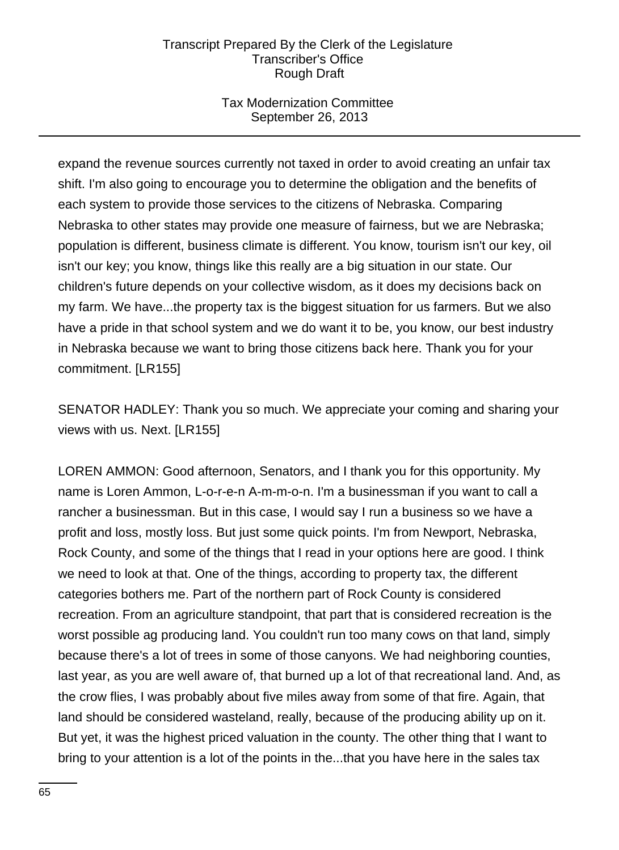## Tax Modernization Committee September 26, 2013

expand the revenue sources currently not taxed in order to avoid creating an unfair tax shift. I'm also going to encourage you to determine the obligation and the benefits of each system to provide those services to the citizens of Nebraska. Comparing Nebraska to other states may provide one measure of fairness, but we are Nebraska; population is different, business climate is different. You know, tourism isn't our key, oil isn't our key; you know, things like this really are a big situation in our state. Our children's future depends on your collective wisdom, as it does my decisions back on my farm. We have...the property tax is the biggest situation for us farmers. But we also have a pride in that school system and we do want it to be, you know, our best industry in Nebraska because we want to bring those citizens back here. Thank you for your commitment. [LR155]

SENATOR HADLEY: Thank you so much. We appreciate your coming and sharing your views with us. Next. [LR155]

LOREN AMMON: Good afternoon, Senators, and I thank you for this opportunity. My name is Loren Ammon, L-o-r-e-n A-m-m-o-n. I'm a businessman if you want to call a rancher a businessman. But in this case, I would say I run a business so we have a profit and loss, mostly loss. But just some quick points. I'm from Newport, Nebraska, Rock County, and some of the things that I read in your options here are good. I think we need to look at that. One of the things, according to property tax, the different categories bothers me. Part of the northern part of Rock County is considered recreation. From an agriculture standpoint, that part that is considered recreation is the worst possible ag producing land. You couldn't run too many cows on that land, simply because there's a lot of trees in some of those canyons. We had neighboring counties, last year, as you are well aware of, that burned up a lot of that recreational land. And, as the crow flies, I was probably about five miles away from some of that fire. Again, that land should be considered wasteland, really, because of the producing ability up on it. But yet, it was the highest priced valuation in the county. The other thing that I want to bring to your attention is a lot of the points in the...that you have here in the sales tax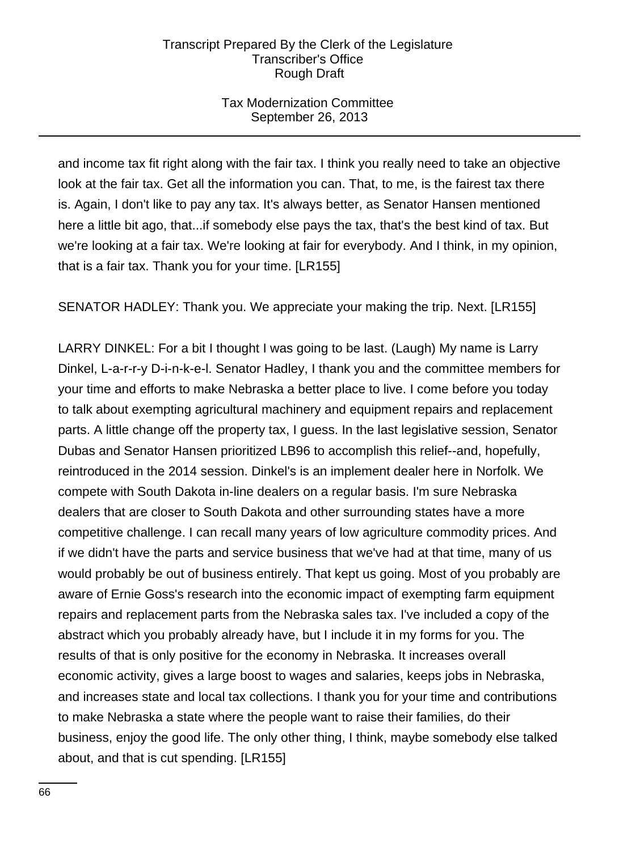## Tax Modernization Committee September 26, 2013

and income tax fit right along with the fair tax. I think you really need to take an objective look at the fair tax. Get all the information you can. That, to me, is the fairest tax there is. Again, I don't like to pay any tax. It's always better, as Senator Hansen mentioned here a little bit ago, that...if somebody else pays the tax, that's the best kind of tax. But we're looking at a fair tax. We're looking at fair for everybody. And I think, in my opinion, that is a fair tax. Thank you for your time. [LR155]

SENATOR HADLEY: Thank you. We appreciate your making the trip. Next. [LR155]

LARRY DINKEL: For a bit I thought I was going to be last. (Laugh) My name is Larry Dinkel, L-a-r-r-y D-i-n-k-e-l. Senator Hadley, I thank you and the committee members for your time and efforts to make Nebraska a better place to live. I come before you today to talk about exempting agricultural machinery and equipment repairs and replacement parts. A little change off the property tax, I guess. In the last legislative session, Senator Dubas and Senator Hansen prioritized LB96 to accomplish this relief--and, hopefully, reintroduced in the 2014 session. Dinkel's is an implement dealer here in Norfolk. We compete with South Dakota in-line dealers on a regular basis. I'm sure Nebraska dealers that are closer to South Dakota and other surrounding states have a more competitive challenge. I can recall many years of low agriculture commodity prices. And if we didn't have the parts and service business that we've had at that time, many of us would probably be out of business entirely. That kept us going. Most of you probably are aware of Ernie Goss's research into the economic impact of exempting farm equipment repairs and replacement parts from the Nebraska sales tax. I've included a copy of the abstract which you probably already have, but I include it in my forms for you. The results of that is only positive for the economy in Nebraska. It increases overall economic activity, gives a large boost to wages and salaries, keeps jobs in Nebraska, and increases state and local tax collections. I thank you for your time and contributions to make Nebraska a state where the people want to raise their families, do their business, enjoy the good life. The only other thing, I think, maybe somebody else talked about, and that is cut spending. [LR155]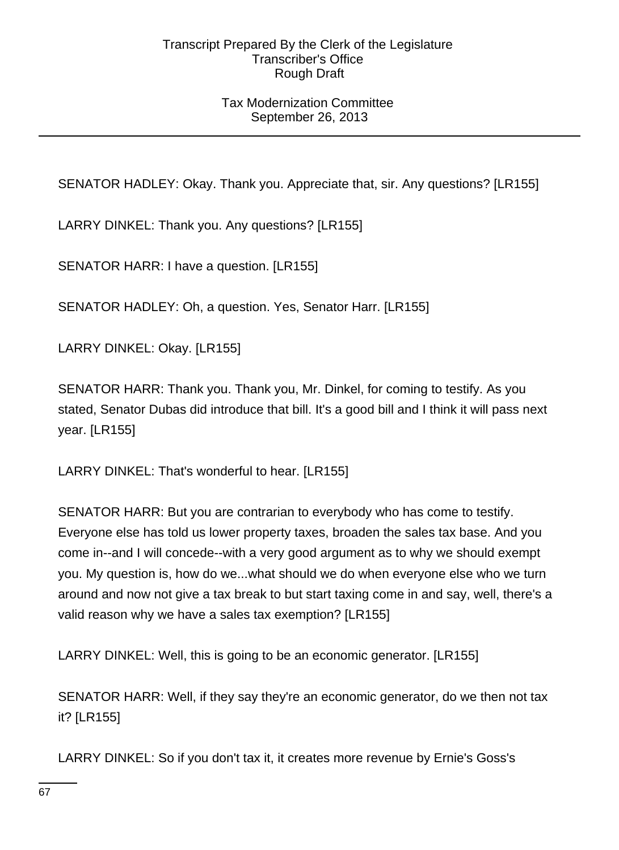## Tax Modernization Committee September 26, 2013

SENATOR HADLEY: Okay. Thank you. Appreciate that, sir. Any questions? [LR155]

LARRY DINKEL: Thank you. Any questions? [LR155]

SENATOR HARR: I have a question. [LR155]

SENATOR HADLEY: Oh, a question. Yes, Senator Harr. [LR155]

LARRY DINKEL: Okay. [LR155]

SENATOR HARR: Thank you. Thank you, Mr. Dinkel, for coming to testify. As you stated, Senator Dubas did introduce that bill. It's a good bill and I think it will pass next year. [LR155]

LARRY DINKEL: That's wonderful to hear. [LR155]

SENATOR HARR: But you are contrarian to everybody who has come to testify. Everyone else has told us lower property taxes, broaden the sales tax base. And you come in--and I will concede--with a very good argument as to why we should exempt you. My question is, how do we...what should we do when everyone else who we turn around and now not give a tax break to but start taxing come in and say, well, there's a valid reason why we have a sales tax exemption? [LR155]

LARRY DINKEL: Well, this is going to be an economic generator. [LR155]

SENATOR HARR: Well, if they say they're an economic generator, do we then not tax it? [LR155]

LARRY DINKEL: So if you don't tax it, it creates more revenue by Ernie's Goss's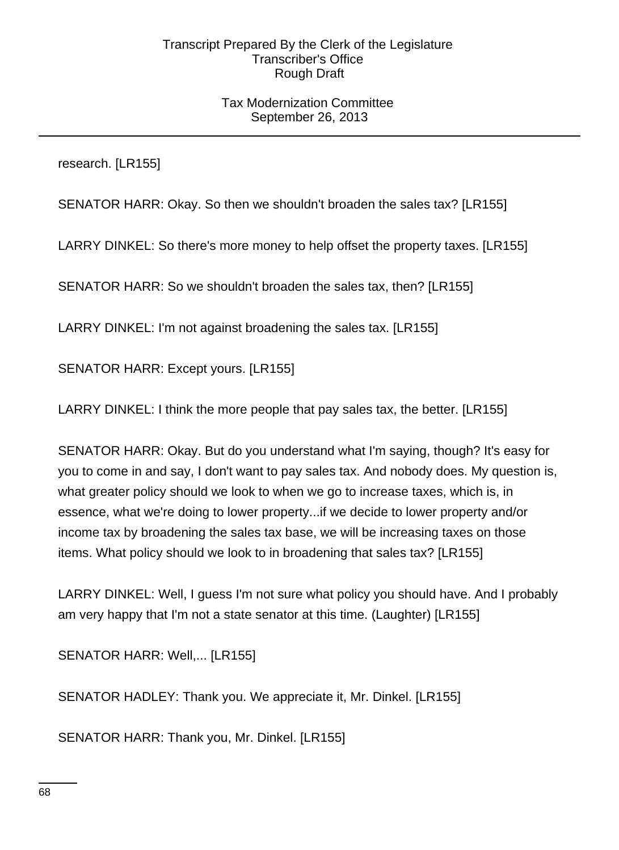## Tax Modernization Committee September 26, 2013

research. [LR155]

SENATOR HARR: Okay. So then we shouldn't broaden the sales tax? [LR155]

LARRY DINKEL: So there's more money to help offset the property taxes. [LR155]

SENATOR HARR: So we shouldn't broaden the sales tax, then? [LR155]

LARRY DINKEL: I'm not against broadening the sales tax. [LR155]

SENATOR HARR: Except yours. [LR155]

LARRY DINKEL: I think the more people that pay sales tax, the better. [LR155]

SENATOR HARR: Okay. But do you understand what I'm saying, though? It's easy for you to come in and say, I don't want to pay sales tax. And nobody does. My question is, what greater policy should we look to when we go to increase taxes, which is, in essence, what we're doing to lower property...if we decide to lower property and/or income tax by broadening the sales tax base, we will be increasing taxes on those items. What policy should we look to in broadening that sales tax? [LR155]

LARRY DINKEL: Well, I guess I'm not sure what policy you should have. And I probably am very happy that I'm not a state senator at this time. (Laughter) [LR155]

SENATOR HARR: Well,... [LR155]

SENATOR HADLEY: Thank you. We appreciate it, Mr. Dinkel. [LR155]

SENATOR HARR: Thank you, Mr. Dinkel. [LR155]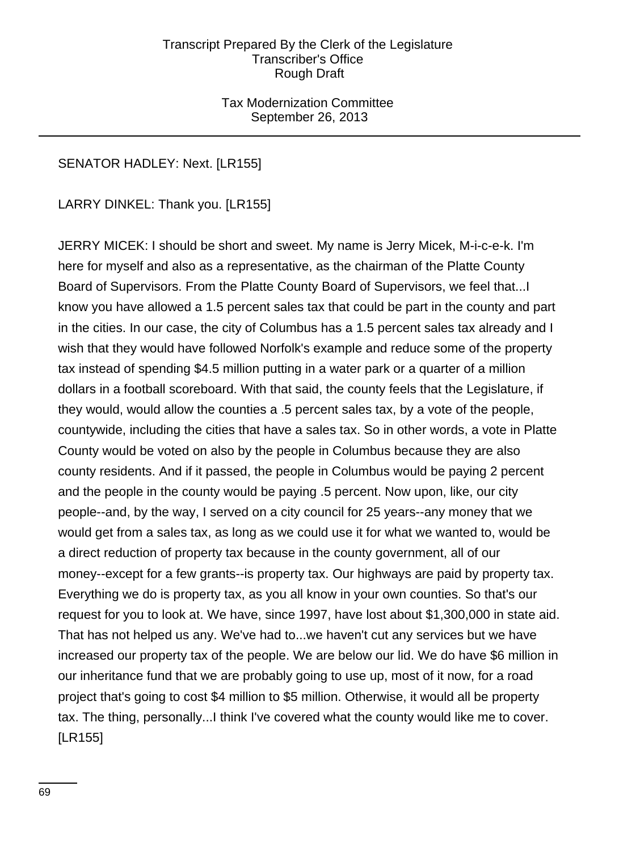Tax Modernization Committee September 26, 2013

## SENATOR HADLEY: Next. [LR155]

LARRY DINKEL: Thank you. [LR155]

JERRY MICEK: I should be short and sweet. My name is Jerry Micek, M-i-c-e-k. I'm here for myself and also as a representative, as the chairman of the Platte County Board of Supervisors. From the Platte County Board of Supervisors, we feel that...I know you have allowed a 1.5 percent sales tax that could be part in the county and part in the cities. In our case, the city of Columbus has a 1.5 percent sales tax already and I wish that they would have followed Norfolk's example and reduce some of the property tax instead of spending \$4.5 million putting in a water park or a quarter of a million dollars in a football scoreboard. With that said, the county feels that the Legislature, if they would, would allow the counties a .5 percent sales tax, by a vote of the people, countywide, including the cities that have a sales tax. So in other words, a vote in Platte County would be voted on also by the people in Columbus because they are also county residents. And if it passed, the people in Columbus would be paying 2 percent and the people in the county would be paying .5 percent. Now upon, like, our city people--and, by the way, I served on a city council for 25 years--any money that we would get from a sales tax, as long as we could use it for what we wanted to, would be a direct reduction of property tax because in the county government, all of our money--except for a few grants--is property tax. Our highways are paid by property tax. Everything we do is property tax, as you all know in your own counties. So that's our request for you to look at. We have, since 1997, have lost about \$1,300,000 in state aid. That has not helped us any. We've had to...we haven't cut any services but we have increased our property tax of the people. We are below our lid. We do have \$6 million in our inheritance fund that we are probably going to use up, most of it now, for a road project that's going to cost \$4 million to \$5 million. Otherwise, it would all be property tax. The thing, personally...I think I've covered what the county would like me to cover. [LR155]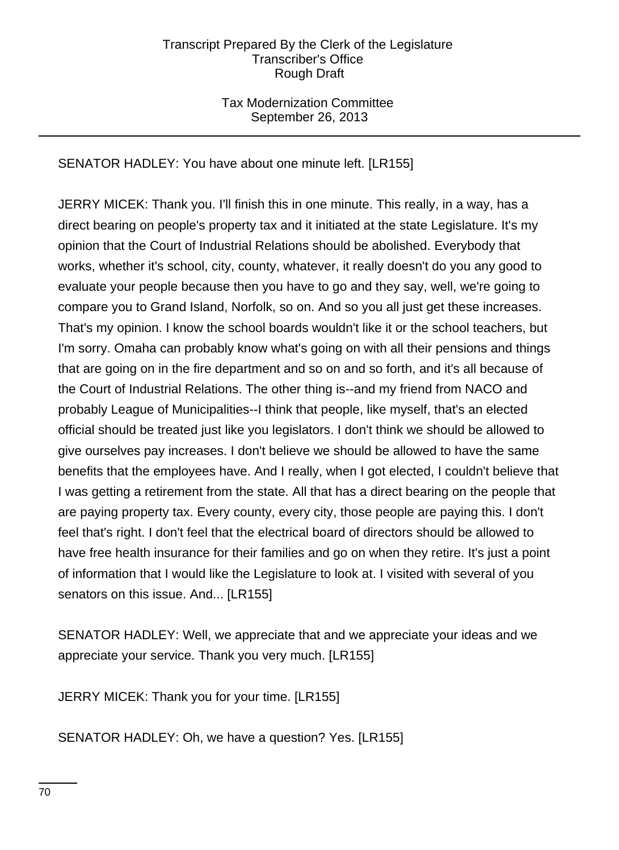## Tax Modernization Committee September 26, 2013

## SENATOR HADLEY: You have about one minute left. [LR155]

JERRY MICEK: Thank you. I'll finish this in one minute. This really, in a way, has a direct bearing on people's property tax and it initiated at the state Legislature. It's my opinion that the Court of Industrial Relations should be abolished. Everybody that works, whether it's school, city, county, whatever, it really doesn't do you any good to evaluate your people because then you have to go and they say, well, we're going to compare you to Grand Island, Norfolk, so on. And so you all just get these increases. That's my opinion. I know the school boards wouldn't like it or the school teachers, but I'm sorry. Omaha can probably know what's going on with all their pensions and things that are going on in the fire department and so on and so forth, and it's all because of the Court of Industrial Relations. The other thing is--and my friend from NACO and probably League of Municipalities--I think that people, like myself, that's an elected official should be treated just like you legislators. I don't think we should be allowed to give ourselves pay increases. I don't believe we should be allowed to have the same benefits that the employees have. And I really, when I got elected, I couldn't believe that I was getting a retirement from the state. All that has a direct bearing on the people that are paying property tax. Every county, every city, those people are paying this. I don't feel that's right. I don't feel that the electrical board of directors should be allowed to have free health insurance for their families and go on when they retire. It's just a point of information that I would like the Legislature to look at. I visited with several of you senators on this issue. And... [LR155]

SENATOR HADLEY: Well, we appreciate that and we appreciate your ideas and we appreciate your service. Thank you very much. [LR155]

JERRY MICEK: Thank you for your time. [LR155]

SENATOR HADLEY: Oh, we have a question? Yes. [LR155]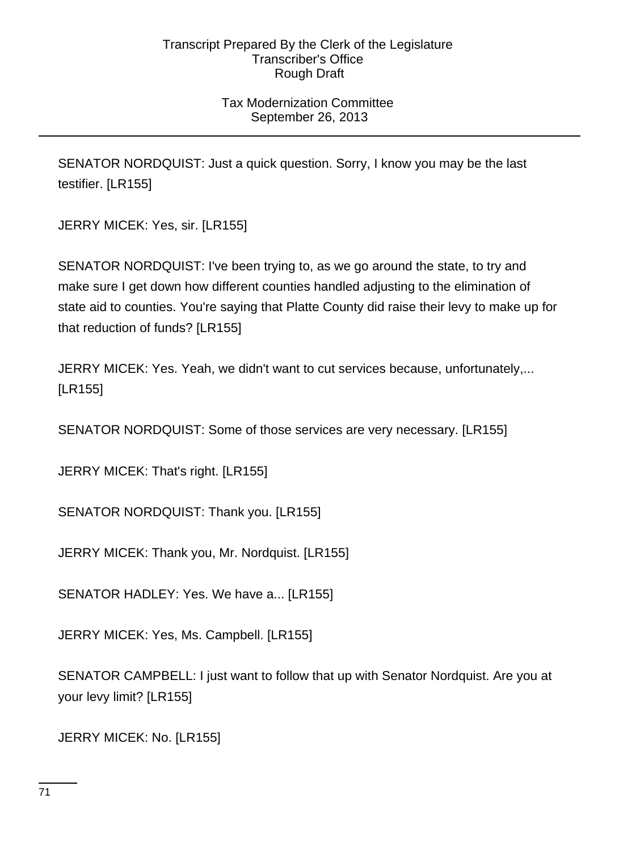## Tax Modernization Committee September 26, 2013

SENATOR NORDQUIST: Just a quick question. Sorry, I know you may be the last testifier. [LR155]

JERRY MICEK: Yes, sir. [LR155]

SENATOR NORDQUIST: I've been trying to, as we go around the state, to try and make sure I get down how different counties handled adjusting to the elimination of state aid to counties. You're saying that Platte County did raise their levy to make up for that reduction of funds? [LR155]

JERRY MICEK: Yes. Yeah, we didn't want to cut services because, unfortunately,... [LR155]

SENATOR NORDQUIST: Some of those services are very necessary. [LR155]

JERRY MICEK: That's right. [LR155]

SENATOR NORDQUIST: Thank you. [LR155]

JERRY MICEK: Thank you, Mr. Nordquist. [LR155]

SENATOR HADLEY: Yes. We have a... [LR155]

JERRY MICEK: Yes, Ms. Campbell. [LR155]

SENATOR CAMPBELL: I just want to follow that up with Senator Nordquist. Are you at your levy limit? [LR155]

JERRY MICEK: No. [LR155]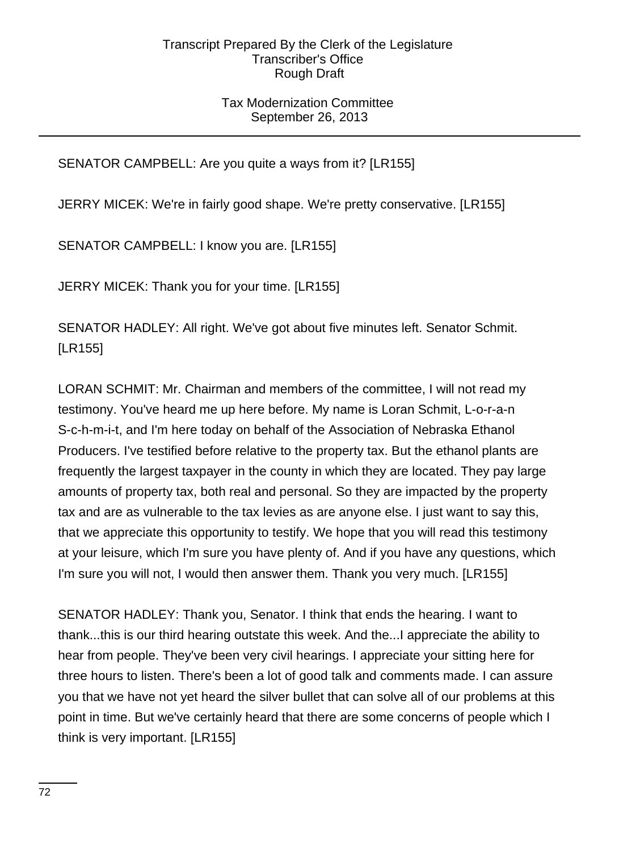## Tax Modernization Committee September 26, 2013

# SENATOR CAMPBELL: Are you quite a ways from it? [LR155]

JERRY MICEK: We're in fairly good shape. We're pretty conservative. [LR155]

SENATOR CAMPBELL: I know you are. [LR155]

JERRY MICEK: Thank you for your time. [LR155]

SENATOR HADLEY: All right. We've got about five minutes left. Senator Schmit. [LR155]

LORAN SCHMIT: Mr. Chairman and members of the committee, I will not read my testimony. You've heard me up here before. My name is Loran Schmit, L-o-r-a-n S-c-h-m-i-t, and I'm here today on behalf of the Association of Nebraska Ethanol Producers. I've testified before relative to the property tax. But the ethanol plants are frequently the largest taxpayer in the county in which they are located. They pay large amounts of property tax, both real and personal. So they are impacted by the property tax and are as vulnerable to the tax levies as are anyone else. I just want to say this, that we appreciate this opportunity to testify. We hope that you will read this testimony at your leisure, which I'm sure you have plenty of. And if you have any questions, which I'm sure you will not, I would then answer them. Thank you very much. [LR155]

SENATOR HADLEY: Thank you, Senator. I think that ends the hearing. I want to thank...this is our third hearing outstate this week. And the...I appreciate the ability to hear from people. They've been very civil hearings. I appreciate your sitting here for three hours to listen. There's been a lot of good talk and comments made. I can assure you that we have not yet heard the silver bullet that can solve all of our problems at this point in time. But we've certainly heard that there are some concerns of people which I think is very important. [LR155]